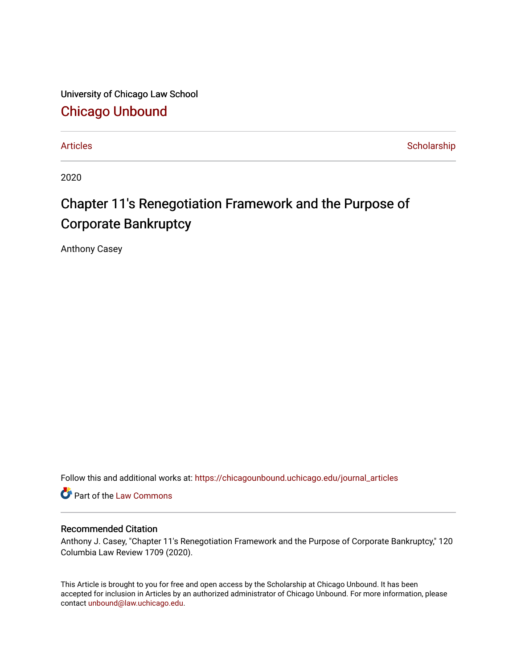University of Chicago Law School [Chicago Unbound](https://chicagounbound.uchicago.edu/)

[Articles](https://chicagounbound.uchicago.edu/journal_articles) **Scholarship** 

2020

## Chapter 11's Renegotiation Framework and the Purpose of Corporate Bankruptcy

Anthony Casey

Follow this and additional works at: [https://chicagounbound.uchicago.edu/journal\\_articles](https://chicagounbound.uchicago.edu/journal_articles?utm_source=chicagounbound.uchicago.edu%2Fjournal_articles%2F10069&utm_medium=PDF&utm_campaign=PDFCoverPages) 

Part of the [Law Commons](http://network.bepress.com/hgg/discipline/578?utm_source=chicagounbound.uchicago.edu%2Fjournal_articles%2F10069&utm_medium=PDF&utm_campaign=PDFCoverPages)

#### Recommended Citation

Anthony J. Casey, "Chapter 11's Renegotiation Framework and the Purpose of Corporate Bankruptcy," 120 Columbia Law Review 1709 (2020).

This Article is brought to you for free and open access by the Scholarship at Chicago Unbound. It has been accepted for inclusion in Articles by an authorized administrator of Chicago Unbound. For more information, please contact [unbound@law.uchicago.edu](mailto:unbound@law.uchicago.edu).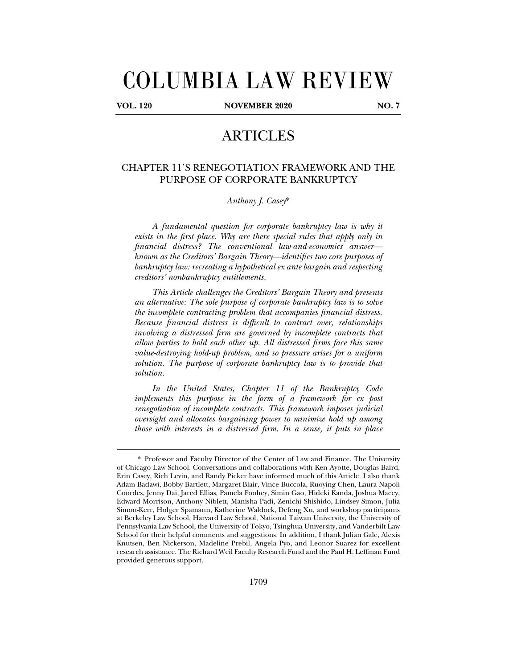# COLUMBIA LAW REVIEW

j

**VOL. 120 NOVEMBER 2020 NO. 7** 

### ARTICLES

#### CHAPTER 11'S RENEGOTIATION FRAMEWORK AND THE PURPOSE OF CORPORATE BANKRUPTCY

*Anthony J. Casey*\*

*A fundamental question for corporate bankruptcy law is why it exists in the first place. Why are there special rules that apply only in financial distress? The conventional law-and-economics answer known as the Creditors' Bargain Theory—identifies two core purposes of bankruptcy law: recreating a hypothetical ex ante bargain and respecting creditors' nonbankruptcy entitlements.* 

*This Article challenges the Creditors' Bargain Theory and presents an alternative: The sole purpose of corporate bankruptcy law is to solve the incomplete contracting problem that accompanies financial distress. Because financial distress is difficult to contract over, relationships involving a distressed firm are governed by incomplete contracts that allow parties to hold each other up. All distressed firms face this same value-destroying hold-up problem, and so pressure arises for a uniform solution. The purpose of corporate bankruptcy law is to provide that solution.* 

*In the United States, Chapter 11 of the Bankruptcy Code implements this purpose in the form of a framework for ex post renegotiation of incomplete contracts. This framework imposes judicial oversight and allocates bargaining power to minimize hold up among those with interests in a distressed firm. In a sense, it puts in place* 

<sup>\*</sup> Professor and Faculty Director of the Center of Law and Finance, The University of Chicago Law School. Conversations and collaborations with Ken Ayotte, Douglas Baird, Erin Casey, Rich Levin, and Randy Picker have informed much of this Article. I also thank Adam Badawi, Bobby Bartlett, Margaret Blair, Vince Buccola, Ruoying Chen, Laura Napoli Coordes, Jenny Dai, Jared Ellias, Pamela Foohey, Simin Gao, Hideki Kanda, Joshua Macey, Edward Morrison, Anthony Niblett, Manisha Padi, Zenichi Shishido, Lindsey Simon, Julia Simon-Kerr, Holger Spamann, Katherine Waldock, Defeng Xu, and workshop participants at Berkeley Law School, Harvard Law School, National Taiwan University, the University of Pennsylvania Law School, the University of Tokyo, Tsinghua University, and Vanderbilt Law School for their helpful comments and suggestions. In addition, I thank Julian Gale, Alexis Knutsen, Ben Nickerson, Madeline Prebil, Angela Pyo, and Leonor Suarez for excellent research assistance. The Richard Weil Faculty Research Fund and the Paul H. Leffman Fund provided generous support.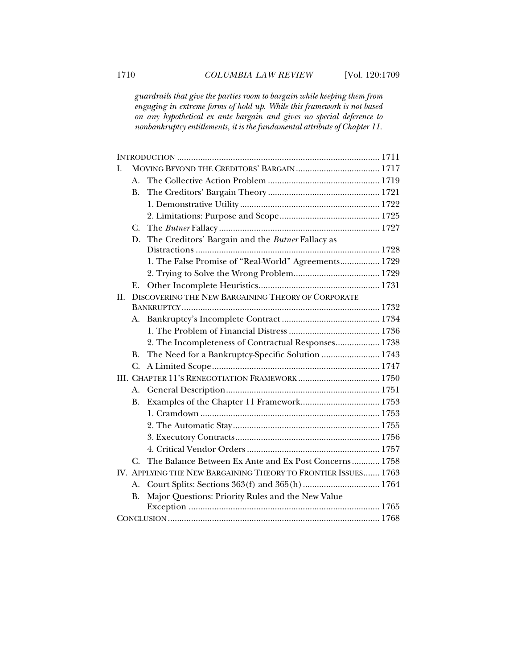*guardrails that give the parties room to bargain while keeping them from engaging in extreme forms of hold up. While this framework is not based on any hypothetical ex ante bargain and gives no special deference to nonbankruptcy entitlements, it is the fundamental attribute of Chapter 11.* 

| I.  |                                                    |                                                                |  |
|-----|----------------------------------------------------|----------------------------------------------------------------|--|
|     | А.                                                 |                                                                |  |
|     | <b>B.</b>                                          |                                                                |  |
|     |                                                    |                                                                |  |
|     |                                                    |                                                                |  |
|     | $C_{\cdot}$                                        |                                                                |  |
|     | D.                                                 | The Creditors' Bargain and the Butner Fallacy as               |  |
|     |                                                    |                                                                |  |
|     |                                                    | 1. The False Promise of "Real-World" Agreements 1729           |  |
|     |                                                    |                                                                |  |
|     | Ε.                                                 |                                                                |  |
| II. | DISCOVERING THE NEW BARGAINING THEORY OF CORPORATE |                                                                |  |
|     |                                                    |                                                                |  |
|     | А.                                                 |                                                                |  |
|     |                                                    |                                                                |  |
|     |                                                    | 2. The Incompleteness of Contractual Responses 1738            |  |
|     | <b>B.</b>                                          | The Need for a Bankruptcy-Specific Solution  1743              |  |
|     | C.                                                 |                                                                |  |
|     |                                                    |                                                                |  |
|     | A.                                                 |                                                                |  |
|     | <b>B.</b>                                          |                                                                |  |
|     |                                                    |                                                                |  |
|     |                                                    |                                                                |  |
|     |                                                    |                                                                |  |
|     |                                                    |                                                                |  |
|     | C.                                                 | The Balance Between Ex Ante and Ex Post Concerns 1758          |  |
|     |                                                    | IV. APPLYING THE NEW BARGAINING THEORY TO FRONTIER ISSUES 1763 |  |
|     | A.                                                 |                                                                |  |
|     | <b>B.</b>                                          | Major Questions: Priority Rules and the New Value              |  |
|     |                                                    |                                                                |  |
|     |                                                    |                                                                |  |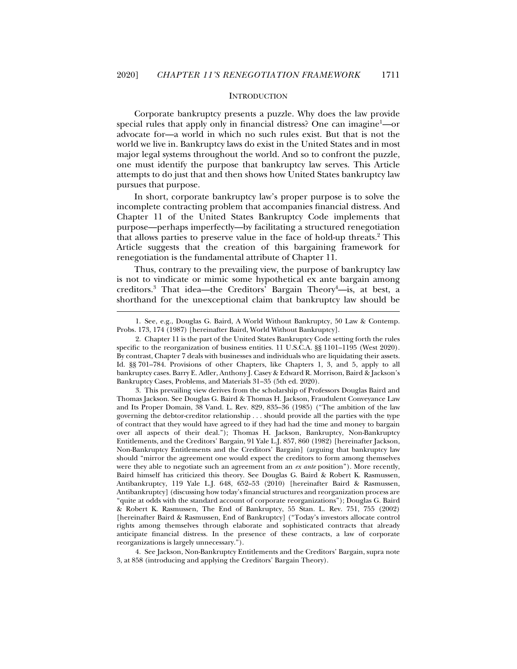#### **INTRODUCTION**

Corporate bankruptcy presents a puzzle. Why does the law provide special rules that apply only in financial distress? One can imagine<sup>1</sup>—or advocate for—a world in which no such rules exist. But that is not the world we live in. Bankruptcy laws do exist in the United States and in most major legal systems throughout the world. And so to confront the puzzle, one must identify the purpose that bankruptcy law serves. This Article attempts to do just that and then shows how United States bankruptcy law pursues that purpose.

In short, corporate bankruptcy law's proper purpose is to solve the incomplete contracting problem that accompanies financial distress. And Chapter 11 of the United States Bankruptcy Code implements that purpose—perhaps imperfectly—by facilitating a structured renegotiation that allows parties to preserve value in the face of hold-up threats.<sup>2</sup> This Article suggests that the creation of this bargaining framework for renegotiation is the fundamental attribute of Chapter 11.

Thus, contrary to the prevailing view, the purpose of bankruptcy law is not to vindicate or mimic some hypothetical ex ante bargain among creditors.<sup>3</sup> That idea—the Creditors' Bargain Theory<sup>4</sup>—is, at best, a shorthand for the unexceptional claim that bankruptcy law should be

j

 3. This prevailing view derives from the scholarship of Professors Douglas Baird and Thomas Jackson. See Douglas G. Baird & Thomas H. Jackson, Fraudulent Conveyance Law and Its Proper Domain, 38 Vand. L. Rev. 829, 835–36 (1985) ("The ambition of the law governing the debtor-creditor relationship . . . should provide all the parties with the type of contract that they would have agreed to if they had had the time and money to bargain over all aspects of their deal."); Thomas H. Jackson, Bankruptcy, Non-Bankruptcy Entitlements, and the Creditors' Bargain, 91 Yale L.J. 857, 860 (1982) [hereinafter Jackson, Non-Bankruptcy Entitlements and the Creditors' Bargain] (arguing that bankruptcy law should "mirror the agreement one would expect the creditors to form among themselves were they able to negotiate such an agreement from an *ex ante* position"). More recently, Baird himself has criticized this theory. See Douglas G. Baird & Robert K. Rasmussen, Antibankruptcy, 119 Yale L.J. 648, 652–53 (2010) [hereinafter Baird & Rasmussen, Antibankruptcy] (discussing how today's financial structures and reorganization process are "quite at odds with the standard account of corporate reorganizations"); Douglas G. Baird & Robert K. Rasmussen, The End of Bankruptcy, 55 Stan. L. Rev. 751, 755 (2002) [hereinafter Baird & Rasmussen, End of Bankruptcy] ("Today's investors allocate control rights among themselves through elaborate and sophisticated contracts that already anticipate financial distress. In the presence of these contracts, a law of corporate reorganizations is largely unnecessary.").

 4. See Jackson, Non-Bankruptcy Entitlements and the Creditors' Bargain, supra note 3, at 858 (introducing and applying the Creditors' Bargain Theory).

 <sup>1.</sup> See, e.g., Douglas G. Baird, A World Without Bankruptcy, 50 Law & Contemp. Probs. 173, 174 (1987) [hereinafter Baird, World Without Bankruptcy].

 <sup>2.</sup> Chapter 11 is the part of the United States Bankruptcy Code setting forth the rules specific to the reorganization of business entities. 11 U.S.C.A. §§ 1101–1195 (West 2020). By contrast, Chapter 7 deals with businesses and individuals who are liquidating their assets. Id. §§ 701–784. Provisions of other Chapters, like Chapters 1, 3, and 5, apply to all bankruptcy cases. Barry E. Adler, Anthony J. Casey & Edward R. Morrison, Baird & Jackson's Bankruptcy Cases, Problems, and Materials 31–35 (5th ed. 2020).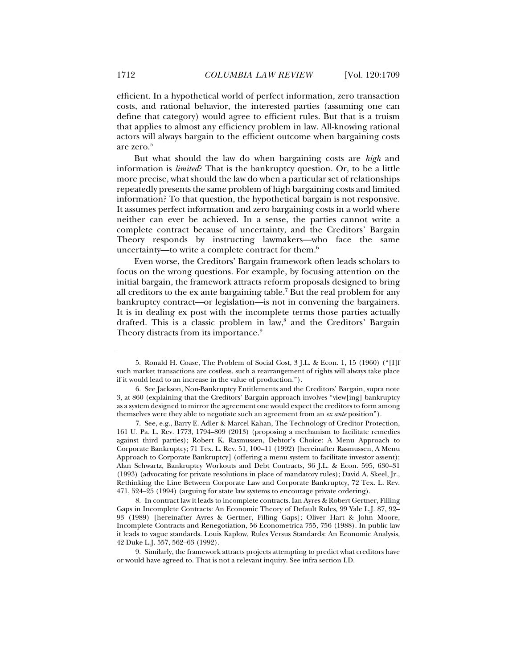efficient. In a hypothetical world of perfect information, zero transaction costs, and rational behavior, the interested parties (assuming one can define that category) would agree to efficient rules. But that is a truism that applies to almost any efficiency problem in law. All-knowing rational actors will always bargain to the efficient outcome when bargaining costs are zero.5

But what should the law do when bargaining costs are *high* and information is *limited*? That is the bankruptcy question. Or, to be a little more precise, what should the law do when a particular set of relationships repeatedly presents the same problem of high bargaining costs and limited information? To that question, the hypothetical bargain is not responsive. It assumes perfect information and zero bargaining costs in a world where neither can ever be achieved. In a sense, the parties cannot write a complete contract because of uncertainty, and the Creditors' Bargain Theory responds by instructing lawmakers—who face the same uncertainty—to write a complete contract for them. $6$ 

Even worse, the Creditors' Bargain framework often leads scholars to focus on the wrong questions. For example, by focusing attention on the initial bargain, the framework attracts reform proposals designed to bring all creditors to the  $ex$  ante bargaining table.<sup>7</sup> But the real problem for any bankruptcy contract—or legislation—is not in convening the bargainers. It is in dealing ex post with the incomplete terms those parties actually drafted. This is a classic problem in law,<sup>8</sup> and the Creditors' Bargain Theory distracts from its importance.<sup>9</sup>

 <sup>5.</sup> Ronald H. Coase, The Problem of Social Cost, 3 J.L. & Econ. 1, 15 (1960) ("[I]f such market transactions are costless, such a rearrangement of rights will always take place if it would lead to an increase in the value of production.").

 <sup>6.</sup> See Jackson, Non-Bankruptcy Entitlements and the Creditors' Bargain, supra note 3, at 860 (explaining that the Creditors' Bargain approach involves "view[ing] bankruptcy as a system designed to mirror the agreement one would expect the creditors to form among themselves were they able to negotiate such an agreement from an *ex ante* position").

 <sup>7.</sup> See, e.g., Barry E. Adler & Marcel Kahan, The Technology of Creditor Protection, 161 U. Pa. L. Rev. 1773, 1794–809 (2013) (proposing a mechanism to facilitate remedies against third parties); Robert K. Rasmussen, Debtor's Choice: A Menu Approach to Corporate Bankruptcy; 71 Tex. L. Rev. 51, 100–11 (1992) [hereinafter Rasmussen, A Menu Approach to Corporate Bankruptcy] (offering a menu system to facilitate investor assent); Alan Schwartz, Bankruptcy Workouts and Debt Contracts, 36 J.L. & Econ. 595, 630–31 (1993) (advocating for private resolutions in place of mandatory rules); David A. Skeel, Jr., Rethinking the Line Between Corporate Law and Corporate Bankruptcy, 72 Tex. L. Rev. 471, 524–25 (1994) (arguing for state law systems to encourage private ordering).

 <sup>8.</sup> In contract law it leads to incomplete contracts. Ian Ayres & Robert Gertner, Filling Gaps in Incomplete Contracts: An Economic Theory of Default Rules, 99 Yale L.J. 87, 92– 93 (1989) [hereinafter Ayres & Gertner, Filling Gaps]; Oliver Hart & John Moore, Incomplete Contracts and Renegotiation, 56 Econometrica 755, 756 (1988). In public law it leads to vague standards. Louis Kaplow, Rules Versus Standards: An Economic Analysis, 42 Duke L.J. 557, 562–63 (1992).

 <sup>9.</sup> Similarly, the framework attracts projects attempting to predict what creditors have or would have agreed to. That is not a relevant inquiry. See infra section I.D.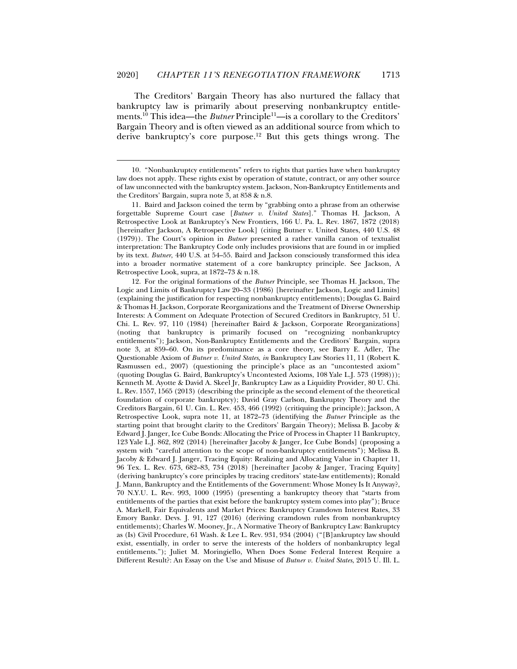The Creditors' Bargain Theory has also nurtured the fallacy that bankruptcy law is primarily about preserving nonbankruptcy entitlements.<sup>10</sup> This idea—the *Butner* Principle<sup>11</sup>—is a corollary to the Creditors' Bargain Theory and is often viewed as an additional source from which to derive bankruptcy's core purpose.12 But this gets things wrong. The

j

 11. Baird and Jackson coined the term by "grabbing onto a phrase from an otherwise forgettable Supreme Court case [*Butner v. United States*]." Thomas H. Jackson, A Retrospective Look at Bankruptcy's New Frontiers, 166 U. Pa. L. Rev. 1867, 1872 (2018) [hereinafter Jackson, A Retrospective Look] (citing Butner v. United States, 440 U.S. 48 (1979)). The Court's opinion in *Butner* presented a rather vanilla canon of textualist interpretation: The Bankruptcy Code only includes provisions that are found in or implied by its text. *Butner*, 440 U.S. at 54–55. Baird and Jackson consciously transformed this idea into a broader normative statement of a core bankruptcy principle. See Jackson, A Retrospective Look, supra, at 1872–73 & n.18.

 12. For the original formations of the *Butner* Principle, see Thomas H. Jackson, The Logic and Limits of Bankruptcy Law 20–33 (1986) [hereinafter Jackson, Logic and Limits] (explaining the justification for respecting nonbankruptcy entitlements); Douglas G. Baird & Thomas H. Jackson, Corporate Reorganizations and the Treatment of Diverse Ownership Interests: A Comment on Adequate Protection of Secured Creditors in Bankruptcy, 51 U. Chi. L. Rev. 97, 110 (1984) [hereinafter Baird & Jackson, Corporate Reorganizations] (noting that bankruptcy is primarily focused on "recognizing nonbankruptcy entitlements"); Jackson, Non-Bankruptcy Entitlements and the Creditors' Bargain, supra note 3, at 859–60. On its predominance as a core theory, see Barry E. Adler, The Questionable Axiom of *Butner v. United States*, *in* Bankruptcy Law Stories 11, 11 (Robert K. Rasmussen ed., 2007) (questioning the principle's place as an "uncontested axiom" (quoting Douglas G. Baird, Bankruptcy's Uncontested Axioms, 108 Yale L.J. 573 (1998))); Kenneth M. Ayotte & David A. Skeel Jr, Bankruptcy Law as a Liquidity Provider, 80 U. Chi. L. Rev. 1557, 1565 (2013) (describing the principle as the second element of the theoretical foundation of corporate bankruptcy); David Gray Carlson, Bankruptcy Theory and the Creditors Bargain, 61 U. Cin. L. Rev. 453, 466 (1992) (critiquing the principle); Jackson, A Retrospective Look, supra note 11, at 1872–73 (identifying the *Butner* Principle as the starting point that brought clarity to the Creditors' Bargain Theory); Melissa B. Jacoby & Edward J. Janger, Ice Cube Bonds: Allocating the Price of Process in Chapter 11 Bankruptcy, 123 Yale L.J. 862, 892 (2014) [hereinafter Jacoby & Janger, Ice Cube Bonds] (proposing a system with "careful attention to the scope of non-bankruptcy entitlements"); Melissa B. Jacoby & Edward J. Janger, Tracing Equity: Realizing and Allocating Value in Chapter 11, 96 Tex. L. Rev. 673, 682–83, 734 (2018) [hereinafter Jacoby & Janger, Tracing Equity] (deriving bankruptcy's core principles by tracing creditors' state-law entitlements); Ronald J. Mann, Bankruptcy and the Entitlements of the Government: Whose Money Is It Anyway?, 70 N.Y.U. L. Rev. 993, 1000 (1995) (presenting a bankruptcy theory that "starts from entitlements of the parties that exist before the bankruptcy system comes into play"); Bruce A. Markell, Fair Equivalents and Market Prices: Bankruptcy Cramdown Interest Rates, 33 Emory Bankr. Devs. J. 91, 127 (2016) (deriving cramdown rules from nonbankruptcy entitlements); Charles W. Mooney, Jr., A Normative Theory of Bankruptcy Law: Bankruptcy as (Is) Civil Procedure*,* 61 Wash. & Lee L. Rev. 931, 934 (2004) ("[B]ankruptcy law should exist, essentially, in order to serve the interests of the holders of nonbankruptcy legal entitlements."); Juliet M. Moringiello, When Does Some Federal Interest Require a Different Result?: An Essay on the Use and Misuse of *Butner v. United States*, 2015 U. Ill. L.

 <sup>10. &</sup>quot;Nonbankruptcy entitlements" refers to rights that parties have when bankruptcy law does not apply. These rights exist by operation of statute, contract, or any other source of law unconnected with the bankruptcy system. Jackson, Non-Bankruptcy Entitlements and the Creditors' Bargain, supra note 3, at 858 & n.8.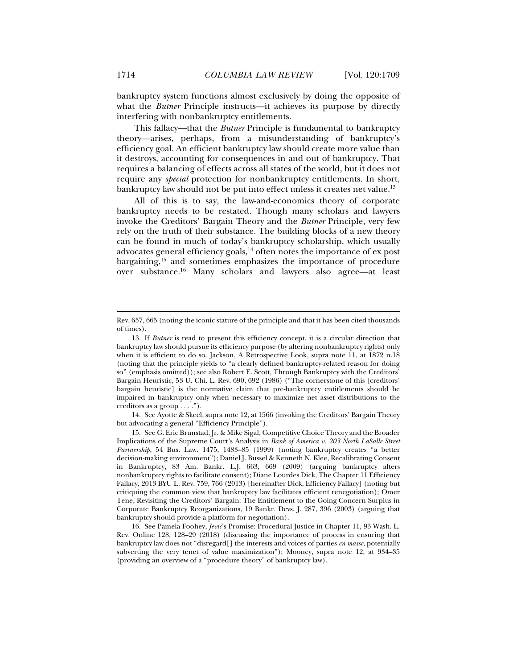bankruptcy system functions almost exclusively by doing the opposite of what the *Butner* Principle instructs—it achieves its purpose by directly interfering with nonbankruptcy entitlements.

This fallacy—that the *Butner* Principle is fundamental to bankruptcy theory—arises, perhaps, from a misunderstanding of bankruptcy's efficiency goal. An efficient bankruptcy law should create more value than it destroys, accounting for consequences in and out of bankruptcy. That requires a balancing of effects across all states of the world, but it does not require any *special* protection for nonbankruptcy entitlements. In short, bankruptcy law should not be put into effect unless it creates net value.<sup>13</sup>

All of this is to say, the law-and-economics theory of corporate bankruptcy needs to be restated. Though many scholars and lawyers invoke the Creditors' Bargain Theory and the *Butner* Principle, very few rely on the truth of their substance. The building blocks of a new theory can be found in much of today's bankruptcy scholarship, which usually advocates general efficiency goals,<sup>14</sup> often notes the importance of ex post bargaining,15 and sometimes emphasizes the importance of procedure over substance.16 Many scholars and lawyers also agree—at least

 14. See Ayotte & Skeel, supra note 12, at 1566 (invoking the Creditors' Bargain Theory but advocating a general "Efficiency Principle").

Rev. 657, 665 (noting the iconic stature of the principle and that it has been cited thousands of times).

 <sup>13.</sup> If *Butner* is read to present this efficiency concept, it is a circular direction that bankruptcy law should pursue its efficiency purpose (by altering nonbankruptcy rights) only when it is efficient to do so. Jackson, A Retrospective Look, supra note 11, at 1872 n.18 (noting that the principle yields to "a clearly defined bankruptcy-related reason for doing so" (emphasis omitted)); see also Robert E. Scott, Through Bankruptcy with the Creditors' Bargain Heuristic, 53 U. Chi. L. Rev. 690, 692 (1986) ("The cornerstone of this [creditors' bargain heuristic] is the normative claim that pre-bankruptcy entitlements should be impaired in bankruptcy only when necessary to maximize net asset distributions to the creditors as a group . . . .").

 <sup>15.</sup> See G. Eric Brunstad, Jr. & Mike Sigal, Competitive Choice Theory and the Broader Implications of the Supreme Court's Analysis in *Bank of America v. 203 North LaSalle Street Partnership*, 54 Bus. Law. 1475, 1483–85 (1999) (noting bankruptcy creates "a better decision-making environment"); Daniel J. Bussel & Kenneth N. Klee, Recalibrating Consent in Bankruptcy, 83 Am. Bankr. L.J. 663, 669 (2009) (arguing bankruptcy alters nonbankruptcy rights to facilitate consent); Diane Lourdes Dick, The Chapter 11 Efficiency Fallacy, 2013 BYU L. Rev. 759, 766 (2013) [hereinafter Dick, Efficiency Fallacy] (noting but critiquing the common view that bankruptcy law facilitates efficient renegotiation); Omer Tene, Revisiting the Creditors' Bargain: The Entitlement to the Going-Concern Surplus in Corporate Bankruptcy Reorganizations, 19 Bankr. Devs. J. 287, 396 (2003) (arguing that bankruptcy should provide a platform for negotiation).

 <sup>16.</sup> See Pamela Foohey, *Jevic*'s Promise: Procedural Justice in Chapter 11, 93 Wash. L. Rev. Online 128, 128–29 (2018) (discussing the importance of process in ensuring that bankruptcy law does not "disregard[] the interests and voices of parties *en masse*, potentially subverting the very tenet of value maximization"); Mooney, supra note 12, at 934–35 (providing an overview of a "procedure theory" of bankruptcy law).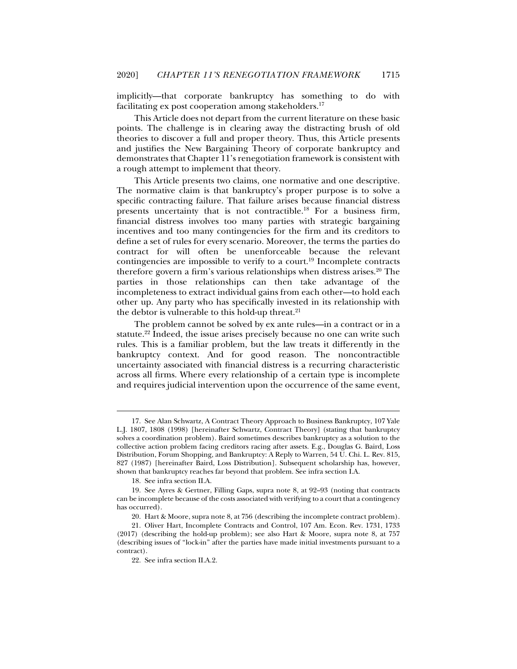implicitly—that corporate bankruptcy has something to do with facilitating ex post cooperation among stakeholders.<sup>17</sup>

This Article does not depart from the current literature on these basic points. The challenge is in clearing away the distracting brush of old theories to discover a full and proper theory. Thus, this Article presents and justifies the New Bargaining Theory of corporate bankruptcy and demonstrates that Chapter 11's renegotiation framework is consistent with a rough attempt to implement that theory.

This Article presents two claims, one normative and one descriptive. The normative claim is that bankruptcy's proper purpose is to solve a specific contracting failure. That failure arises because financial distress presents uncertainty that is not contractible.18 For a business firm, financial distress involves too many parties with strategic bargaining incentives and too many contingencies for the firm and its creditors to define a set of rules for every scenario. Moreover, the terms the parties do contract for will often be unenforceable because the relevant contingencies are impossible to verify to a court.<sup>19</sup> Incomplete contracts therefore govern a firm's various relationships when distress arises.<sup>20</sup> The parties in those relationships can then take advantage of the incompleteness to extract individual gains from each other—to hold each other up. Any party who has specifically invested in its relationship with the debtor is vulnerable to this hold-up threat. $21$ 

The problem cannot be solved by ex ante rules—in a contract or in a statute.<sup>22</sup> Indeed, the issue arises precisely because no one can write such rules. This is a familiar problem, but the law treats it differently in the bankruptcy context. And for good reason. The noncontractible uncertainty associated with financial distress is a recurring characteristic across all firms. Where every relationship of a certain type is incomplete and requires judicial intervention upon the occurrence of the same event,

 <sup>17.</sup> See Alan Schwartz, A Contract Theory Approach to Business Bankruptcy, 107 Yale L.J. 1807, 1808 (1998) [hereinafter Schwartz, Contract Theory] (stating that bankruptcy solves a coordination problem). Baird sometimes describes bankruptcy as a solution to the collective action problem facing creditors racing after assets. E.g., Douglas G. Baird, Loss Distribution, Forum Shopping, and Bankruptcy: A Reply to Warren, 54 U. Chi. L. Rev. 815, 827 (1987) [hereinafter Baird, Loss Distribution]. Subsequent scholarship has, however, shown that bankruptcy reaches far beyond that problem. See infra section I.A.

 <sup>18.</sup> See infra section II.A.

 <sup>19.</sup> See Ayres & Gertner, Filling Gaps, supra note 8, at 92–93 (noting that contracts can be incomplete because of the costs associated with verifying to a court that a contingency has occurred).

 <sup>20.</sup> Hart & Moore, supra note 8, at 756 (describing the incomplete contract problem).

 <sup>21.</sup> Oliver Hart, Incomplete Contracts and Control, 107 Am. Econ. Rev. 1731, 1733 (2017) (describing the hold-up problem); see also Hart & Moore, supra note 8, at 757 (describing issues of "lock-in" after the parties have made initial investments pursuant to a contract).

 <sup>22.</sup> See infra section II.A.2.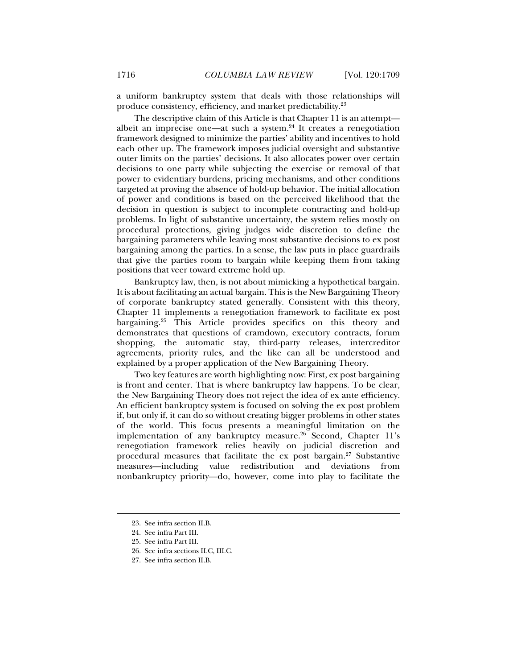a uniform bankruptcy system that deals with those relationships will produce consistency, efficiency, and market predictability.23

The descriptive claim of this Article is that Chapter 11 is an attempt albeit an imprecise one—at such a system. $24$  It creates a renegotiation framework designed to minimize the parties' ability and incentives to hold each other up. The framework imposes judicial oversight and substantive outer limits on the parties' decisions. It also allocates power over certain decisions to one party while subjecting the exercise or removal of that power to evidentiary burdens, pricing mechanisms, and other conditions targeted at proving the absence of hold-up behavior. The initial allocation of power and conditions is based on the perceived likelihood that the decision in question is subject to incomplete contracting and hold-up problems. In light of substantive uncertainty, the system relies mostly on procedural protections, giving judges wide discretion to define the bargaining parameters while leaving most substantive decisions to ex post bargaining among the parties. In a sense, the law puts in place guardrails that give the parties room to bargain while keeping them from taking positions that veer toward extreme hold up.

Bankruptcy law, then, is not about mimicking a hypothetical bargain. It is about facilitating an actual bargain. This is the New Bargaining Theory of corporate bankruptcy stated generally. Consistent with this theory, Chapter 11 implements a renegotiation framework to facilitate ex post bargaining.25 This Article provides specifics on this theory and demonstrates that questions of cramdown, executory contracts, forum shopping, the automatic stay, third-party releases, intercreditor agreements, priority rules, and the like can all be understood and explained by a proper application of the New Bargaining Theory.

Two key features are worth highlighting now: First, ex post bargaining is front and center. That is where bankruptcy law happens. To be clear, the New Bargaining Theory does not reject the idea of ex ante efficiency. An efficient bankruptcy system is focused on solving the ex post problem if, but only if, it can do so without creating bigger problems in other states of the world. This focus presents a meaningful limitation on the implementation of any bankruptcy measure.<sup>26</sup> Second, Chapter 11's renegotiation framework relies heavily on judicial discretion and procedural measures that facilitate the ex post bargain. $27$  Substantive measures—including value redistribution and deviations from nonbankruptcy priority—do, however, come into play to facilitate the

 <sup>23.</sup> See infra section II.B.

 <sup>24.</sup> See infra Part III.

 <sup>25.</sup> See infra Part III.

 <sup>26.</sup> See infra sections II.C, III.C.

 <sup>27.</sup> See infra section II.B.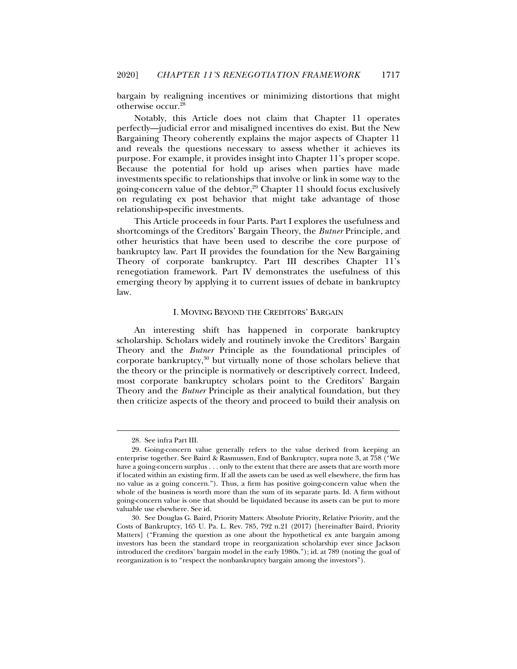bargain by realigning incentives or minimizing distortions that might otherwise occur.28

Notably, this Article does not claim that Chapter 11 operates perfectly—judicial error and misaligned incentives do exist. But the New Bargaining Theory coherently explains the major aspects of Chapter 11 and reveals the questions necessary to assess whether it achieves its purpose. For example, it provides insight into Chapter 11's proper scope. Because the potential for hold up arises when parties have made investments specific to relationships that involve or link in some way to the going-concern value of the debtor, $29$  Chapter 11 should focus exclusively on regulating ex post behavior that might take advantage of those relationship-specific investments.

This Article proceeds in four Parts. Part I explores the usefulness and shortcomings of the Creditors' Bargain Theory, the *Butner* Principle, and other heuristics that have been used to describe the core purpose of bankruptcy law. Part II provides the foundation for the New Bargaining Theory of corporate bankruptcy. Part III describes Chapter 11's renegotiation framework. Part IV demonstrates the usefulness of this emerging theory by applying it to current issues of debate in bankruptcy law.

#### I. MOVING BEYOND THE CREDITORS' BARGAIN

An interesting shift has happened in corporate bankruptcy scholarship. Scholars widely and routinely invoke the Creditors' Bargain Theory and the *Butner* Principle as the foundational principles of corporate bankruptcy,30 but virtually none of those scholars believe that the theory or the principle is normatively or descriptively correct. Indeed, most corporate bankruptcy scholars point to the Creditors' Bargain Theory and the *Butner* Principle as their analytical foundation, but they then criticize aspects of the theory and proceed to build their analysis on

 <sup>28.</sup> See infra Part III.

 <sup>29.</sup> Going-concern value generally refers to the value derived from keeping an enterprise together. See Baird & Rasmussen, End of Bankruptcy, supra note 3, at 758 ("We have a going-concern surplus . . . only to the extent that there are assets that are worth more if located within an existing firm. If all the assets can be used as well elsewhere, the firm has no value as a going concern."). Thus, a firm has positive going-concern value when the whole of the business is worth more than the sum of its separate parts. Id. A firm without going-concern value is one that should be liquidated because its assets can be put to more valuable use elsewhere. See id.

 <sup>30.</sup> See Douglas G. Baird, Priority Matters: Absolute Priority, Relative Priority, and the Costs of Bankruptcy, 165 U. Pa. L. Rev. 785, 792 n.21 (2017) [hereinafter Baird, Priority Matters] ("Framing the question as one about the hypothetical ex ante bargain among investors has been the standard trope in reorganization scholarship ever since Jackson introduced the creditors' bargain model in the early 1980s."); id. at 789 (noting the goal of reorganization is to "respect the nonbankruptcy bargain among the investors").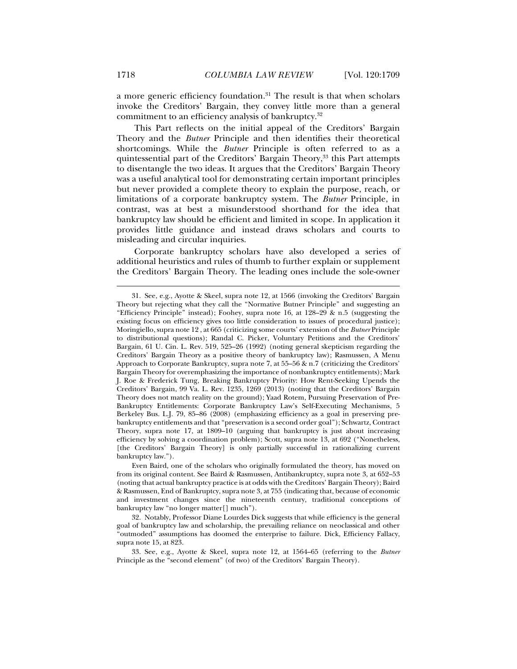a more generic efficiency foundation.31 The result is that when scholars invoke the Creditors' Bargain, they convey little more than a general commitment to an efficiency analysis of bankruptcy.32

This Part reflects on the initial appeal of the Creditors' Bargain Theory and the *Butner* Principle and then identifies their theoretical shortcomings. While the *Butner* Principle is often referred to as a quintessential part of the Creditors' Bargain Theory,<sup>33</sup> this Part attempts to disentangle the two ideas. It argues that the Creditors' Bargain Theory was a useful analytical tool for demonstrating certain important principles but never provided a complete theory to explain the purpose, reach, or limitations of a corporate bankruptcy system. The *Butner* Principle, in contrast, was at best a misunderstood shorthand for the idea that bankruptcy law should be efficient and limited in scope. In application it provides little guidance and instead draws scholars and courts to misleading and circular inquiries.

Corporate bankruptcy scholars have also developed a series of additional heuristics and rules of thumb to further explain or supplement the Creditors' Bargain Theory. The leading ones include the sole-owner

 <sup>31.</sup> See, e.g., Ayotte & Skeel, supra note 12, at 1566 (invoking the Creditors' Bargain Theory but rejecting what they call the "Normative Butner Principle" and suggesting an "Efficiency Principle" instead); Foohey, supra note 16, at  $128-29$  & n.5 (suggesting the existing focus on efficiency gives too little consideration to issues of procedural justice); Moringiello, supra note 12 , at 665 (criticizing some courts' extension of the *Butner* Principle to distributional questions); Randal C. Picker, Voluntary Petitions and the Creditors' Bargain, 61 U. Cin. L. Rev. 519, 525–26 (1992) (noting general skepticism regarding the Creditors' Bargain Theory as a positive theory of bankruptcy law); Rasmussen, A Menu Approach to Corporate Bankruptcy, supra note 7, at 55–56 & n.7 (criticizing the Creditors' Bargain Theory for overemphasizing the importance of nonbankruptcy entitlements); Mark J. Roe & Frederick Tung, Breaking Bankruptcy Priority: How Rent-Seeking Upends the Creditors' Bargain, 99 Va. L. Rev. 1235, 1269 (2013) (noting that the Creditors' Bargain Theory does not match reality on the ground); Yaad Rotem, Pursuing Preservation of Pre-Bankruptcy Entitlements: Corporate Bankruptcy Law's Self-Executing Mechanisms, 5 Berkeley Bus. L.J. 79, 85–86 (2008) (emphasizing efficiency as a goal in preserving prebankruptcy entitlements and that "preservation is a second order goal"); Schwartz, Contract Theory, supra note 17, at 1809–10 (arguing that bankruptcy is just about increasing efficiency by solving a coordination problem); Scott, supra note 13, at 692 ("Nonetheless, [the Creditors' Bargain Theory] is only partially successful in rationalizing current bankruptcy law.").

Even Baird, one of the scholars who originally formulated the theory, has moved on from its original content. See Baird & Rasmussen, Antibankruptcy, supra note 3, at 652–53 (noting that actual bankruptcy practice is at odds with the Creditors' Bargain Theory); Baird & Rasmussen, End of Bankruptcy, supra note 3, at 755 (indicating that, because of economic and investment changes since the nineteenth century, traditional conceptions of bankruptcy law "no longer matter[] much").

 <sup>32.</sup> Notably, Professor Diane Lourdes Dick suggests that while efficiency is the general goal of bankruptcy law and scholarship, the prevailing reliance on neoclassical and other "outmoded" assumptions has doomed the enterprise to failure. Dick, Efficiency Fallacy, supra note 15, at 823.

 <sup>33.</sup> See, e.g., Ayotte & Skeel, supra note 12, at 1564–65 (referring to the *Butner* Principle as the "second element" (of two) of the Creditors' Bargain Theory).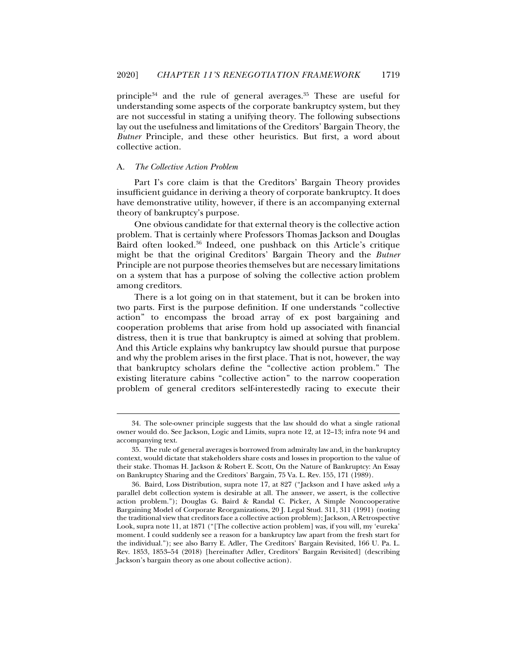principle34 and the rule of general averages.35 These are useful for understanding some aspects of the corporate bankruptcy system, but they are not successful in stating a unifying theory. The following subsections lay out the usefulness and limitations of the Creditors' Bargain Theory, the *Butner* Principle, and these other heuristics. But first, a word about collective action.

#### A. *The Collective Action Problem*

j

Part I's core claim is that the Creditors' Bargain Theory provides insufficient guidance in deriving a theory of corporate bankruptcy. It does have demonstrative utility, however, if there is an accompanying external theory of bankruptcy's purpose.

One obvious candidate for that external theory is the collective action problem. That is certainly where Professors Thomas Jackson and Douglas Baird often looked.36 Indeed, one pushback on this Article's critique might be that the original Creditors' Bargain Theory and the *Butner* Principle are not purpose theories themselves but are necessary limitations on a system that has a purpose of solving the collective action problem among creditors.

There is a lot going on in that statement, but it can be broken into two parts. First is the purpose definition. If one understands "collective action" to encompass the broad array of ex post bargaining and cooperation problems that arise from hold up associated with financial distress, then it is true that bankruptcy is aimed at solving that problem. And this Article explains why bankruptcy law should pursue that purpose and why the problem arises in the first place. That is not, however, the way that bankruptcy scholars define the "collective action problem." The existing literature cabins "collective action" to the narrow cooperation problem of general creditors self-interestedly racing to execute their

 <sup>34.</sup> The sole-owner principle suggests that the law should do what a single rational owner would do. See Jackson, Logic and Limits, supra note 12, at 12–13; infra note 94 and accompanying text.

 <sup>35.</sup> The rule of general averages is borrowed from admiralty law and, in the bankruptcy context, would dictate that stakeholders share costs and losses in proportion to the value of their stake. Thomas H. Jackson & Robert E. Scott, On the Nature of Bankruptcy: An Essay on Bankruptcy Sharing and the Creditors' Bargain, 75 Va. L. Rev. 155, 171 (1989).

 <sup>36.</sup> Baird, Loss Distribution, supra note 17, at 827 ("Jackson and I have asked *why* a parallel debt collection system is desirable at all. The answer, we assert, is the collective action problem."); Douglas G. Baird & Randal C. Picker, A Simple Noncooperative Bargaining Model of Corporate Reorganizations, 20 J. Legal Stud. 311, 311 (1991) (noting the traditional view that creditors face a collective action problem); Jackson, A Retrospective Look, supra note 11, at 1871 ("[The collective action problem] was, if you will, my 'eureka' moment. I could suddenly see a reason for a bankruptcy law apart from the fresh start for the individual."); see also Barry E. Adler, The Creditors' Bargain Revisited, 166 U. Pa. L. Rev. 1853, 1853–54 (2018) [hereinafter Adler, Creditors' Bargain Revisited] (describing Jackson's bargain theory as one about collective action).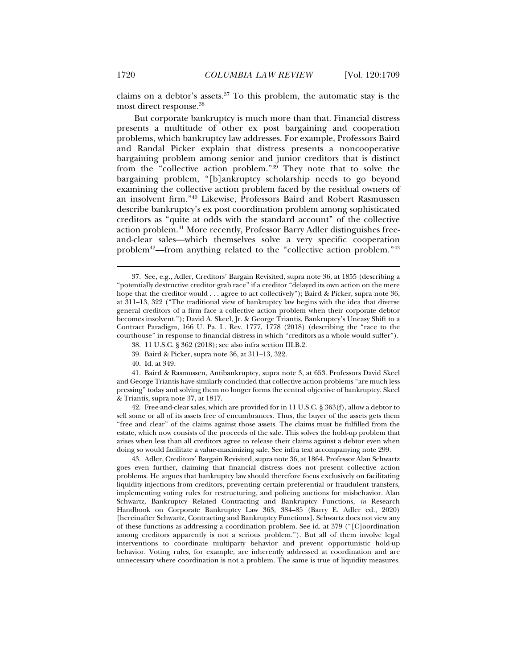claims on a debtor's assets. $37$  To this problem, the automatic stay is the most direct response.38

But corporate bankruptcy is much more than that. Financial distress presents a multitude of other ex post bargaining and cooperation problems, which bankruptcy law addresses. For example, Professors Baird and Randal Picker explain that distress presents a noncooperative bargaining problem among senior and junior creditors that is distinct from the "collective action problem."39 They note that to solve the bargaining problem, "[b]ankruptcy scholarship needs to go beyond examining the collective action problem faced by the residual owners of an insolvent firm."40 Likewise, Professors Baird and Robert Rasmussen describe bankruptcy's ex post coordination problem among sophisticated creditors as "quite at odds with the standard account" of the collective action problem.41 More recently, Professor Barry Adler distinguishes freeand-clear sales—which themselves solve a very specific cooperation problem<sup>42</sup>—from anything related to the "collective action problem."<sup>43</sup>

- 39. Baird & Picker, supra note 36, at 311–13, 322.
- 40. Id. at 349.

 42. Free-and-clear sales, which are provided for in 11 U.S.C. § 363(f), allow a debtor to sell some or all of its assets free of encumbrances. Thus, the buyer of the assets gets them "free and clear" of the claims against those assets. The claims must be fulfilled from the estate, which now consists of the proceeds of the sale. This solves the hold-up problem that arises when less than all creditors agree to release their claims against a debtor even when doing so would facilitate a value-maximizing sale. See infra text accompanying note 299.

 43. Adler, Creditors' Bargain Revisited, supra note 36, at 1864. Professor Alan Schwartz goes even further, claiming that financial distress does not present collective action problems. He argues that bankruptcy law should therefore focus exclusively on facilitating liquidity injections from creditors, preventing certain preferential or fraudulent transfers, implementing voting rules for restructuring, and policing auctions for misbehavior. Alan Schwartz, Bankruptcy Related Contracting and Bankruptcy Functions, *in* Research Handbook on Corporate Bankruptcy Law 363, 384–85 (Barry E. Adler ed., 2020) [hereinafter Schwartz, Contracting and Bankruptcy Functions]. Schwartz does not view any of these functions as addressing a coordination problem. See id. at 379 ("[C]oordination among creditors apparently is not a serious problem."). But all of them involve legal interventions to coordinate multiparty behavior and prevent opportunistic hold-up behavior. Voting rules, for example, are inherently addressed at coordination and are unnecessary where coordination is not a problem. The same is true of liquidity measures.

 <sup>37.</sup> See, e.g., Adler, Creditors' Bargain Revisited, supra note 36, at 1855 (describing a "potentially destructive creditor grab race" if a creditor "delayed its own action on the mere hope that the creditor would . . . agree to act collectively"); Baird & Picker, supra note 36, at 311–13, 322 ("The traditional view of bankruptcy law begins with the idea that diverse general creditors of a firm face a collective action problem when their corporate debtor becomes insolvent."); David A. Skeel, Jr. & George Triantis, Bankruptcy's Uneasy Shift to a Contract Paradigm, 166 U. Pa. L. Rev. 1777, 1778 (2018) (describing the "race to the courthouse" in response to financial distress in which "creditors as a whole would suffer").

 <sup>38. 11</sup> U.S.C. § 362 (2018); see also infra section III.B.2.

 <sup>41.</sup> Baird & Rasmussen, Antibankruptcy, supra note 3, at 653. Professors David Skeel and George Triantis have similarly concluded that collective action problems "are much less pressing" today and solving them no longer forms the central objective of bankruptcy. Skeel & Triantis, supra note 37, at 1817.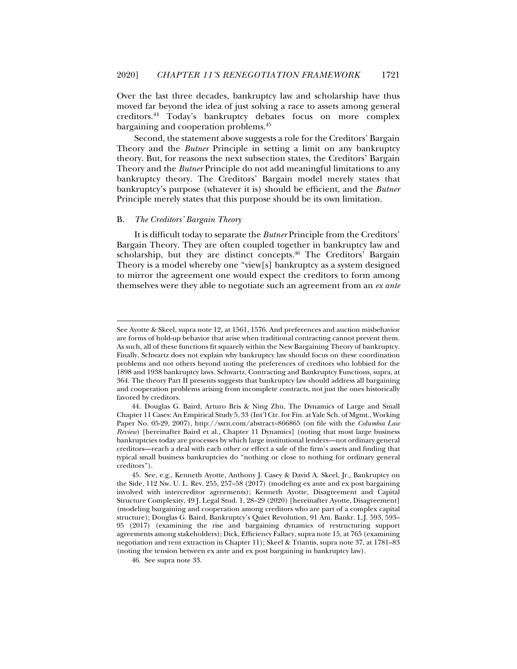Over the last three decades, bankruptcy law and scholarship have thus moved far beyond the idea of just solving a race to assets among general creditors.44 Today's bankruptcy debates focus on more complex bargaining and cooperation problems.45

Second, the statement above suggests a role for the Creditors' Bargain Theory and the *Butner* Principle in setting a limit on any bankruptcy theory. But, for reasons the next subsection states, the Creditors' Bargain Theory and the *Butner* Principle do not add meaningful limitations to any bankruptcy theory. The Creditors' Bargain model merely states that bankruptcy's purpose (whatever it is) should be efficient, and the *Butner* Principle merely states that this purpose should be its own limitation.

#### B. *The Creditors' Bargain Theory*

j

It is difficult today to separate the *Butner* Principle from the Creditors' Bargain Theory. They are often coupled together in bankruptcy law and scholarship, but they are distinct concepts.<sup>46</sup> The Creditors' Bargain Theory is a model whereby one "view[s] bankruptcy as a system designed to mirror the agreement one would expect the creditors to form among themselves were they able to negotiate such an agreement from an *ex ante*

See Ayotte & Skeel, supra note 12, at 1561, 1576. And preferences and auction misbehavior are forms of hold-up behavior that arise when traditional contracting cannot prevent them. As such, all of these functions fit squarely within the New Bargaining Theory of bankruptcy. Finally, Schwartz does not explain why bankruptcy law should focus on these coordination problems and not others beyond noting the preferences of creditors who lobbied for the 1898 and 1938 bankruptcy laws. Schwartz, Contracting and Bankruptcy Functions, supra, at 364. The theory Part II presents suggests that bankruptcy law should address all bargaining and cooperation problems arising from incomplete contracts, not just the ones historically favored by creditors.

 <sup>44.</sup> Douglas G. Baird, Arturo Bris & Ning Zhu, The Dynamics of Large and Small Chapter 11 Cases: An Empirical Study 5, 33 (Int'l Ctr. for Fin. at Yale Sch. of Mgmt., Working Paper No. 05-29, 2007), http://ssrn.com/abstract=866865 (on file with the *Columbia Law Review*) [hereinafter Baird et al., Chapter 11 Dynamics] (noting that most large business bankruptcies today are processes by which large institutional lenders—not ordinary general creditors—reach a deal with each other or effect a sale of the firm's assets and finding that typical small business bankruptcies do "nothing or close to nothing for ordinary general creditors").

 <sup>45.</sup> See, e.g., Kenneth Ayotte, Anthony J. Casey & David A. Skeel, Jr., Bankruptcy on the Side, 112 Nw. U. L. Rev. 255, 257–58 (2017) (modeling ex ante and ex post bargaining involved with intercreditor agreements); Kenneth Ayotte, Disagreement and Capital Structure Complexity, 49 J. Legal Stud. 1, 28–29 (2020) [hereinafter Ayotte, Disagreement] (modeling bargaining and cooperation among creditors who are part of a complex capital structure); Douglas G. Baird, Bankruptcy's Quiet Revolution, 91 Am. Bankr. L.J. 593, 593– 95 (2017) (examining the rise and bargaining dynamics of restructuring support agreements among stakeholders); Dick, Efficiency Fallacy, supra note 15, at 765 (examining negotiation and rent extraction in Chapter 11); Skeel & Triantis, supra note 37, at 1781–83 (noting the tension between ex ante and ex post bargaining in bankruptcy law).

 <sup>46.</sup> See supra note 33.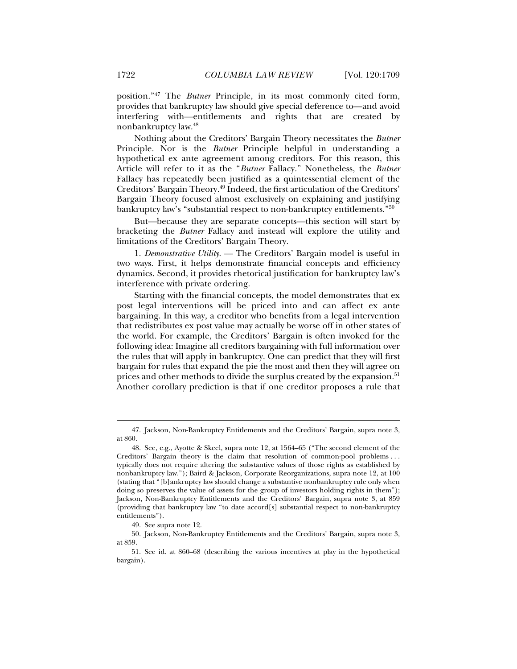position."47 The *Butner* Principle, in its most commonly cited form, provides that bankruptcy law should give special deference to—and avoid interfering with—entitlements and rights that are created by nonbankruptcy law.48

Nothing about the Creditors' Bargain Theory necessitates the *Butner* Principle. Nor is the *Butner* Principle helpful in understanding a hypothetical ex ante agreement among creditors. For this reason, this Article will refer to it as the "*Butner* Fallacy." Nonetheless, the *Butner* Fallacy has repeatedly been justified as a quintessential element of the Creditors' Bargain Theory.49 Indeed, the first articulation of the Creditors' Bargain Theory focused almost exclusively on explaining and justifying bankruptcy law's "substantial respect to non-bankruptcy entitlements."50

But—because they are separate concepts—this section will start by bracketing the *Butner* Fallacy and instead will explore the utility and limitations of the Creditors' Bargain Theory.

1. *Demonstrative Utility*. — The Creditors' Bargain model is useful in two ways. First, it helps demonstrate financial concepts and efficiency dynamics. Second, it provides rhetorical justification for bankruptcy law's interference with private ordering.

Starting with the financial concepts, the model demonstrates that ex post legal interventions will be priced into and can affect ex ante bargaining. In this way, a creditor who benefits from a legal intervention that redistributes ex post value may actually be worse off in other states of the world. For example, the Creditors' Bargain is often invoked for the following idea: Imagine all creditors bargaining with full information over the rules that will apply in bankruptcy. One can predict that they will first bargain for rules that expand the pie the most and then they will agree on prices and other methods to divide the surplus created by the expansion.<sup>51</sup> Another corollary prediction is that if one creditor proposes a rule that

 <sup>47.</sup> Jackson, Non-Bankruptcy Entitlements and the Creditors' Bargain, supra note 3, at 860.

 <sup>48.</sup> See, e.g., Ayotte & Skeel, supra note 12, at 1564–65 ("The second element of the Creditors' Bargain theory is the claim that resolution of common-pool problems . . . typically does not require altering the substantive values of those rights as established by nonbankruptcy law."); Baird & Jackson, Corporate Reorganizations, supra note 12, at 100 (stating that "[b]ankruptcy law should change a substantive nonbankruptcy rule only when doing so preserves the value of assets for the group of investors holding rights in them"); Jackson, Non-Bankruptcy Entitlements and the Creditors' Bargain, supra note 3, at 859 (providing that bankruptcy law "to date accord[s] substantial respect to non-bankruptcy entitlements").

 <sup>49.</sup> See supra note 12.

 <sup>50.</sup> Jackson, Non-Bankruptcy Entitlements and the Creditors' Bargain, supra note 3, at 859.

 <sup>51.</sup> See id. at 860–68 (describing the various incentives at play in the hypothetical bargain).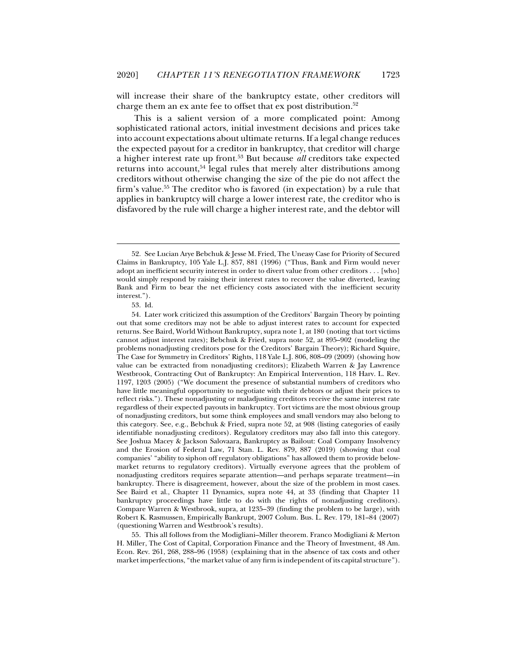will increase their share of the bankruptcy estate, other creditors will charge them an ex ante fee to offset that ex post distribution.52

This is a salient version of a more complicated point: Among sophisticated rational actors, initial investment decisions and prices take into account expectations about ultimate returns. If a legal change reduces the expected payout for a creditor in bankruptcy, that creditor will charge a higher interest rate up front.53 But because *all* creditors take expected returns into account,<sup>54</sup> legal rules that merely alter distributions among creditors without otherwise changing the size of the pie do not affect the firm's value.55 The creditor who is favored (in expectation) by a rule that applies in bankruptcy will charge a lower interest rate, the creditor who is disfavored by the rule will charge a higher interest rate, and the debtor will

j

 55. This all follows from the Modigliani–Miller theorem. Franco Modigliani & Merton H. Miller, The Cost of Capital, Corporation Finance and the Theory of Investment, 48 Am. Econ. Rev. 261, 268, 288–96 (1958) (explaining that in the absence of tax costs and other market imperfections, "the market value of any firm is independent of its capital structure").

 <sup>52.</sup> See Lucian Arye Bebchuk & Jesse M. Fried, The Uneasy Case for Priority of Secured Claims in Bankruptcy, 105 Yale L.J. 857, 881 (1996) ("Thus, Bank and Firm would never adopt an inefficient security interest in order to divert value from other creditors . . . [who] would simply respond by raising their interest rates to recover the value diverted, leaving Bank and Firm to bear the net efficiency costs associated with the inefficient security interest.").

 <sup>53.</sup> Id.

 <sup>54.</sup> Later work criticized this assumption of the Creditors' Bargain Theory by pointing out that some creditors may not be able to adjust interest rates to account for expected returns. See Baird, World Without Bankruptcy, supra note 1, at 180 (noting that tort victims cannot adjust interest rates); Bebchuk & Fried, supra note 52, at 895–902 (modeling the problems nonadjusting creditors pose for the Creditors' Bargain Theory); Richard Squire, The Case for Symmetry in Creditors' Rights, 118 Yale L.J. 806, 808–09 (2009) (showing how value can be extracted from nonadjusting creditors); Elizabeth Warren & Jay Lawrence Westbrook, Contracting Out of Bankruptcy: An Empirical Intervention, 118 Harv. L. Rev. 1197, 1203 (2005) ("We document the presence of substantial numbers of creditors who have little meaningful opportunity to negotiate with their debtors or adjust their prices to reflect risks."). These nonadjusting or maladjusting creditors receive the same interest rate regardless of their expected payouts in bankruptcy. Tort victims are the most obvious group of nonadjusting creditors, but some think employees and small vendors may also belong to this category. See, e.g., Bebchuk & Fried, supra note 52, at 908 (listing categories of easily identifiable nonadjusting creditors). Regulatory creditors may also fall into this category. See Joshua Macey & Jackson Salovaara, Bankruptcy as Bailout: Coal Company Insolvency and the Erosion of Federal Law, 71 Stan. L. Rev. 879, 887 (2019) (showing that coal companies' "ability to siphon off regulatory obligations" has allowed them to provide belowmarket returns to regulatory creditors). Virtually everyone agrees that the problem of nonadjusting creditors requires separate attention—and perhaps separate treatment—in bankruptcy. There is disagreement, however, about the size of the problem in most cases. See Baird et al., Chapter 11 Dynamics, supra note 44, at 33 (finding that Chapter 11 bankruptcy proceedings have little to do with the rights of nonadjusting creditors). Compare Warren & Westbrook, supra, at 1235–39 (finding the problem to be large), with Robert K. Rasmussen, Empirically Bankrupt, 2007 Colum. Bus. L. Rev. 179, 181–84 (2007) (questioning Warren and Westbrook's results).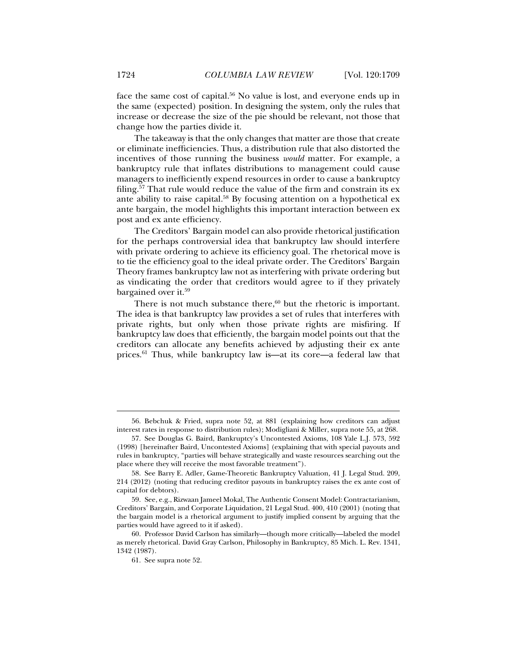face the same cost of capital.<sup>56</sup> No value is lost, and everyone ends up in the same (expected) position. In designing the system, only the rules that increase or decrease the size of the pie should be relevant, not those that change how the parties divide it.

The takeaway is that the only changes that matter are those that create or eliminate inefficiencies. Thus, a distribution rule that also distorted the incentives of those running the business *would* matter. For example, a bankruptcy rule that inflates distributions to management could cause managers to inefficiently expend resources in order to cause a bankruptcy filing.57 That rule would reduce the value of the firm and constrain its ex ante ability to raise capital.<sup>58</sup> By focusing attention on a hypothetical  $ex$ ante bargain, the model highlights this important interaction between ex post and ex ante efficiency.

The Creditors' Bargain model can also provide rhetorical justification for the perhaps controversial idea that bankruptcy law should interfere with private ordering to achieve its efficiency goal. The rhetorical move is to tie the efficiency goal to the ideal private order. The Creditors' Bargain Theory frames bankruptcy law not as interfering with private ordering but as vindicating the order that creditors would agree to if they privately bargained over it.59

There is not much substance there, $60$  but the rhetoric is important. The idea is that bankruptcy law provides a set of rules that interferes with private rights, but only when those private rights are misfiring. If bankruptcy law does that efficiently, the bargain model points out that the creditors can allocate any benefits achieved by adjusting their ex ante prices.61 Thus, while bankruptcy law is—at its core—a federal law that

 <sup>56.</sup> Bebchuk & Fried, supra note 52, at 881 (explaining how creditors can adjust interest rates in response to distribution rules); Modigliani & Miller, supra note 55, at 268.

 <sup>57.</sup> See Douglas G. Baird, Bankruptcy's Uncontested Axioms, 108 Yale L.J. 573, 592 (1998) [hereinafter Baird, Uncontested Axioms] (explaining that with special payouts and rules in bankruptcy, "parties will behave strategically and waste resources searching out the place where they will receive the most favorable treatment").

 <sup>58.</sup> See Barry E. Adler, Game-Theoretic Bankruptcy Valuation*,* 41 J. Legal Stud. 209, 214 (2012) (noting that reducing creditor payouts in bankruptcy raises the ex ante cost of capital for debtors).

 <sup>59.</sup> See, e.g., Rizwaan Jameel Mokal, The Authentic Consent Model: Contractarianism, Creditors' Bargain, and Corporate Liquidation, 21 Legal Stud. 400, 410 (2001) (noting that the bargain model is a rhetorical argument to justify implied consent by arguing that the parties would have agreed to it if asked).

 <sup>60.</sup> Professor David Carlson has similarly—though more critically—labeled the model as merely rhetorical. David Gray Carlson, Philosophy in Bankruptcy, 85 Mich. L. Rev. 1341, 1342 (1987).

 <sup>61.</sup> See supra note 52.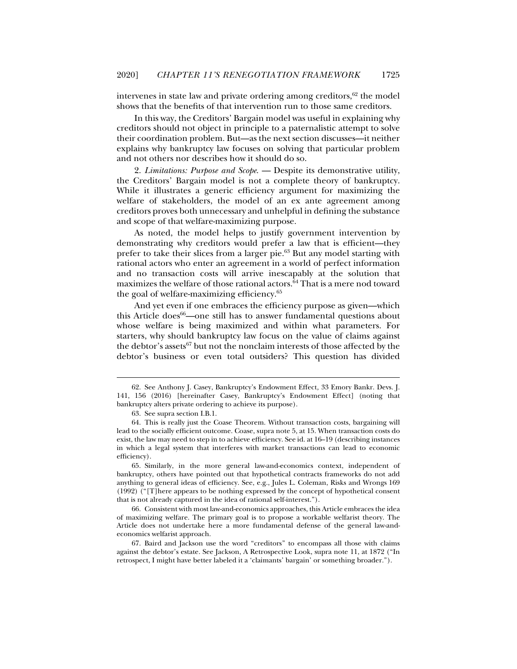intervenes in state law and private ordering among creditors, $62$  the model shows that the benefits of that intervention run to those same creditors.

In this way, the Creditors' Bargain model was useful in explaining why creditors should not object in principle to a paternalistic attempt to solve their coordination problem. But—as the next section discusses—it neither explains why bankruptcy law focuses on solving that particular problem and not others nor describes how it should do so.

2. *Limitations: Purpose and Scope*. — Despite its demonstrative utility, the Creditors' Bargain model is not a complete theory of bankruptcy. While it illustrates a generic efficiency argument for maximizing the welfare of stakeholders, the model of an ex ante agreement among creditors proves both unnecessary and unhelpful in defining the substance and scope of that welfare-maximizing purpose.

As noted, the model helps to justify government intervention by demonstrating why creditors would prefer a law that is efficient—they prefer to take their slices from a larger pie.63 But any model starting with rational actors who enter an agreement in a world of perfect information and no transaction costs will arrive inescapably at the solution that maximizes the welfare of those rational actors.64 That is a mere nod toward the goal of welfare-maximizing efficiency.65

And yet even if one embraces the efficiency purpose as given—which this Article does $66$ —one still has to answer fundamental questions about whose welfare is being maximized and within what parameters. For starters, why should bankruptcy law focus on the value of claims against the debtor's assets $^{67}$  but not the nonclaim interests of those affected by the debtor's business or even total outsiders? This question has divided

j

 66. Consistent with most law-and-economics approaches, this Article embraces the idea of maximizing welfare. The primary goal is to propose a workable welfarist theory. The Article does not undertake here a more fundamental defense of the general law-andeconomics welfarist approach.

 67. Baird and Jackson use the word "creditors" to encompass all those with claims against the debtor's estate. See Jackson, A Retrospective Look, supra note 11, at 1872 ("In retrospect, I might have better labeled it a 'claimants' bargain' or something broader.").

 <sup>62.</sup> See Anthony J. Casey, Bankruptcy's Endowment Effect*,* 33 Emory Bankr. Devs. J. 141, 156 (2016) [hereinafter Casey, Bankruptcy's Endowment Effect] (noting that bankruptcy alters private ordering to achieve its purpose).

 <sup>63.</sup> See supra section I.B.1.

 <sup>64.</sup> This is really just the Coase Theorem. Without transaction costs, bargaining will lead to the socially efficient outcome. Coase, supra note 5, at 15. When transaction costs do exist, the law may need to step in to achieve efficiency. See id. at 16–19 (describing instances in which a legal system that interferes with market transactions can lead to economic efficiency).

 <sup>65.</sup> Similarly, in the more general law-and-economics context, independent of bankruptcy, others have pointed out that hypothetical contracts frameworks do not add anything to general ideas of efficiency. See, e.g., Jules L. Coleman, Risks and Wrongs 169 (1992) ("[T]here appears to be nothing expressed by the concept of hypothetical consent that is not already captured in the idea of rational self-interest.").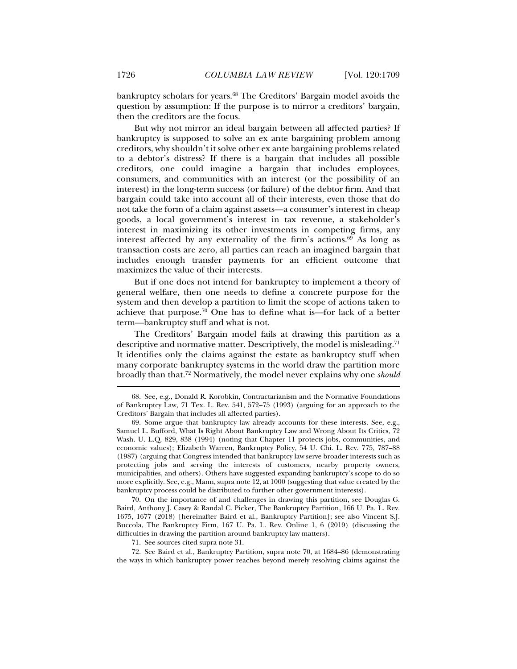bankruptcy scholars for years.68 The Creditors' Bargain model avoids the question by assumption: If the purpose is to mirror a creditors' bargain, then the creditors are the focus.

But why not mirror an ideal bargain between all affected parties? If bankruptcy is supposed to solve an ex ante bargaining problem among creditors, why shouldn't it solve other ex ante bargaining problems related to a debtor's distress? If there is a bargain that includes all possible creditors, one could imagine a bargain that includes employees, consumers, and communities with an interest (or the possibility of an interest) in the long-term success (or failure) of the debtor firm. And that bargain could take into account all of their interests, even those that do not take the form of a claim against assets—a consumer's interest in cheap goods, a local government's interest in tax revenue, a stakeholder's interest in maximizing its other investments in competing firms, any interest affected by any externality of the firm's actions.<sup>69</sup> As long as transaction costs are zero, all parties can reach an imagined bargain that includes enough transfer payments for an efficient outcome that maximizes the value of their interests.

But if one does not intend for bankruptcy to implement a theory of general welfare, then one needs to define a concrete purpose for the system and then develop a partition to limit the scope of actions taken to achieve that purpose.<sup>70</sup> One has to define what is—for lack of a better term—bankruptcy stuff and what is not.

The Creditors' Bargain model fails at drawing this partition as a descriptive and normative matter. Descriptively, the model is misleading.<sup>71</sup> It identifies only the claims against the estate as bankruptcy stuff when many corporate bankruptcy systems in the world draw the partition more broadly than that.72 Normatively, the model never explains why one *should*

 70. On the importance of and challenges in drawing this partition, see Douglas G. Baird, Anthony J. Casey & Randal C. Picker, The Bankruptcy Partition, 166 U. Pa. L. Rev. 1675, 1677 (2018) [hereinafter Baird et al., Bankruptcy Partition]; see also Vincent S.J. Buccola, The Bankruptcy Firm, 167 U. Pa. L. Rev. Online 1, 6 (2019) (discussing the difficulties in drawing the partition around bankruptcy law matters).

71. See sources cited supra note 31.

 72. See Baird et al., Bankruptcy Partition, supra note 70, at 1684–86 (demonstrating the ways in which bankruptcy power reaches beyond merely resolving claims against the

 <sup>68.</sup> See, e.g., Donald R. Korobkin, Contractarianism and the Normative Foundations of Bankruptcy Law*,* 71 Tex. L. Rev. 541, 572–75 (1993) (arguing for an approach to the Creditors' Bargain that includes all affected parties).

 <sup>69.</sup> Some argue that bankruptcy law already accounts for these interests. See, e.g., Samuel L. Bufford, What Is Right About Bankruptcy Law and Wrong About Its Critics, 72 Wash. U. L.Q. 829, 838 (1994) (noting that Chapter 11 protects jobs, communities, and economic values); Elizabeth Warren, Bankruptcy Policy, 54 U. Chi. L. Rev. 775, 787–88 (1987) (arguing that Congress intended that bankruptcy law serve broader interests such as protecting jobs and serving the interests of customers, nearby property owners, municipalities, and others). Others have suggested expanding bankruptcy's scope to do so more explicitly. See, e.g., Mann, supra note 12, at 1000 (suggesting that value created by the bankruptcy process could be distributed to further other government interests).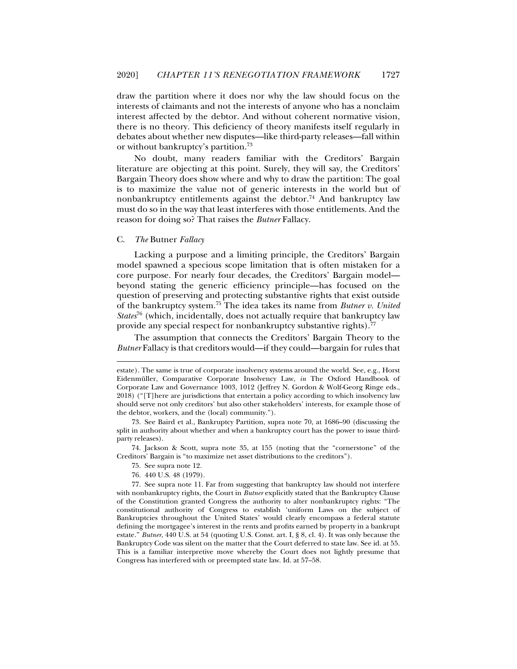draw the partition where it does nor why the law should focus on the interests of claimants and not the interests of anyone who has a nonclaim interest affected by the debtor. And without coherent normative vision, there is no theory. This deficiency of theory manifests itself regularly in debates about whether new disputes—like third-party releases—fall within or without bankruptcy's partition.73

No doubt, many readers familiar with the Creditors' Bargain literature are objecting at this point. Surely, they will say, the Creditors' Bargain Theory does show where and why to draw the partition: The goal is to maximize the value not of generic interests in the world but of nonbankruptcy entitlements against the debtor.<sup>74</sup> And bankruptcy law must do so in the way that least interferes with those entitlements. And the reason for doing so? That raises the *Butner* Fallacy.

#### C. *The* Butner *Fallacy*

j

Lacking a purpose and a limiting principle, the Creditors' Bargain model spawned a specious scope limitation that is often mistaken for a core purpose. For nearly four decades, the Creditors' Bargain model beyond stating the generic efficiency principle—has focused on the question of preserving and protecting substantive rights that exist outside of the bankruptcy system.75 The idea takes its name from *Butner v. United States*<sup>76</sup> (which, incidentally, does not actually require that bankruptcy law provide any special respect for nonbankruptcy substantive rights).<sup>77</sup>

The assumption that connects the Creditors' Bargain Theory to the *Butner* Fallacy is that creditors would—if they could—bargain for rules that

 74. Jackson & Scott, supra note 35, at 155 (noting that the "cornerstone" of the Creditors' Bargain is "to maximize net asset distributions to the creditors").

- 75. See supra note 12.
- 76. 440 U.S. 48 (1979).

estate). The same is true of corporate insolvency systems around the world. See, e.g., Horst Eidenmüller, Comparative Corporate Insolvency Law, *in* The Oxford Handbook of Corporate Law and Governance 1003, 1012 (Jeffrey N. Gordon & Wolf-Georg Ringe eds., 2018) ("[T]here are jurisdictions that entertain a policy according to which insolvency law should serve not only creditors' but also other stakeholders' interests, for example those of the debtor, workers, and the (local) community.").

 <sup>73.</sup> See Baird et al., Bankruptcy Partition, supra note 70, at 1686–90 (discussing the split in authority about whether and when a bankruptcy court has the power to issue thirdparty releases).

 <sup>77.</sup> See supra note 11. Far from suggesting that bankruptcy law should not interfere with nonbankruptcy rights, the Court in *Butner* explicitly stated that the Bankruptcy Clause of the Constitution granted Congress the authority to alter nonbankruptcy rights: "The constitutional authority of Congress to establish 'uniform Laws on the subject of Bankruptcies throughout the United States' would clearly encompass a federal statute defining the mortgagee's interest in the rents and profits earned by property in a bankrupt estate." *Butner*, 440 U.S. at 54 (quoting U.S. Const. art. I, § 8, cl. 4). It was only because the Bankruptcy Code was silent on the matter that the Court deferred to state law. See id. at 55. This is a familiar interpretive move whereby the Court does not lightly presume that Congress has interfered with or preempted state law. Id. at 57–58.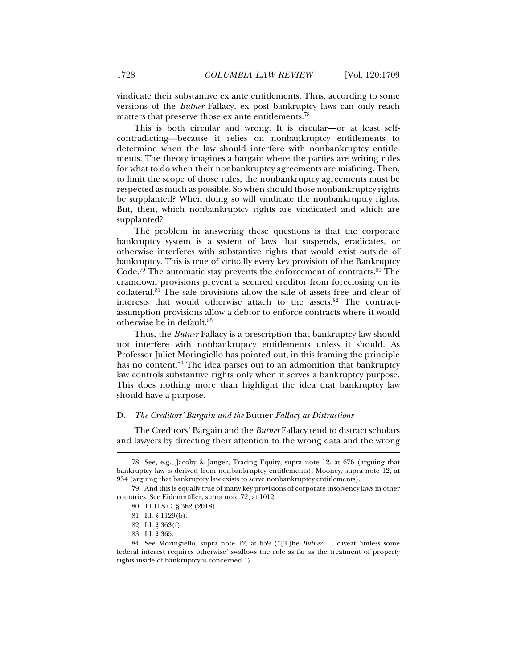vindicate their substantive ex ante entitlements. Thus, according to some versions of the *Butner* Fallacy, ex post bankruptcy laws can only reach matters that preserve those ex ante entitlements.<sup>78</sup>

This is both circular and wrong. It is circular—or at least selfcontradicting—because it relies on nonbankruptcy entitlements to determine when the law should interfere with nonbankruptcy entitlements. The theory imagines a bargain where the parties are writing rules for what to do when their nonbankruptcy agreements are misfiring. Then, to limit the scope of those rules, the nonbankruptcy agreements must be respected as much as possible. So when should those nonbankruptcy rights be supplanted? When doing so will vindicate the nonbankruptcy rights. But, then, which nonbankruptcy rights are vindicated and which are supplanted?

The problem in answering these questions is that the corporate bankruptcy system is a system of laws that suspends, eradicates, or otherwise interferes with substantive rights that would exist outside of bankruptcy. This is true of virtually every key provision of the Bankruptcy Code.<sup>79</sup> The automatic stay prevents the enforcement of contracts. $80$  The cramdown provisions prevent a secured creditor from foreclosing on its collateral.81 The sale provisions allow the sale of assets free and clear of interests that would otherwise attach to the assets.<sup>82</sup> The contractassumption provisions allow a debtor to enforce contracts where it would otherwise be in default.83

Thus, the *Butner* Fallacy is a prescription that bankruptcy law should not interfere with nonbankruptcy entitlements unless it should. As Professor Juliet Moringiello has pointed out, in this framing the principle has no content.<sup>84</sup> The idea parses out to an admonition that bankruptcy law controls substantive rights only when it serves a bankruptcy purpose. This does nothing more than highlight the idea that bankruptcy law should have a purpose.

#### D. *The Creditors' Bargain and the* Butner *Fallacy as Distractions*

The Creditors' Bargain and the *Butner* Fallacy tend to distract scholars and lawyers by directing their attention to the wrong data and the wrong

 <sup>78.</sup> See, e.g., Jacoby & Janger, Tracing Equity, supra note 12, at 676 (arguing that bankruptcy law is derived from nonbankruptcy entitlements); Mooney, supra note 12, at 934 (arguing that bankruptcy law exists to serve nonbankruptcy entitlements).

 <sup>79.</sup> And this is equally true of many key provisions of corporate insolvency laws in other countries. See Eidenmüller, supra note 72, at 1012.

 <sup>80. 11</sup> U.S.C. § 362 (2018).

 <sup>81.</sup> Id. § 1129(b).

 <sup>82.</sup> Id. § 363(f).

 <sup>83.</sup> Id. § 365.

 <sup>84.</sup> See Moringiello, supra note 12, at 659 ("[T]he *Butner . . .* caveat 'unless some federal interest requires otherwise' swallows the rule as far as the treatment of property rights inside of bankruptcy is concerned.").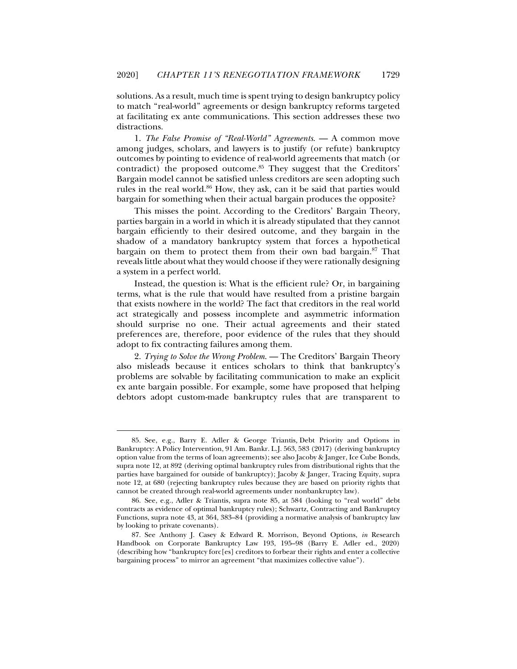solutions. As a result, much time is spent trying to design bankruptcy policy to match "real-world" agreements or design bankruptcy reforms targeted at facilitating ex ante communications. This section addresses these two distractions.

1. *The False Promise of "Real-World" Agreements*. — A common move among judges, scholars, and lawyers is to justify (or refute) bankruptcy outcomes by pointing to evidence of real-world agreements that match (or contradict) the proposed outcome.<sup>85</sup> They suggest that the Creditors' Bargain model cannot be satisfied unless creditors are seen adopting such rules in the real world. $86$  How, they ask, can it be said that parties would bargain for something when their actual bargain produces the opposite?

This misses the point. According to the Creditors' Bargain Theory, parties bargain in a world in which it is already stipulated that they cannot bargain efficiently to their desired outcome, and they bargain in the shadow of a mandatory bankruptcy system that forces a hypothetical bargain on them to protect them from their own bad bargain.87 That reveals little about what they would choose if they were rationally designing a system in a perfect world.

Instead, the question is: What is the efficient rule? Or, in bargaining terms, what is the rule that would have resulted from a pristine bargain that exists nowhere in the world? The fact that creditors in the real world act strategically and possess incomplete and asymmetric information should surprise no one. Their actual agreements and their stated preferences are, therefore, poor evidence of the rules that they should adopt to fix contracting failures among them.

2. *Trying to Solve the Wrong Problem*. — The Creditors' Bargain Theory also misleads because it entices scholars to think that bankruptcy's problems are solvable by facilitating communication to make an explicit ex ante bargain possible. For example, some have proposed that helping debtors adopt custom-made bankruptcy rules that are transparent to

 <sup>85.</sup> See, e.g., Barry E. Adler & George Triantis*,* Debt Priority and Options in Bankruptcy: A Policy Intervention, 91 Am. Bankr. L.J. 563, 583 (2017) (deriving bankruptcy option value from the terms of loan agreements); see also Jacoby & Janger, Ice Cube Bonds, supra note 12, at 892 (deriving optimal bankruptcy rules from distributional rights that the parties have bargained for outside of bankruptcy); Jacoby & Janger, Tracing Equity, supra note 12, at 680 (rejecting bankruptcy rules because they are based on priority rights that cannot be created through real-world agreements under nonbankruptcy law).

 <sup>86.</sup> See, e.g., Adler & Triantis, supra note 85, at 584 (looking to "real world" debt contracts as evidence of optimal bankruptcy rules); Schwartz, Contracting and Bankruptcy Functions, supra note 43, at 364, 383–84 (providing a normative analysis of bankruptcy law by looking to private covenants).

 <sup>87.</sup> See Anthony J. Casey & Edward R. Morrison, Beyond Options, *in* Research Handbook on Corporate Bankruptcy Law 193, 195–98 (Barry E. Adler ed., 2020) (describing how "bankruptcy forc[es] creditors to forbear their rights and enter a collective bargaining process" to mirror an agreement "that maximizes collective value").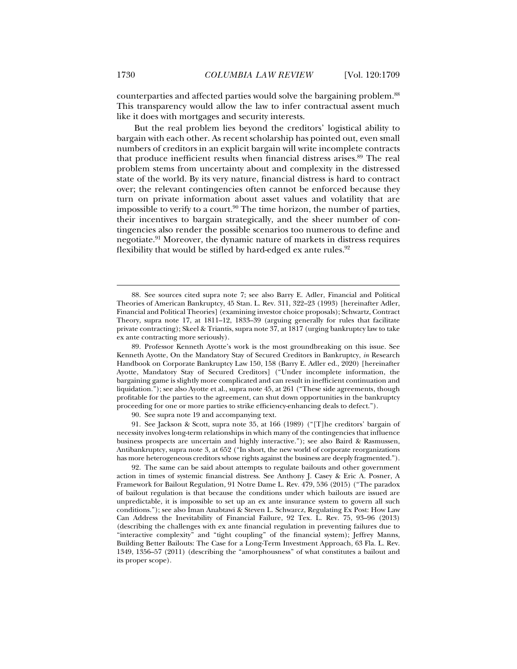counterparties and affected parties would solve the bargaining problem.<sup>88</sup> This transparency would allow the law to infer contractual assent much like it does with mortgages and security interests.

But the real problem lies beyond the creditors' logistical ability to bargain with each other. As recent scholarship has pointed out, even small numbers of creditors in an explicit bargain will write incomplete contracts that produce inefficient results when financial distress arises.<sup>89</sup> The real problem stems from uncertainty about and complexity in the distressed state of the world. By its very nature, financial distress is hard to contract over; the relevant contingencies often cannot be enforced because they turn on private information about asset values and volatility that are impossible to verify to a court.<sup>90</sup> The time horizon, the number of parties, their incentives to bargain strategically, and the sheer number of contingencies also render the possible scenarios too numerous to define and negotiate.91 Moreover, the dynamic nature of markets in distress requires flexibility that would be stifled by hard-edged ex ante rules.<sup>92</sup>

90. See supra note 19 and accompanying text.

 91. See Jackson & Scott, supra note 35, at 166 (1989) ("[T]he creditors' bargain of necessity involves long-term relationships in which many of the contingencies that influence business prospects are uncertain and highly interactive."); see also Baird & Rasmussen, Antibankruptcy, supra note 3, at 652 ("In short, the new world of corporate reorganizations has more heterogeneous creditors whose rights against the business are deeply fragmented.").

 92. The same can be said about attempts to regulate bailouts and other government action in times of systemic financial distress. See Anthony J. Casey & Eric A. Posner, A Framework for Bailout Regulation*,* 91 Notre Dame L. Rev. 479, 536 (2015) ("The paradox of bailout regulation is that because the conditions under which bailouts are issued are unpredictable, it is impossible to set up an ex ante insurance system to govern all such conditions."); see also Iman Anabtawi & Steven L. Schwarcz, Regulating Ex Post: How Law Can Address the Inevitability of Financial Failure, 92 Tex. L. Rev. 75, 93–96 (2013) (describing the challenges with ex ante financial regulation in preventing failures due to "interactive complexity" and "tight coupling" of the financial system); Jeffrey Manns, Building Better Bailouts: The Case for a Long-Term Investment Approach, 63 Fla. L. Rev. 1349, 1356–57 (2011) (describing the "amorphousness" of what constitutes a bailout and its proper scope).

 <sup>88.</sup> See sources cited supra note 7; see also Barry E. Adler, Financial and Political Theories of American Bankruptcy, 45 Stan. L. Rev. 311, 322–23 (1993) [hereinafter Adler, Financial and Political Theories] (examining investor choice proposals); Schwartz, Contract Theory, supra note 17, at 1811–12, 1833–39 (arguing generally for rules that facilitate private contracting); Skeel & Triantis, supra note 37, at 1817 (urging bankruptcy law to take ex ante contracting more seriously).

 <sup>89.</sup> Professor Kenneth Ayotte's work is the most groundbreaking on this issue. See Kenneth Ayotte, On the Mandatory Stay of Secured Creditors in Bankruptcy, *in* Research Handbook on Corporate Bankruptcy Law 150, 158 (Barry E. Adler ed., 2020) [hereinafter Ayotte, Mandatory Stay of Secured Creditors] ("Under incomplete information, the bargaining game is slightly more complicated and can result in inefficient continuation and liquidation."); see also Ayotte et al., supra note 45, at 261 ("These side agreements, though profitable for the parties to the agreement, can shut down opportunities in the bankruptcy proceeding for one or more parties to strike efficiency-enhancing deals to defect.").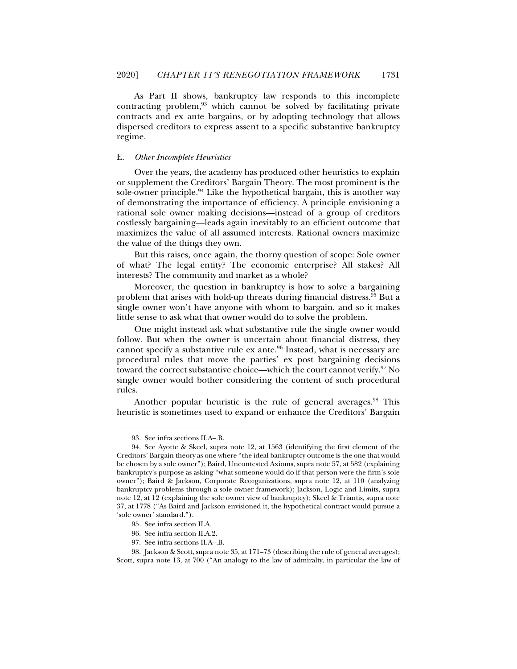As Part II shows, bankruptcy law responds to this incomplete contracting problem, $93$  which cannot be solved by facilitating private contracts and ex ante bargains, or by adopting technology that allows dispersed creditors to express assent to a specific substantive bankruptcy regime.

#### E. *Other Incomplete Heuristics*

Over the years, the academy has produced other heuristics to explain or supplement the Creditors' Bargain Theory. The most prominent is the sole-owner principle.94 Like the hypothetical bargain, this is another way of demonstrating the importance of efficiency. A principle envisioning a rational sole owner making decisions—instead of a group of creditors costlessly bargaining—leads again inevitably to an efficient outcome that maximizes the value of all assumed interests. Rational owners maximize the value of the things they own.

But this raises, once again, the thorny question of scope: Sole owner of what? The legal entity? The economic enterprise? All stakes? All interests? The community and market as a whole?

Moreover, the question in bankruptcy is how to solve a bargaining problem that arises with hold-up threats during financial distress.95 But a single owner won't have anyone with whom to bargain, and so it makes little sense to ask what that owner would do to solve the problem.

One might instead ask what substantive rule the single owner would follow. But when the owner is uncertain about financial distress, they cannot specify a substantive rule  $ex$  ante.<sup>96</sup> Instead, what is necessary are procedural rules that move the parties' ex post bargaining decisions toward the correct substantive choice—which the court cannot verify.<sup>97</sup> No single owner would bother considering the content of such procedural rules.

Another popular heuristic is the rule of general averages.<sup>98</sup> This heuristic is sometimes used to expand or enhance the Creditors' Bargain

 <sup>93.</sup> See infra sections II.A–.B.

 <sup>94.</sup> See Ayotte & Skeel, supra note 12, at 1563 (identifying the first element of the Creditors' Bargain theory as one where "the ideal bankruptcy outcome is the one that would be chosen by a sole owner"); Baird, Uncontested Axioms, supra note 57, at 582 (explaining bankruptcy's purpose as asking "what someone would do if that person were the firm's sole owner"); Baird & Jackson, Corporate Reorganizations, supra note 12, at 110 (analyzing bankruptcy problems through a sole owner framework); Jackson, Logic and Limits, supra note 12, at 12 (explaining the sole owner view of bankruptcy); Skeel & Triantis, supra note 37, at 1778 ("As Baird and Jackson envisioned it, the hypothetical contract would pursue a 'sole owner' standard.").

 <sup>95.</sup> See infra section II.A.

 <sup>96.</sup> See infra section II.A.2.

 <sup>97.</sup> See infra sections II.A–.B.

 <sup>98.</sup> Jackson & Scott, supra note 35, at 171–73 (describing the rule of general averages); Scott, supra note 13, at 700 ("An analogy to the law of admiralty, in particular the law of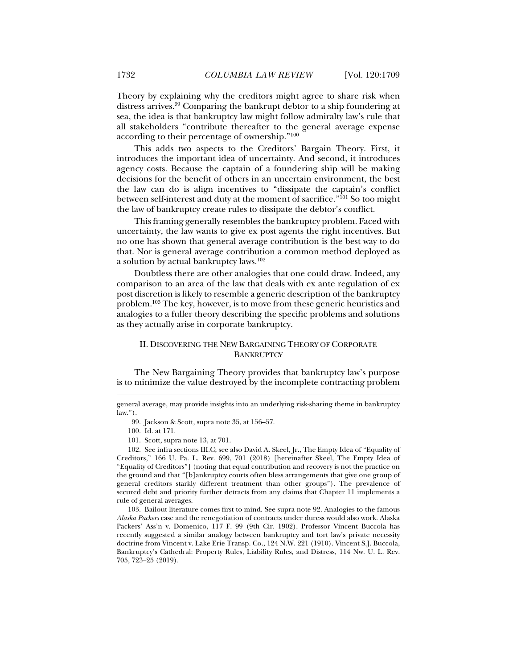Theory by explaining why the creditors might agree to share risk when distress arrives.99 Comparing the bankrupt debtor to a ship foundering at sea, the idea is that bankruptcy law might follow admiralty law's rule that all stakeholders "contribute thereafter to the general average expense according to their percentage of ownership."100

This adds two aspects to the Creditors' Bargain Theory. First, it introduces the important idea of uncertainty. And second, it introduces agency costs. Because the captain of a foundering ship will be making decisions for the benefit of others in an uncertain environment, the best the law can do is align incentives to "dissipate the captain's conflict between self-interest and duty at the moment of sacrifice."<sup>101</sup> So too might the law of bankruptcy create rules to dissipate the debtor's conflict.

This framing generally resembles the bankruptcy problem. Faced with uncertainty, the law wants to give ex post agents the right incentives. But no one has shown that general average contribution is the best way to do that. Nor is general average contribution a common method deployed as a solution by actual bankruptcy laws.102

Doubtless there are other analogies that one could draw. Indeed, any comparison to an area of the law that deals with ex ante regulation of ex post discretion is likely to resemble a generic description of the bankruptcy problem.103 The key, however, is to move from these generic heuristics and analogies to a fuller theory describing the specific problems and solutions as they actually arise in corporate bankruptcy.

#### II. DISCOVERING THE NEW BARGAINING THEORY OF CORPORATE **BANKRUPTCY**

The New Bargaining Theory provides that bankruptcy law's purpose is to minimize the value destroyed by the incomplete contracting problem

j

 103. Bailout literature comes first to mind. See supra note 92. Analogies to the famous *Alaska Packers* case and the renegotiation of contracts under duress would also work. Alaska Packers' Ass'n v. Domenico, 117 F. 99 (9th Cir. 1902). Professor Vincent Buccola has recently suggested a similar analogy between bankruptcy and tort law's private necessity doctrine from Vincent v. Lake Erie Transp. Co., 124 N.W. 221 (1910). Vincent S.J. Buccola, Bankruptcy's Cathedral: Property Rules, Liability Rules, and Distress, 114 Nw. U. L. Rev. 705, 723–25 (2019).

general average, may provide insights into an underlying risk-sharing theme in bankruptcy law.").

 <sup>99.</sup> Jackson & Scott, supra note 35, at 156–57.

 <sup>100.</sup> Id. at 171.

 <sup>101.</sup> Scott, supra note 13, at 701.

 <sup>102.</sup> See infra sections III.C; see also David A. Skeel, Jr., The Empty Idea of "Equality of Creditors," 166 U. Pa. L. Rev. 699, 701 (2018) [hereinafter Skeel, The Empty Idea of "Equality of Creditors"] (noting that equal contribution and recovery is not the practice on the ground and that "[b]ankruptcy courts often bless arrangements that give one group of general creditors starkly different treatment than other groups"). The prevalence of secured debt and priority further detracts from any claims that Chapter 11 implements a rule of general averages.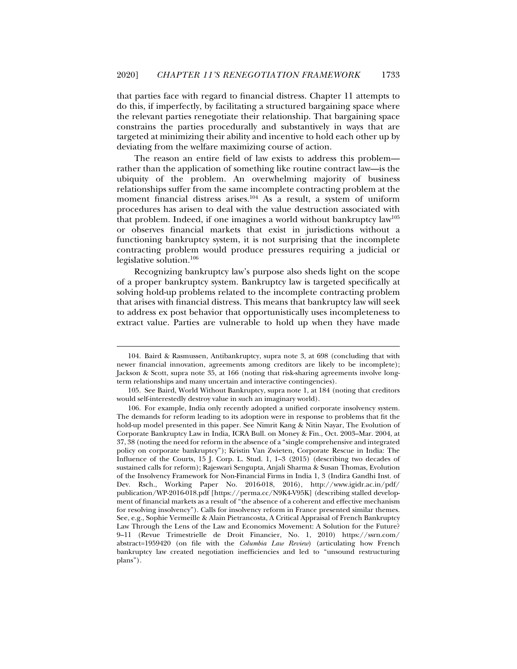that parties face with regard to financial distress. Chapter 11 attempts to do this, if imperfectly, by facilitating a structured bargaining space where the relevant parties renegotiate their relationship. That bargaining space constrains the parties procedurally and substantively in ways that are targeted at minimizing their ability and incentive to hold each other up by deviating from the welfare maximizing course of action.

The reason an entire field of law exists to address this problem rather than the application of something like routine contract law—is the ubiquity of the problem. An overwhelming majority of business relationships suffer from the same incomplete contracting problem at the moment financial distress arises.<sup>104</sup> As a result, a system of uniform procedures has arisen to deal with the value destruction associated with that problem. Indeed, if one imagines a world without bankruptcy  $law^{105}$ or observes financial markets that exist in jurisdictions without a functioning bankruptcy system, it is not surprising that the incomplete contracting problem would produce pressures requiring a judicial or legislative solution.106

Recognizing bankruptcy law's purpose also sheds light on the scope of a proper bankruptcy system. Bankruptcy law is targeted specifically at solving hold-up problems related to the incomplete contracting problem that arises with financial distress. This means that bankruptcy law will seek to address ex post behavior that opportunistically uses incompleteness to extract value. Parties are vulnerable to hold up when they have made

 <sup>104.</sup> Baird & Rasmussen, Antibankruptcy, supra note 3, at 698 (concluding that with newer financial innovation, agreements among creditors are likely to be incomplete); Jackson & Scott, supra note 35, at 166 (noting that risk-sharing agreements involve longterm relationships and many uncertain and interactive contingencies).

 <sup>105.</sup> See Baird, World Without Bankruptcy, supra note 1, at 184 (noting that creditors would self-interestedly destroy value in such an imaginary world).

 <sup>106.</sup> For example, India only recently adopted a unified corporate insolvency system. The demands for reform leading to its adoption were in response to problems that fit the hold-up model presented in this paper. See Nimrit Kang & Nitin Nayar, The Evolution of Corporate Bankruptcy Law in India, ICRA Bull. on Money & Fin., Oct. 2003–Mar. 2004, at 37, 38 (noting the need for reform in the absence of a "single comprehensive and integrated policy on corporate bankruptcy"); Kristin Van Zwieten*,* Corporate Rescue in India: The Influence of the Courts, 15 J. Corp. L. Stud. 1, 1–3 (2015) (describing two decades of sustained calls for reform); Rajeswari Sengupta, Anjali Sharma & Susan Thomas, Evolution of the Insolvency Framework for Non-Financial Firms in India 1, 3 (Indira Gandhi Inst. of Dev. Rsch., Working Paper No. 2016-018, 2016), http://www.igidr.ac.in/pdf/ publication/WP-2016-018.pdf [https://perma.cc/N9K4-V95K] (describing stalled development of financial markets as a result of "the absence of a coherent and effective mechanism for resolving insolvency"). Calls for insolvency reform in France presented similar themes. See, e.g., Sophie Vermeille & Alain Pietrancosta, A Critical Appraisal of French Bankruptcy Law Through the Lens of the Law and Economics Movement: A Solution for the Future? 9–11 (Revue Trimestrielle de Droit Financier, No. 1, 2010) https://ssrn.com/ abstract=1959420 (on file with the *Columbia Law Review*) (articulating how French bankruptcy law created negotiation inefficiencies and led to "unsound restructuring plans").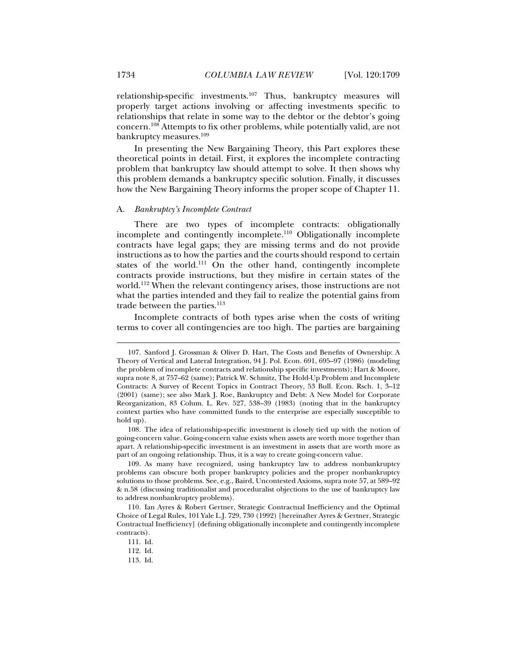relationship-specific investments.107 Thus, bankruptcy measures will properly target actions involving or affecting investments specific to relationships that relate in some way to the debtor or the debtor's going concern.108 Attempts to fix other problems, while potentially valid, are not bankruptcy measures.109

In presenting the New Bargaining Theory, this Part explores these theoretical points in detail. First, it explores the incomplete contracting problem that bankruptcy law should attempt to solve. It then shows why this problem demands a bankruptcy specific solution. Finally, it discusses how the New Bargaining Theory informs the proper scope of Chapter 11.

#### A. *Bankruptcy's Incomplete Contract*

There are two types of incomplete contracts: obligationally incomplete and contingently incomplete.<sup>110</sup> Obligationally incomplete contracts have legal gaps; they are missing terms and do not provide instructions as to how the parties and the courts should respond to certain states of the world.<sup>111</sup> On the other hand, contingently incomplete contracts provide instructions, but they misfire in certain states of the world.112 When the relevant contingency arises, those instructions are not what the parties intended and they fail to realize the potential gains from trade between the parties.<sup>113</sup>

Incomplete contracts of both types arise when the costs of writing terms to cover all contingencies are too high. The parties are bargaining

 <sup>107.</sup> Sanford J. Grossman & Oliver D. Hart, The Costs and Benefits of Ownership: A Theory of Vertical and Lateral Integration, 94 J. Pol. Econ. 691, 695–97 (1986) (modeling the problem of incomplete contracts and relationship specific investments); Hart & Moore, supra note 8, at 757–62 (same); Patrick W. Schmitz, The Hold-Up Problem and Incomplete Contracts: A Survey of Recent Topics in Contract Theory*,* 53 Bull. Econ. Rsch. 1, 3–12 (2001) (same); see also Mark J. Roe, Bankruptcy and Debt: A New Model for Corporate Reorganization, 83 Colum. L. Rev. 527, 538–39 (1983) (noting that in the bankruptcy context parties who have committed funds to the enterprise are especially susceptible to hold up).

 <sup>108.</sup> The idea of relationship-specific investment is closely tied up with the notion of going-concern value. Going-concern value exists when assets are worth more together than apart. A relationship-specific investment is an investment in assets that are worth more as part of an ongoing relationship. Thus, it is a way to create going-concern value.

 <sup>109.</sup> As many have recognized, using bankruptcy law to address nonbankruptcy problems can obscure both proper bankruptcy policies and the proper nonbankruptcy solutions to those problems. See, e.g., Baird, Uncontested Axioms, supra note 57, at 589–92 & n.58 (discussing traditionalist and proceduralist objections to the use of bankruptcy law to address nonbankruptcy problems).

 <sup>110.</sup> Ian Ayres & Robert Gertner, Strategic Contractual Inefficiency and the Optimal Choice of Legal Rules*,* 101 Yale L.J. 729, 730 (1992) [hereinafter Ayres & Gertner, Strategic Contractual Inefficiency] (defining obligationally incomplete and contingently incomplete contracts).

 <sup>111.</sup> Id.

 <sup>112.</sup> Id.

 <sup>113.</sup> Id.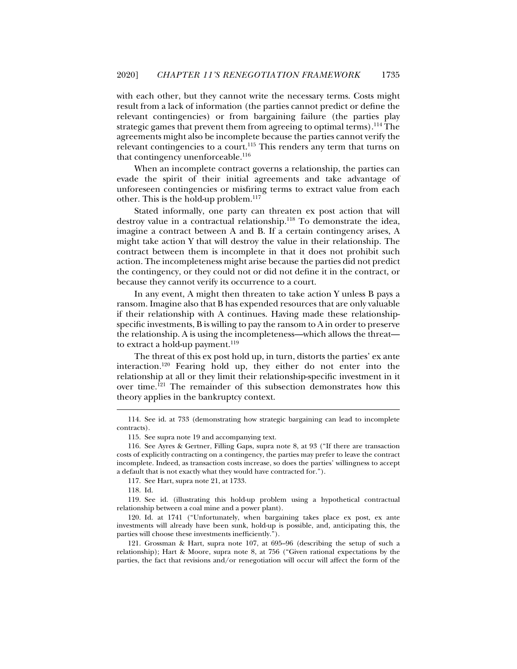with each other, but they cannot write the necessary terms. Costs might result from a lack of information (the parties cannot predict or define the relevant contingencies) or from bargaining failure (the parties play strategic games that prevent them from agreeing to optimal terms).<sup>114</sup> The agreements might also be incomplete because the parties cannot verify the relevant contingencies to a court.<sup>115</sup> This renders any term that turns on that contingency unenforceable.<sup>116</sup>

When an incomplete contract governs a relationship, the parties can evade the spirit of their initial agreements and take advantage of unforeseen contingencies or misfiring terms to extract value from each other. This is the hold-up problem.<sup>117</sup>

Stated informally, one party can threaten ex post action that will destroy value in a contractual relationship.<sup>118</sup> To demonstrate the idea, imagine a contract between A and B. If a certain contingency arises, A might take action Y that will destroy the value in their relationship. The contract between them is incomplete in that it does not prohibit such action. The incompleteness might arise because the parties did not predict the contingency, or they could not or did not define it in the contract, or because they cannot verify its occurrence to a court.

In any event, A might then threaten to take action Y unless B pays a ransom. Imagine also that B has expended resources that are only valuable if their relationship with A continues. Having made these relationshipspecific investments, B is willing to pay the ransom to A in order to preserve the relationship. A is using the incompleteness—which allows the threat to extract a hold-up payment.<sup>119</sup>

The threat of this ex post hold up, in turn, distorts the parties' ex ante interaction.120 Fearing hold up, they either do not enter into the relationship at all or they limit their relationship-specific investment in it over time.<sup>121</sup> The remainder of this subsection demonstrates how this theory applies in the bankruptcy context.

 <sup>114.</sup> See id. at 733 (demonstrating how strategic bargaining can lead to incomplete contracts).

 <sup>115.</sup> See supra note 19 and accompanying text.

 <sup>116.</sup> See Ayres & Gertner, Filling Gaps, supra note 8, at 93 ("If there are transaction costs of explicitly contracting on a contingency, the parties may prefer to leave the contract incomplete. Indeed, as transaction costs increase, so does the parties' willingness to accept a default that is not exactly what they would have contracted for.").

 <sup>117.</sup> See Hart, supra note 21, at 1733.

 <sup>118.</sup> Id.

 <sup>119.</sup> See id. (illustrating this hold-up problem using a hypothetical contractual relationship between a coal mine and a power plant).

 <sup>120.</sup> Id. at 1741 ("Unfortunately, when bargaining takes place ex post, ex ante investments will already have been sunk, hold-up is possible, and, anticipating this, the parties will choose these investments inefficiently.").

 <sup>121.</sup> Grossman & Hart, supra note 107, at 695–96 (describing the setup of such a relationship); Hart & Moore, supra note 8, at 756 ("Given rational expectations by the parties, the fact that revisions and/or renegotiation will occur will affect the form of the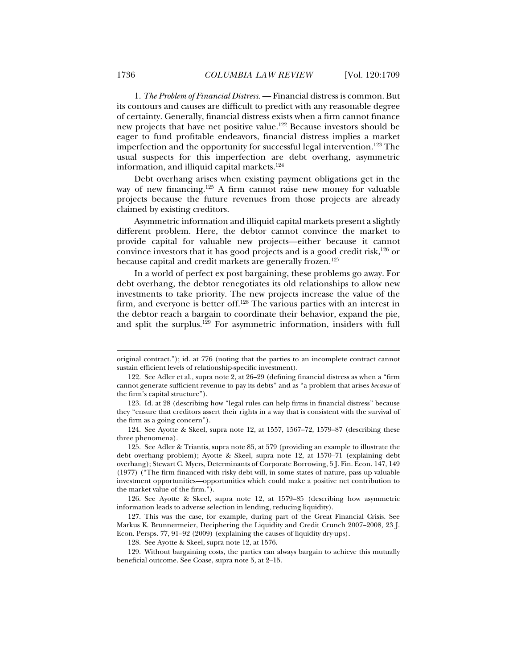1. *The Problem of Financial Distress*. — Financial distress is common. But its contours and causes are difficult to predict with any reasonable degree of certainty. Generally, financial distress exists when a firm cannot finance new projects that have net positive value.122 Because investors should be eager to fund profitable endeavors, financial distress implies a market imperfection and the opportunity for successful legal intervention.<sup>123</sup> The usual suspects for this imperfection are debt overhang, asymmetric information, and illiquid capital markets.124

Debt overhang arises when existing payment obligations get in the way of new financing.<sup>125</sup> A firm cannot raise new money for valuable projects because the future revenues from those projects are already claimed by existing creditors.

Asymmetric information and illiquid capital markets present a slightly different problem. Here, the debtor cannot convince the market to provide capital for valuable new projects—either because it cannot convince investors that it has good projects and is a good credit risk, $126$  or because capital and credit markets are generally frozen.<sup>127</sup>

In a world of perfect ex post bargaining, these problems go away. For debt overhang, the debtor renegotiates its old relationships to allow new investments to take priority. The new projects increase the value of the firm, and everyone is better off.<sup>128</sup> The various parties with an interest in the debtor reach a bargain to coordinate their behavior, expand the pie, and split the surplus.129 For asymmetric information, insiders with full

 126. See Ayotte & Skeel, supra note 12, at 1579–85 (describing how asymmetric information leads to adverse selection in lending, reducing liquidity).

original contract."); id. at 776 (noting that the parties to an incomplete contract cannot sustain efficient levels of relationship-specific investment).

 <sup>122.</sup> See Adler et al., supra note 2, at 26–29 (defining financial distress as when a "firm cannot generate sufficient revenue to pay its debts" and as "a problem that arises *because* of the firm's capital structure").

 <sup>123.</sup> Id. at 28 (describing how "legal rules can help firms in financial distress" because they "ensure that creditors assert their rights in a way that is consistent with the survival of the firm as a going concern").

 <sup>124.</sup> See Ayotte & Skeel, supra note 12, at 1557, 1567–72, 1579–87 (describing these three phenomena).

 <sup>125.</sup> See Adler & Triantis, supra note 85, at 579 (providing an example to illustrate the debt overhang problem); Ayotte & Skeel, supra note 12, at 1570–71 (explaining debt overhang); Stewart C. Myers, Determinants of Corporate Borrowing, 5 J. Fin. Econ. 147, 149 (1977) ("The firm financed with risky debt will, in some states of nature, pass up valuable investment opportunities—opportunities which could make a positive net contribution to the market value of the firm.").

 <sup>127.</sup> This was the case, for example, during part of the Great Financial Crisis. See Markus K. Brunnermeier, Deciphering the Liquidity and Credit Crunch 2007–2008*,* 23 J. Econ. Persps. 77, 91–92 (2009) (explaining the causes of liquidity dry-ups).

 <sup>128.</sup> See Ayotte & Skeel, supra note 12, at 1576.

 <sup>129.</sup> Without bargaining costs, the parties can always bargain to achieve this mutually beneficial outcome. See Coase, supra note 5, at 2–15.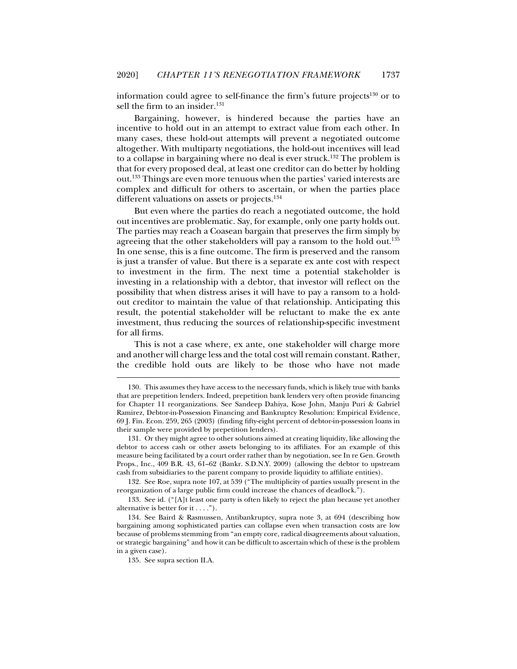information could agree to self-finance the firm's future projects $130$  or to sell the firm to an insider.<sup>131</sup>

Bargaining, however, is hindered because the parties have an incentive to hold out in an attempt to extract value from each other. In many cases, these hold-out attempts will prevent a negotiated outcome altogether. With multiparty negotiations, the hold-out incentives will lead to a collapse in bargaining where no deal is ever struck.<sup>132</sup> The problem is that for every proposed deal, at least one creditor can do better by holding out.133 Things are even more tenuous when the parties' varied interests are complex and difficult for others to ascertain, or when the parties place different valuations on assets or projects.<sup>134</sup>

But even where the parties do reach a negotiated outcome, the hold out incentives are problematic. Say, for example, only one party holds out. The parties may reach a Coasean bargain that preserves the firm simply by agreeing that the other stakeholders will pay a ransom to the hold out.<sup>135</sup> In one sense, this is a fine outcome. The firm is preserved and the ransom is just a transfer of value. But there is a separate ex ante cost with respect to investment in the firm. The next time a potential stakeholder is investing in a relationship with a debtor, that investor will reflect on the possibility that when distress arises it will have to pay a ransom to a holdout creditor to maintain the value of that relationship. Anticipating this result, the potential stakeholder will be reluctant to make the ex ante investment, thus reducing the sources of relationship-specific investment for all firms.

This is not a case where, ex ante, one stakeholder will charge more and another will charge less and the total cost will remain constant. Rather, the credible hold outs are likely to be those who have not made

 132. See Roe, supra note 107, at 539 ("The multiplicity of parties usually present in the reorganization of a large public firm could increase the chances of deadlock.").

 133. See id. ("[A]t least one party is often likely to reject the plan because yet another alternative is better for it . . . .").

 134. See Baird & Rasmussen, Antibankruptcy, supra note 3, at 694 (describing how bargaining among sophisticated parties can collapse even when transaction costs are low because of problems stemming from "an empty core, radical disagreements about valuation, or strategic bargaining" and how it can be difficult to ascertain which of these is the problem in a given case).

 <sup>130.</sup> This assumes they have access to the necessary funds, which is likely true with banks that are prepetition lenders. Indeed, prepetition bank lenders very often provide financing for Chapter 11 reorganizations. See Sandeep Dahiya, Kose John, Manju Puri & Gabriel Ramirez, Debtor-in-Possession Financing and Bankruptcy Resolution: Empirical Evidence, 69 J. Fin. Econ. 259, 265 (2003) (finding fifty-eight percent of debtor-in-possession loans in their sample were provided by prepetition lenders).

 <sup>131.</sup> Or they might agree to other solutions aimed at creating liquidity, like allowing the debtor to access cash or other assets belonging to its affiliates. For an example of this measure being facilitated by a court order rather than by negotiation, see In re Gen. Growth Props., Inc., 409 B.R. 43, 61–62 (Bankr. S.D.N.Y. 2009) (allowing the debtor to upstream cash from subsidiaries to the parent company to provide liquidity to affiliate entities).

 <sup>135.</sup> See supra section II.A.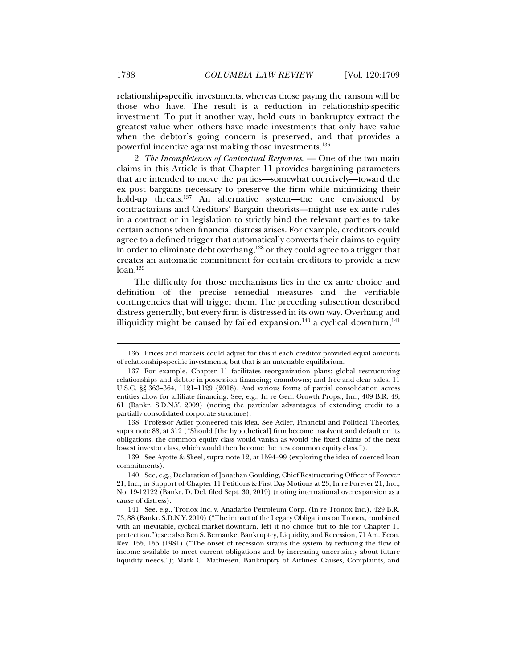relationship-specific investments, whereas those paying the ransom will be those who have. The result is a reduction in relationship-specific investment. To put it another way, hold outs in bankruptcy extract the greatest value when others have made investments that only have value when the debtor's going concern is preserved, and that provides a powerful incentive against making those investments.136

2. *The Incompleteness of Contractual Responses*. — One of the two main claims in this Article is that Chapter 11 provides bargaining parameters that are intended to move the parties—somewhat coercively—toward the ex post bargains necessary to preserve the firm while minimizing their hold-up threats.<sup>137</sup> An alternative system—the one envisioned by contractarians and Creditors' Bargain theorists—might use ex ante rules in a contract or in legislation to strictly bind the relevant parties to take certain actions when financial distress arises. For example, creditors could agree to a defined trigger that automatically converts their claims to equity in order to eliminate debt overhang,<sup>138</sup> or they could agree to a trigger that creates an automatic commitment for certain creditors to provide a new  $loan.<sup>139</sup>$ 

The difficulty for those mechanisms lies in the ex ante choice and definition of the precise remedial measures and the verifiable contingencies that will trigger them. The preceding subsection described distress generally, but every firm is distressed in its own way. Overhang and illiquidity might be caused by failed expansion, $140$  a cyclical downturn, $141$ 

 139. See Ayotte & Skeel, supra note 12, at 1594–99 (exploring the idea of coerced loan commitments).

 <sup>136.</sup> Prices and markets could adjust for this if each creditor provided equal amounts of relationship-specific investments, but that is an untenable equilibrium.

 <sup>137.</sup> For example, Chapter 11 facilitates reorganization plans; global restructuring relationships and debtor-in-possession financing; cramdowns; and free-and-clear sales. 11 U.S.C. §§ 363–364, 1121–1129 (2018). And various forms of partial consolidation across entities allow for affiliate financing. See, e.g., In re Gen. Growth Props., Inc., 409 B.R. 43, 61 (Bankr. S.D.N.Y. 2009) (noting the particular advantages of extending credit to a partially consolidated corporate structure).

 <sup>138.</sup> Professor Adler pioneered this idea. See Adler, Financial and Political Theories, supra note 88, at 312 ("Should [the hypothetical] firm become insolvent and default on its obligations, the common equity class would vanish as would the fixed claims of the next lowest investor class, which would then become the new common equity class.").

 <sup>140.</sup> See, e.g., Declaration of Jonathan Goulding, Chief Restructuring Officer of Forever 21, Inc., in Support of Chapter 11 Petitions & First Day Motions at 23, In re Forever 21, Inc., No. 19-12122 (Bankr. D. Del. filed Sept. 30, 2019) (noting international overexpansion as a cause of distress).

 <sup>141.</sup> See, e.g., Tronox Inc. v. Anadarko Petroleum Corp. (In re Tronox Inc.), 429 B.R. 73, 88 (Bankr. S.D.N.Y. 2010) ("The impact of the Legacy Obligations on Tronox, combined with an inevitable, cyclical market downturn, left it no choice but to file for Chapter 11 protection."); see also Ben S. Bernanke, Bankruptcy, Liquidity, and Recession, 71 Am. Econ. Rev. 155, 155 (1981) ("The onset of recession strains the system by reducing the flow of income available to meet current obligations and by increasing uncertainty about future liquidity needs."); Mark C. Mathiesen, Bankruptcy of Airlines: Causes, Complaints, and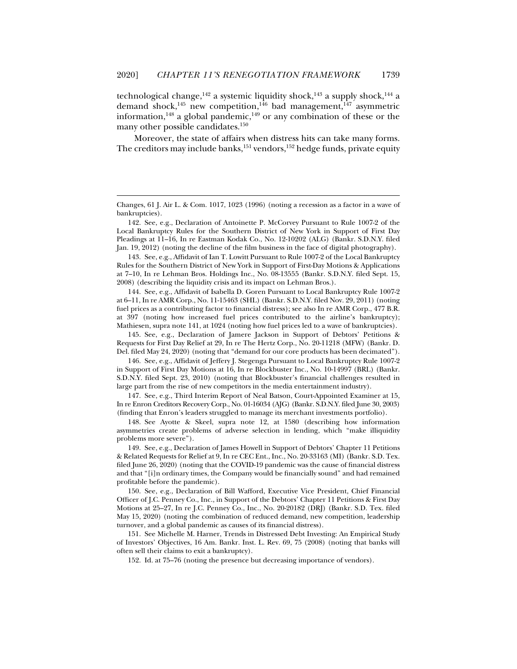technological change,  $142$  a systemic liquidity shock,  $143$  a supply shock,  $144$  a demand shock,<sup>145</sup> new competition,<sup>146</sup> bad management,<sup>147</sup> asymmetric information,<sup>148</sup> a global pandemic,<sup>149</sup> or any combination of these or the many other possible candidates.150

Moreover, the state of affairs when distress hits can take many forms. The creditors may include banks,<sup>151</sup> vendors,<sup>152</sup> hedge funds, private equity

j

 142. See, e.g., Declaration of Antoinette P. McCorvey Pursuant to Rule 1007-2 of the Local Bankruptcy Rules for the Southern District of New York in Support of First Day Pleadings at 11–16, In re Eastman Kodak Co., No. 12-10202 (ALG) (Bankr. S.D.N.Y. filed Jan. 19, 2012) (noting the decline of the film business in the face of digital photography).

 143. See, e.g., Affidavit of Ian T. Lowitt Pursuant to Rule 1007-2 of the Local Bankruptcy Rules for the Southern District of New York in Support of First-Day Motions & Applications at 7–10, In re Lehman Bros. Holdings Inc., No. 08-13555 (Bankr. S.D.N.Y. filed Sept. 15, 2008) (describing the liquidity crisis and its impact on Lehman Bros.).

 144. See, e.g., Affidavit of Isabella D. Goren Pursuant to Local Bankruptcy Rule 1007-2 at 6–11, In re AMR Corp., No. 11-15463 (SHL) (Bankr. S.D.N.Y. filed Nov. 29, 2011) (noting fuel prices as a contributing factor to financial distress); see also In re AMR Corp*.*, 477 B.R. at 397 (noting how increased fuel prices contributed to the airline's bankruptcy); Mathiesen, supra note 141, at 1024 (noting how fuel prices led to a wave of bankruptcies).

 145. See, e.g., Declaration of Jamere Jackson in Support of Debtors' Petitions & Requests for First Day Relief at 29, In re The Hertz Corp., No. 20-11218 (MFW) (Bankr. D. Del. filed May 24, 2020) (noting that "demand for our core products has been decimated").

 146. See, e.g., Affidavit of Jeffery J. Stegenga Pursuant to Local Bankruptcy Rule 1007-2 in Support of First Day Motions at 16, In re Blockbuster Inc., No. 10-14997 (BRL) (Bankr. S.D.N.Y. filed Sept. 23, 2010) (noting that Blockbuster's financial challenges resulted in large part from the rise of new competitors in the media entertainment industry).

 147. See, e.g., Third Interim Report of Neal Batson, Court-Appointed Examiner at 15, In re Enron Creditors Recovery Corp., No. 01-16034 (AJG) (Bankr. S.D.N.Y. filed June 30, 2003) (finding that Enron's leaders struggled to manage its merchant investments portfolio).

 148. See Ayotte & Skeel, supra note 12, at 1580 (describing how information asymmetries create problems of adverse selection in lending, which "make illiquidity problems more severe").

 149. See, e.g., Declaration of James Howell in Support of Debtors' Chapter 11 Petitions & Related Requests for Relief at 9, In re CEC Ent., Inc., No. 20-33163 (MI) (Bankr. S.D. Tex. filed June 26, 2020) (noting that the COVID-19 pandemic was the cause of financial distress and that "[i]n ordinary times, the Company would be financially sound" and had remained profitable before the pandemic).

 150. See, e.g., Declaration of Bill Wafford, Executive Vice President, Chief Financial Officer of J.C. Penney Co., Inc., in Support of the Debtors' Chapter 11 Petitions & First Day Motions at 25–27, In re J.C. Penney Co., Inc., No. 20-20182 (DRJ) (Bankr. S.D. Tex. filed May 15, 2020) (noting the combination of reduced demand, new competition, leadership turnover, and a global pandemic as causes of its financial distress).

 151. See Michelle M. Harner, Trends in Distressed Debt Investing: An Empirical Study of Investors' Objectives, 16 Am. Bankr. Inst. L. Rev. 69, 75 (2008) (noting that banks will often sell their claims to exit a bankruptcy).

152. Id. at 75–76 (noting the presence but decreasing importance of vendors).

Changes, 61 J. Air L. & Com. 1017, 1023 (1996) (noting a recession as a factor in a wave of bankruptcies).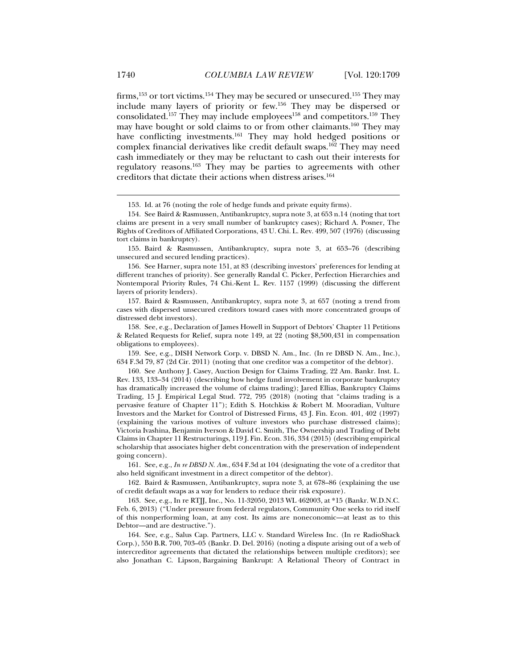firms,  $153$  or tort victims.  $154$  They may be secured or unsecured.  $155$  They may include many layers of priority or few.156 They may be dispersed or consolidated.<sup>157</sup> They may include employees<sup>158</sup> and competitors.<sup>159</sup> They may have bought or sold claims to or from other claimants.160 They may have conflicting investments.<sup>161</sup> They may hold hedged positions or complex financial derivatives like credit default swaps.162 They may need cash immediately or they may be reluctant to cash out their interests for regulatory reasons.163 They may be parties to agreements with other creditors that dictate their actions when distress arises.164

153. Id. at 76 (noting the role of hedge funds and private equity firms).

 155. Baird & Rasmussen, Antibankruptcy, supra note 3, at 653–76 (describing unsecured and secured lending practices).

 156. See Harner, supra note 151, at 83 (describing investors' preferences for lending at different tranches of priority). See generally Randal C. Picker, Perfection Hierarchies and Nontemporal Priority Rules, 74 Chi.-Kent L. Rev. 1157 (1999) (discussing the different layers of priority lenders).

 157. Baird & Rasmussen, Antibankruptcy, supra note 3, at 657 (noting a trend from cases with dispersed unsecured creditors toward cases with more concentrated groups of distressed debt investors).

 158. See, e.g., Declaration of James Howell in Support of Debtors' Chapter 11 Petitions & Related Requests for Relief, supra note 149, at 22 (noting \$8,500,431 in compensation obligations to employees).

 159. See, e.g., DISH Network Corp. v. DBSD N. Am., Inc. (In re DBSD N. Am., Inc.), 634 F.3d 79, 87 (2d Cir. 2011) (noting that one creditor was a competitor of the debtor).

 160. See Anthony J. Casey, Auction Design for Claims Trading, 22 Am. Bankr. Inst. L. Rev. 133, 133–34 (2014) (describing how hedge fund involvement in corporate bankruptcy has dramatically increased the volume of claims trading); Jared Ellias, Bankruptcy Claims Trading, 15 J. Empirical Legal Stud. 772, 795 (2018) (noting that "claims trading is a pervasive feature of Chapter 11"); Edith S. Hotchkiss & Robert M. Mooradian, Vulture Investors and the Market for Control of Distressed Firms, 43 J. Fin. Econ. 401, 402 (1997) (explaining the various motives of vulture investors who purchase distressed claims); Victoria Ivashina, Benjamin Iverson & David C. Smith, The Ownership and Trading of Debt Claims in Chapter 11 Restructurings, 119 J. Fin. Econ. 316, 334 (2015) (describing empirical scholarship that associates higher debt concentration with the preservation of independent going concern).

 161. See, e.g., *In re DBSD N. Am.*, 634 F.3d at 104 (designating the vote of a creditor that also held significant investment in a direct competitor of the debtor).

 162. Baird & Rasmussen, Antibankruptcy, supra note 3, at 678–86 (explaining the use of credit default swaps as a way for lenders to reduce their risk exposure).

 163. See, e.g., In re RTJJ, Inc.*,* No. 11-32050, 2013 WL 462003, at \*15 (Bankr. W.D.N.C. Feb. 6, 2013) ("Under pressure from federal regulators, Community One seeks to rid itself of this nonperforming loan, at any cost. Its aims are noneconomic—at least as to this Debtor—and are destructive.").

 164. See, e.g., Salus Cap. Partners, LLC v. Standard Wireless Inc. (In re RadioShack Corp.), 550 B.R. 700, 703–05 (Bankr. D. Del. 2016) (noting a dispute arising out of a web of intercreditor agreements that dictated the relationships between multiple creditors); see also Jonathan C. Lipson, Bargaining Bankrupt: A Relational Theory of Contract in

 <sup>154.</sup> See Baird & Rasmussen, Antibankruptcy, supra note 3, at 653 n.14 (noting that tort claims are present in a very small number of bankruptcy cases); Richard A. Posner*,* The Rights of Creditors of Affiliated Corporations, 43 U. Chi. L. Rev. 499, 507 (1976) (discussing tort claims in bankruptcy).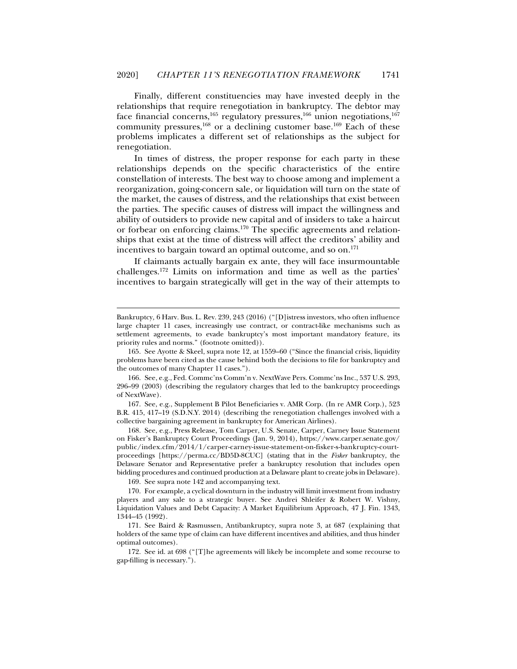Finally, different constituencies may have invested deeply in the relationships that require renegotiation in bankruptcy. The debtor may face financial concerns,<sup>165</sup> regulatory pressures,<sup>166</sup> union negotiations,<sup>167</sup> community pressures,  $168$  or a declining customer base.  $169$  Each of these problems implicates a different set of relationships as the subject for renegotiation.

In times of distress, the proper response for each party in these relationships depends on the specific characteristics of the entire constellation of interests. The best way to choose among and implement a reorganization, going-concern sale, or liquidation will turn on the state of the market, the causes of distress, and the relationships that exist between the parties. The specific causes of distress will impact the willingness and ability of outsiders to provide new capital and of insiders to take a haircut or forbear on enforcing claims.170 The specific agreements and relationships that exist at the time of distress will affect the creditors' ability and incentives to bargain toward an optimal outcome, and so on.<sup>171</sup>

If claimants actually bargain ex ante, they will face insurmountable challenges.172 Limits on information and time as well as the parties' incentives to bargain strategically will get in the way of their attempts to

Bankruptcy*,* 6 Harv. Bus. L. Rev. 239, 243 (2016) ("[D]istress investors, who often influence large chapter 11 cases, increasingly use contract, or contract-like mechanisms such as settlement agreements, to evade bankruptcy's most important mandatory feature, its priority rules and norms." (footnote omitted)).

 <sup>165.</sup> See Ayotte & Skeel, supra note 12, at 1559–60 ("Since the financial crisis, liquidity problems have been cited as the cause behind both the decisions to file for bankruptcy and the outcomes of many Chapter 11 cases.").

 <sup>166.</sup> See, e.g., Fed. Commc'ns Comm'n v. NextWave Pers. Commc'ns Inc., 537 U.S. 293, 296–99 (2003) (describing the regulatory charges that led to the bankruptcy proceedings of NextWave).

 <sup>167.</sup> See, e.g., Supplement B Pilot Beneficiaries v. AMR Corp. (In re AMR Corp.), 523 B.R. 415, 417–19 (S.D.N.Y. 2014) (describing the renegotiation challenges involved with a collective bargaining agreement in bankruptcy for American Airlines).

 <sup>168.</sup> See, e.g., Press Release, Tom Carper, U.S. Senate, Carper, Carney Issue Statement on Fisker's Bankruptcy Court Proceedings (Jan. 9, 2014), https://www.carper.senate.gov/ public/index.cfm/2014/1/carper-carney-issue-statement-on-fisker-s-bankruptcy-courtproceedings [https://perma.cc/BD5D-8CUC] (stating that in the *Fisker* bankruptcy, the Delaware Senator and Representative prefer a bankruptcy resolution that includes open bidding procedures and continued production at a Delaware plant to create jobs in Delaware). 169. See supra note 142 and accompanying text.

 <sup>170.</sup> For example, a cyclical downturn in the industry will limit investment from industry players and any sale to a strategic buyer. See Andrei Shleifer & Robert W. Vishny, Liquidation Values and Debt Capacity: A Market Equilibrium Approach, 47 J. Fin. 1343, 1344–45 (1992).

 <sup>171.</sup> See Baird & Rasmussen, Antibankruptcy, supra note 3, at 687 (explaining that holders of the same type of claim can have different incentives and abilities, and thus hinder optimal outcomes).

 <sup>172.</sup> See id. at 698 ("[T]he agreements will likely be incomplete and some recourse to gap-filling is necessary.").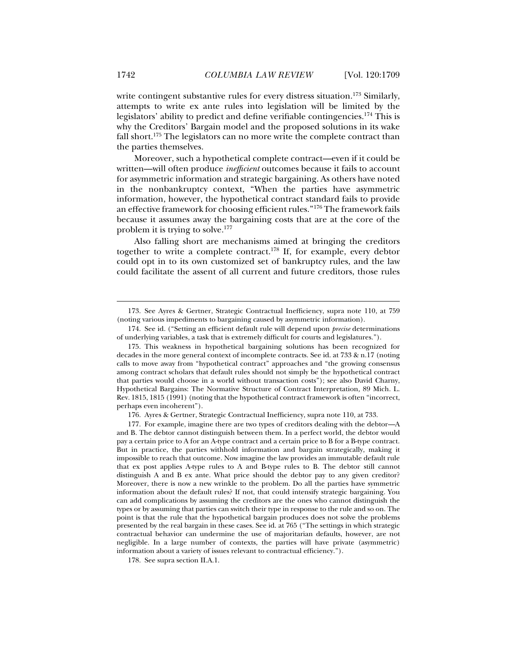write contingent substantive rules for every distress situation.<sup>173</sup> Similarly, attempts to write ex ante rules into legislation will be limited by the legislators' ability to predict and define verifiable contingencies.174 This is why the Creditors' Bargain model and the proposed solutions in its wake fall short.<sup>175</sup> The legislators can no more write the complete contract than the parties themselves.

Moreover, such a hypothetical complete contract—even if it could be written—will often produce *inefficient* outcomes because it fails to account for asymmetric information and strategic bargaining. As others have noted in the nonbankruptcy context, "When the parties have asymmetric information, however, the hypothetical contract standard fails to provide an effective framework for choosing efficient rules."176 The framework fails because it assumes away the bargaining costs that are at the core of the problem it is trying to solve.177

Also falling short are mechanisms aimed at bringing the creditors together to write a complete contract.<sup>178</sup> If, for example, every debtor could opt in to its own customized set of bankruptcy rules, and the law could facilitate the assent of all current and future creditors, those rules

 174. See id. ("Setting an efficient default rule will depend upon *precise* determinations of underlying variables, a task that is extremely difficult for courts and legislatures.").

176. Ayres & Gertner, Strategic Contractual Inefficiency, supra note 110, at 733.

 <sup>173.</sup> See Ayres & Gertner, Strategic Contractual Inefficiency, supra note 110, at 759 (noting various impediments to bargaining caused by asymmetric information).

 <sup>175.</sup> This weakness in hypothetical bargaining solutions has been recognized for decades in the more general context of incomplete contracts. See id. at 733 & n.17 (noting calls to move away from "hypothetical contract" approaches and "the growing consensus among contract scholars that default rules should not simply be the hypothetical contract that parties would choose in a world without transaction costs"); see also David Charny, Hypothetical Bargains: The Normative Structure of Contract Interpretation*,* 89 Mich. L. Rev. 1815, 1815 (1991) (noting that the hypothetical contract framework is often "incorrect, perhaps even incoherent").

 <sup>177.</sup> For example, imagine there are two types of creditors dealing with the debtor—A and B. The debtor cannot distinguish between them. In a perfect world, the debtor would pay a certain price to A for an A-type contract and a certain price to B for a B-type contract. But in practice, the parties withhold information and bargain strategically, making it impossible to reach that outcome. Now imagine the law provides an immutable default rule that ex post applies A-type rules to A and B-type rules to B. The debtor still cannot distinguish A and B ex ante. What price should the debtor pay to any given creditor? Moreover, there is now a new wrinkle to the problem. Do all the parties have symmetric information about the default rules? If not, that could intensify strategic bargaining. You can add complications by assuming the creditors are the ones who cannot distinguish the types or by assuming that parties can switch their type in response to the rule and so on. The point is that the rule that the hypothetical bargain produces does not solve the problems presented by the real bargain in these cases. See id. at 765 ("The settings in which strategic contractual behavior can undermine the use of majoritarian defaults, however, are not negligible. In a large number of contexts, the parties will have private (asymmetric) information about a variety of issues relevant to contractual efficiency.").

 <sup>178.</sup> See supra section II.A.1.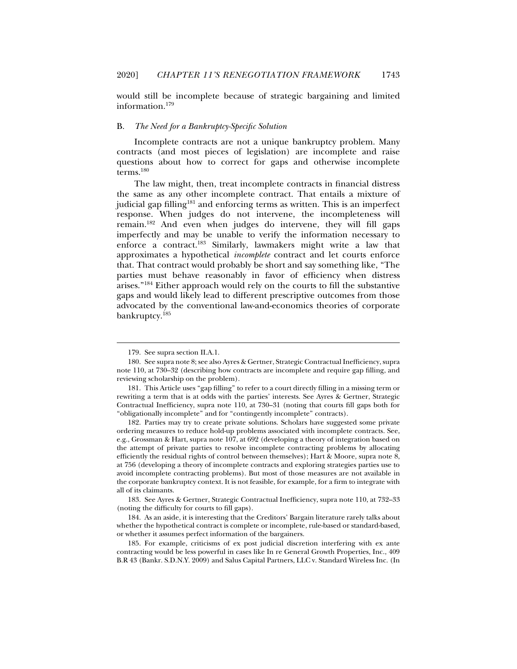would still be incomplete because of strategic bargaining and limited information.179

#### B. *The Need for a Bankruptcy-Specific Solution*

Incomplete contracts are not a unique bankruptcy problem. Many contracts (and most pieces of legislation) are incomplete and raise questions about how to correct for gaps and otherwise incomplete terms.180

The law might, then, treat incomplete contracts in financial distress the same as any other incomplete contract. That entails a mixture of judicial gap filling<sup>181</sup> and enforcing terms as written. This is an imperfect response. When judges do not intervene, the incompleteness will remain.182 And even when judges do intervene, they will fill gaps imperfectly and may be unable to verify the information necessary to enforce a contract.183 Similarly, lawmakers might write a law that approximates a hypothetical *incomplete* contract and let courts enforce that. That contract would probably be short and say something like, "The parties must behave reasonably in favor of efficiency when distress arises."184 Either approach would rely on the courts to fill the substantive gaps and would likely lead to different prescriptive outcomes from those advocated by the conventional law-and-economics theories of corporate bankruptcy.185

j

 183. See Ayres & Gertner, Strategic Contractual Inefficiency, supra note 110, at 732–33 (noting the difficulty for courts to fill gaps).

 184. As an aside, it is interesting that the Creditors' Bargain literature rarely talks about whether the hypothetical contract is complete or incomplete, rule-based or standard-based, or whether it assumes perfect information of the bargainers.

 185. For example, criticisms of ex post judicial discretion interfering with ex ante contracting would be less powerful in cases like In re General Growth Properties, Inc., 409 B.R 43 (Bankr. S.D.N.Y. 2009) and Salus Capital Partners, LLC v. Standard Wireless Inc. (In

 <sup>179.</sup> See supra section II.A.1.

 <sup>180.</sup> See supra note 8; see also Ayres & Gertner, Strategic Contractual Inefficiency, supra note 110, at 730–32 (describing how contracts are incomplete and require gap filling, and reviewing scholarship on the problem).

 <sup>181.</sup> This Article uses "gap filling" to refer to a court directly filling in a missing term or rewriting a term that is at odds with the parties' interests. See Ayres & Gertner, Strategic Contractual Inefficiency, supra note 110, at 730–31 (noting that courts fill gaps both for "obligationally incomplete" and for "contingently incomplete" contracts).

 <sup>182.</sup> Parties may try to create private solutions. Scholars have suggested some private ordering measures to reduce hold-up problems associated with incomplete contracts. See, e.g., Grossman & Hart, supra note 107, at 692 (developing a theory of integration based on the attempt of private parties to resolve incomplete contracting problems by allocating efficiently the residual rights of control between themselves); Hart & Moore, supra note 8, at 756 (developing a theory of incomplete contracts and exploring strategies parties use to avoid incomplete contracting problems). But most of those measures are not available in the corporate bankruptcy context. It is not feasible, for example, for a firm to integrate with all of its claimants.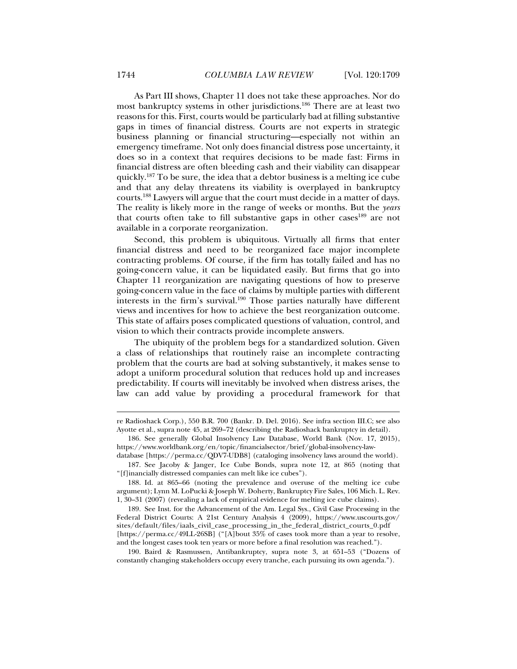As Part III shows, Chapter 11 does not take these approaches. Nor do most bankruptcy systems in other jurisdictions.186 There are at least two reasons for this. First, courts would be particularly bad at filling substantive gaps in times of financial distress. Courts are not experts in strategic business planning or financial structuring—especially not within an emergency timeframe. Not only does financial distress pose uncertainty, it does so in a context that requires decisions to be made fast: Firms in financial distress are often bleeding cash and their viability can disappear quickly.187 To be sure, the idea that a debtor business is a melting ice cube and that any delay threatens its viability is overplayed in bankruptcy courts.188 Lawyers will argue that the court must decide in a matter of days. The reality is likely more in the range of weeks or months. But the *years*  that courts often take to fill substantive gaps in other cases<sup>189</sup> are not available in a corporate reorganization.

Second, this problem is ubiquitous. Virtually all firms that enter financial distress and need to be reorganized face major incomplete contracting problems. Of course, if the firm has totally failed and has no going-concern value, it can be liquidated easily. But firms that go into Chapter 11 reorganization are navigating questions of how to preserve going-concern value in the face of claims by multiple parties with different interests in the firm's survival.<sup>190</sup> Those parties naturally have different views and incentives for how to achieve the best reorganization outcome. This state of affairs poses complicated questions of valuation, control, and vision to which their contracts provide incomplete answers.

The ubiquity of the problem begs for a standardized solution. Given a class of relationships that routinely raise an incomplete contracting problem that the courts are bad at solving substantively, it makes sense to adopt a uniform procedural solution that reduces hold up and increases predictability. If courts will inevitably be involved when distress arises, the law can add value by providing a procedural framework for that

re Radioshack Corp.), 550 B.R. 700 (Bankr. D. Del. 2016). See infra section III.C; see also Ayotte et al., supra note 45, at 269–72 (describing the Radioshack bankruptcy in detail).

 <sup>186.</sup> See generally Global Insolvency Law Database, World Bank (Nov. 17, 2015), https://www.worldbank.org/en/topic/financialsector/brief/global-insolvency-law-

database [https://perma.cc/QDV7-UDB8] (cataloging insolvency laws around the world). 187. See Jacoby & Janger, Ice Cube Bonds, supra note 12, at 865 (noting that "[f]inancially distressed companies can melt like ice cubes").

 <sup>188.</sup> Id. at 865–66 (noting the prevalence and overuse of the melting ice cube argument); Lynn M. LoPucki & Joseph W. Doherty, Bankruptcy Fire Sales, 106 Mich. L. Rev. 1, 30–31 (2007) (revealing a lack of empirical evidence for melting ice cube claims).

 <sup>189.</sup> See Inst. for the Advancement of the Am. Legal Sys., Civil Case Processing in the Federal District Courts: A 21st Century Analysis 4 (2009), https://www.uscourts.gov/ sites/default/files/iaals\_civil\_case\_processing\_in\_the\_federal\_district\_courts\_0.pdf [https://perma.cc/49LL-26SB] ("[A]bout 35% of cases took more than a year to resolve, and the longest cases took ten years or more before a final resolution was reached.").

 <sup>190.</sup> Baird & Rasmussen, Antibankruptcy, supra note 3, at 651–53 ("Dozens of constantly changing stakeholders occupy every tranche, each pursuing its own agenda.").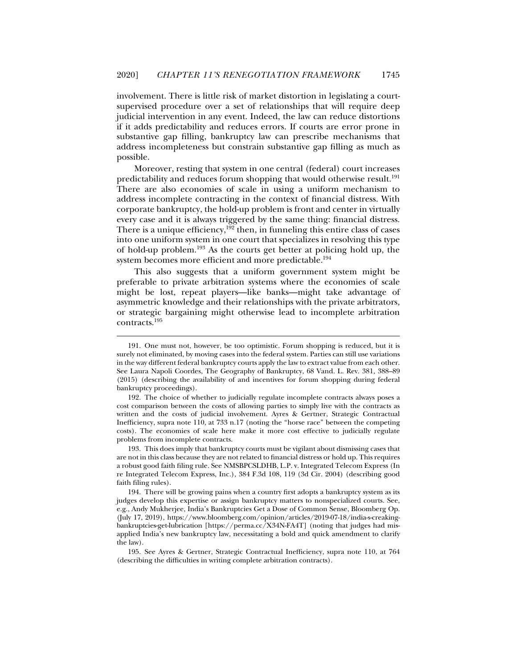involvement. There is little risk of market distortion in legislating a courtsupervised procedure over a set of relationships that will require deep judicial intervention in any event. Indeed, the law can reduce distortions if it adds predictability and reduces errors. If courts are error prone in substantive gap filling, bankruptcy law can prescribe mechanisms that address incompleteness but constrain substantive gap filling as much as possible.

Moreover, resting that system in one central (federal) court increases predictability and reduces forum shopping that would otherwise result.<sup>191</sup> There are also economies of scale in using a uniform mechanism to address incomplete contracting in the context of financial distress. With corporate bankruptcy, the hold-up problem is front and center in virtually every case and it is always triggered by the same thing: financial distress. There is a unique efficiency,<sup>192</sup> then, in funneling this entire class of cases into one uniform system in one court that specializes in resolving this type of hold-up problem.193 As the courts get better at policing hold up, the system becomes more efficient and more predictable.<sup>194</sup>

This also suggests that a uniform government system might be preferable to private arbitration systems where the economies of scale might be lost, repeat players—like banks—might take advantage of asymmetric knowledge and their relationships with the private arbitrators, or strategic bargaining might otherwise lead to incomplete arbitration contracts.195

j

 193. This does imply that bankruptcy courts must be vigilant about dismissing cases that are not in this class because they are not related to financial distress or hold up. This requires a robust good faith filing rule. See NMSBPCSLDHB, L.P. v. Integrated Telecom Express (In re Integrated Telecom Express, Inc.), 384 F.3d 108, 119 (3d Cir. 2004) (describing good faith filing rules).

 <sup>191.</sup> One must not, however, be too optimistic. Forum shopping is reduced, but it is surely not eliminated, by moving cases into the federal system. Parties can still use variations in the way different federal bankruptcy courts apply the law to extract value from each other. See Laura Napoli Coordes, The Geography of Bankruptcy, 68 Vand. L. Rev. 381, 388–89 (2015) (describing the availability of and incentives for forum shopping during federal bankruptcy proceedings).

 <sup>192.</sup> The choice of whether to judicially regulate incomplete contracts always poses a cost comparison between the costs of allowing parties to simply live with the contracts as written and the costs of judicial involvement. Ayres & Gertner, Strategic Contractual Inefficiency, supra note 110, at 733 n.17 (noting the "horse race" between the competing costs). The economies of scale here make it more cost effective to judicially regulate problems from incomplete contracts.

 <sup>194.</sup> There will be growing pains when a country first adopts a bankruptcy system as its judges develop this expertise or assign bankruptcy matters to nonspecialized courts. See, e.g., Andy Mukherjee, India's Bankruptcies Get a Dose of Common Sense, Bloomberg Op. (July 17, 2019), https://www.bloomberg.com/opinion/articles/2019-07-18/india-s-creakingbankruptcies-get-lubrication [https://perma.cc/X34N-FA4T] (noting that judges had misapplied India's new bankruptcy law, necessitating a bold and quick amendment to clarify the law).

 <sup>195.</sup> See Ayres & Gertner, Strategic Contractual Inefficiency, supra note 110, at 764 (describing the difficulties in writing complete arbitration contracts).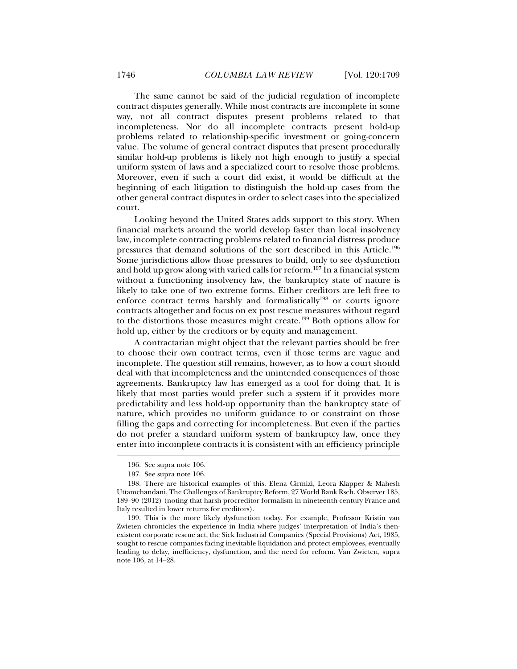The same cannot be said of the judicial regulation of incomplete contract disputes generally. While most contracts are incomplete in some way, not all contract disputes present problems related to that incompleteness. Nor do all incomplete contracts present hold-up problems related to relationship-specific investment or going-concern value. The volume of general contract disputes that present procedurally similar hold-up problems is likely not high enough to justify a special uniform system of laws and a specialized court to resolve those problems. Moreover, even if such a court did exist, it would be difficult at the beginning of each litigation to distinguish the hold-up cases from the other general contract disputes in order to select cases into the specialized court.

Looking beyond the United States adds support to this story. When financial markets around the world develop faster than local insolvency law, incomplete contracting problems related to financial distress produce pressures that demand solutions of the sort described in this Article.196 Some jurisdictions allow those pressures to build, only to see dysfunction and hold up grow along with varied calls for reform.<sup>197</sup> In a financial system without a functioning insolvency law, the bankruptcy state of nature is likely to take one of two extreme forms. Either creditors are left free to enforce contract terms harshly and formalistically<sup>198</sup> or courts ignore contracts altogether and focus on ex post rescue measures without regard to the distortions those measures might create.199 Both options allow for hold up, either by the creditors or by equity and management.

A contractarian might object that the relevant parties should be free to choose their own contract terms, even if those terms are vague and incomplete. The question still remains, however, as to how a court should deal with that incompleteness and the unintended consequences of those agreements. Bankruptcy law has emerged as a tool for doing that. It is likely that most parties would prefer such a system if it provides more predictability and less hold-up opportunity than the bankruptcy state of nature, which provides no uniform guidance to or constraint on those filling the gaps and correcting for incompleteness. But even if the parties do not prefer a standard uniform system of bankruptcy law, once they enter into incomplete contracts it is consistent with an efficiency principle

 <sup>196.</sup> See supra note 106.

 <sup>197.</sup> See supra note 106.

 <sup>198.</sup> There are historical examples of this. Elena Cirmizi, Leora Klapper & Mahesh Uttamchandani, The Challenges of Bankruptcy Reform, 27 World Bank Rsch. Observer 185, 189–90 (2012) (noting that harsh procreditor formalism in nineteenth-century France and Italy resulted in lower returns for creditors).

 <sup>199.</sup> This is the more likely dysfunction today. For example, Professor Kristin van Zwieten chronicles the experience in India where judges' interpretation of India's thenexistent corporate rescue act, the Sick Industrial Companies (Special Provisions) Act, 1985, sought to rescue companies facing inevitable liquidation and protect employees, eventually leading to delay, inefficiency, dysfunction, and the need for reform. Van Zwieten*,* supra note 106, at 14–28.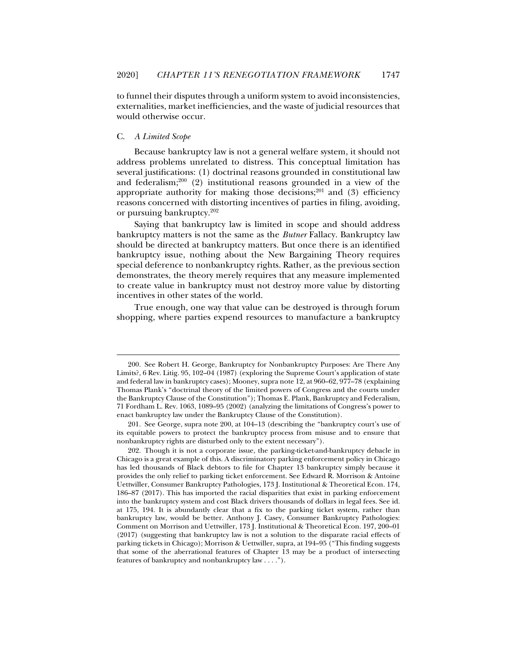to funnel their disputes through a uniform system to avoid inconsistencies, externalities, market inefficiencies, and the waste of judicial resources that would otherwise occur.

#### C. *A Limited Scope*

j

Because bankruptcy law is not a general welfare system, it should not address problems unrelated to distress. This conceptual limitation has several justifications: (1) doctrinal reasons grounded in constitutional law and federalism; $200$  (2) institutional reasons grounded in a view of the appropriate authority for making those decisions; $201$  and (3) efficiency reasons concerned with distorting incentives of parties in filing, avoiding, or pursuing bankruptcy.202

Saying that bankruptcy law is limited in scope and should address bankruptcy matters is not the same as the *Butner* Fallacy. Bankruptcy law should be directed at bankruptcy matters. But once there is an identified bankruptcy issue, nothing about the New Bargaining Theory requires special deference to nonbankruptcy rights. Rather, as the previous section demonstrates, the theory merely requires that any measure implemented to create value in bankruptcy must not destroy more value by distorting incentives in other states of the world.

True enough, one way that value can be destroyed is through forum shopping, where parties expend resources to manufacture a bankruptcy

 <sup>200.</sup> See Robert H. George, Bankruptcy for Nonbankruptcy Purposes: Are There Any Limits?, 6 Rev. Litig. 95, 102–04 (1987) (exploring the Supreme Court's application of state and federal law in bankruptcy cases); Mooney, supra note 12, at 960–62, 977–78 (explaining Thomas Plank's "doctrinal theory of the limited powers of Congress and the courts under the Bankruptcy Clause of the Constitution"); Thomas E. Plank, Bankruptcy and Federalism, 71 Fordham L. Rev. 1063, 1089–95 (2002) (analyzing the limitations of Congress's power to enact bankruptcy law under the Bankruptcy Clause of the Constitution).

 <sup>201.</sup> See George, supra note 200, at 104–13 (describing the "bankruptcy court's use of its equitable powers to protect the bankruptcy process from misuse and to ensure that nonbankruptcy rights are disturbed only to the extent necessary").

 <sup>202.</sup> Though it is not a corporate issue, the parking-ticket-and-bankruptcy debacle in Chicago is a great example of this. A discriminatory parking enforcement policy in Chicago has led thousands of Black debtors to file for Chapter 13 bankruptcy simply because it provides the only relief to parking ticket enforcement. See Edward R. Morrison & Antoine Uettwiller, Consumer Bankruptcy Pathologies, 173 J. Institutional & Theoretical Econ. 174, 186–87 (2017). This has imported the racial disparities that exist in parking enforcement into the bankruptcy system and cost Black drivers thousands of dollars in legal fees. See id. at 175, 194. It is abundantly clear that a fix to the parking ticket system, rather than bankruptcy law, would be better. Anthony J. Casey, Consumer Bankruptcy Pathologies: Comment on Morrison and Uettwiller, 173 J. Institutional & Theoretical Econ. 197, 200–01 (2017) (suggesting that bankruptcy law is not a solution to the disparate racial effects of parking tickets in Chicago); Morrison & Uettwiller, supra, at 194–95 ("This finding suggests that some of the aberrational features of Chapter 13 may be a product of intersecting features of bankruptcy and nonbankruptcy law . . . .").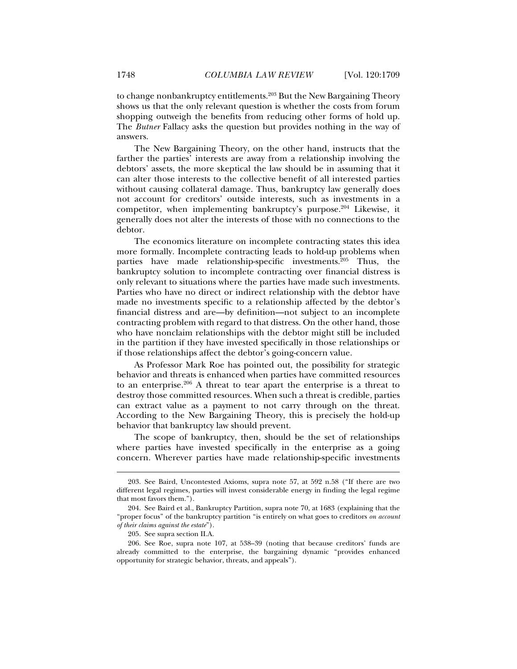to change nonbankruptcy entitlements.203 But the New Bargaining Theory shows us that the only relevant question is whether the costs from forum shopping outweigh the benefits from reducing other forms of hold up. The *Butner* Fallacy asks the question but provides nothing in the way of answers.

The New Bargaining Theory, on the other hand, instructs that the farther the parties' interests are away from a relationship involving the debtors' assets, the more skeptical the law should be in assuming that it can alter those interests to the collective benefit of all interested parties without causing collateral damage. Thus, bankruptcy law generally does not account for creditors' outside interests, such as investments in a competitor, when implementing bankruptcy's purpose.<sup>204</sup> Likewise, it generally does not alter the interests of those with no connections to the debtor.

The economics literature on incomplete contracting states this idea more formally. Incomplete contracting leads to hold-up problems when parties have made relationship-specific investments.<sup>205</sup> Thus, the bankruptcy solution to incomplete contracting over financial distress is only relevant to situations where the parties have made such investments. Parties who have no direct or indirect relationship with the debtor have made no investments specific to a relationship affected by the debtor's financial distress and are—by definition—not subject to an incomplete contracting problem with regard to that distress. On the other hand, those who have nonclaim relationships with the debtor might still be included in the partition if they have invested specifically in those relationships or if those relationships affect the debtor's going-concern value.

As Professor Mark Roe has pointed out, the possibility for strategic behavior and threats is enhanced when parties have committed resources to an enterprise.206 A threat to tear apart the enterprise is a threat to destroy those committed resources. When such a threat is credible, parties can extract value as a payment to not carry through on the threat. According to the New Bargaining Theory, this is precisely the hold-up behavior that bankruptcy law should prevent.

The scope of bankruptcy, then, should be the set of relationships where parties have invested specifically in the enterprise as a going concern. Wherever parties have made relationship-specific investments

 <sup>203.</sup> See Baird, Uncontested Axioms, supra note 57, at 592 n.58 ("If there are two different legal regimes, parties will invest considerable energy in finding the legal regime that most favors them.").

 <sup>204.</sup> See Baird et al., Bankruptcy Partition, supra note 70, at 1683 (explaining that the "proper focus" of the bankruptcy partition "is entirely on what goes to creditors *on account of their claims against the estate*").

 <sup>205.</sup> See supra section II.A.

 <sup>206.</sup> See Roe, supra note 107, at 538–39 (noting that because creditors' funds are already committed to the enterprise, the bargaining dynamic "provides enhanced opportunity for strategic behavior, threats, and appeals").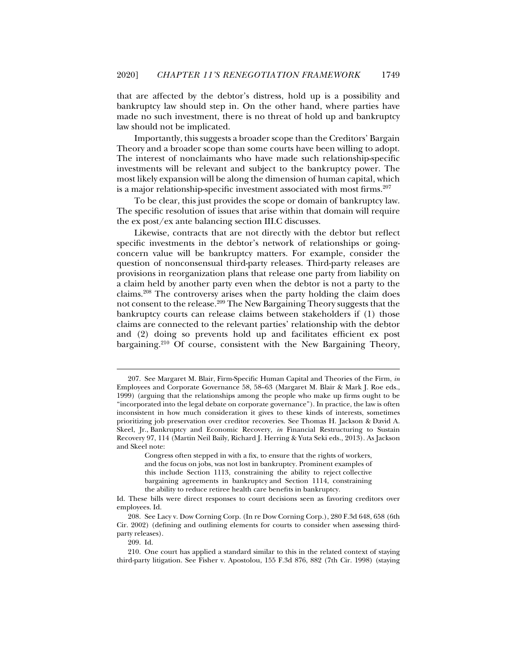that are affected by the debtor's distress, hold up is a possibility and bankruptcy law should step in. On the other hand, where parties have made no such investment, there is no threat of hold up and bankruptcy law should not be implicated.

Importantly, this suggests a broader scope than the Creditors' Bargain Theory and a broader scope than some courts have been willing to adopt. The interest of nonclaimants who have made such relationship-specific investments will be relevant and subject to the bankruptcy power. The most likely expansion will be along the dimension of human capital, which is a major relationship-specific investment associated with most firms.<sup>207</sup>

To be clear, this just provides the scope or domain of bankruptcy law. The specific resolution of issues that arise within that domain will require the ex post/ex ante balancing section III.C discusses.

Likewise, contracts that are not directly with the debtor but reflect specific investments in the debtor's network of relationships or goingconcern value will be bankruptcy matters. For example, consider the question of nonconsensual third-party releases. Third-party releases are provisions in reorganization plans that release one party from liability on a claim held by another party even when the debtor is not a party to the claims.208 The controversy arises when the party holding the claim does not consent to the release.209 The New Bargaining Theory suggests that the bankruptcy courts can release claims between stakeholders if (1) those claims are connected to the relevant parties' relationship with the debtor and (2) doing so prevents hold up and facilitates efficient ex post bargaining.210 Of course, consistent with the New Bargaining Theory,

 <sup>207.</sup> See Margaret M. Blair, Firm-Specific Human Capital and Theories of the Firm, *in* Employees and Corporate Governance 58, 58–63 (Margaret M. Blair & Mark J. Roe eds., 1999) (arguing that the relationships among the people who make up firms ought to be "incorporated into the legal debate on corporate governance"). In practice, the law is often inconsistent in how much consideration it gives to these kinds of interests, sometimes prioritizing job preservation over creditor recoveries. See Thomas H. Jackson & David A. Skeel, Jr., Bankruptcy and Economic Recovery, *in* Financial Restructuring to Sustain Recovery 97, 114 (Martin Neil Baily, Richard J. Herring & Yuta Seki eds., 2013). As Jackson and Skeel note:

Congress often stepped in with a fix, to ensure that the rights of workers, and the focus on jobs, was not lost in bankruptcy. Prominent examples of this include Section 1113, constraining the ability to reject collective bargaining agreements in bankruptcy and Section 1114, constraining the ability to reduce retiree health care benefits in bankruptcy.

Id. These bills were direct responses to court decisions seen as favoring creditors over employees. Id.

 <sup>208.</sup> See Lacy v. Dow Corning Corp. (In re Dow Corning Corp*.*), 280 F.3d 648, 658 (6th Cir. 2002) (defining and outlining elements for courts to consider when assessing thirdparty releases).

 <sup>209.</sup> Id.

 <sup>210.</sup> One court has applied a standard similar to this in the related context of staying third-party litigation. See Fisher v. Apostolou, 155 F.3d 876, 882 (7th Cir. 1998) (staying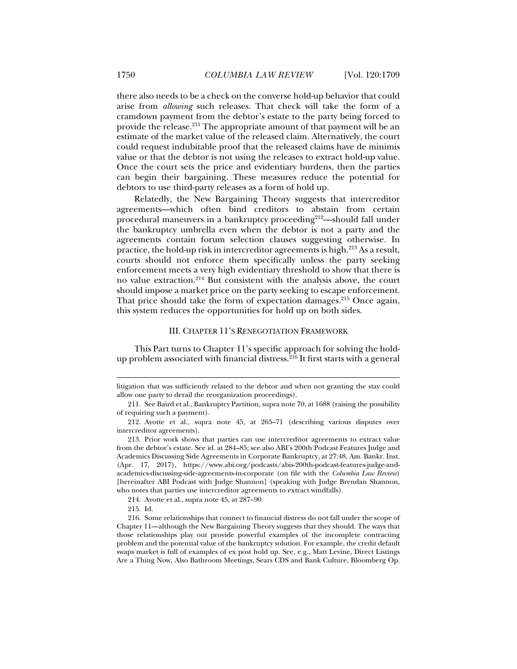there also needs to be a check on the converse hold-up behavior that could arise from *allowing* such releases. That check will take the form of a cramdown payment from the debtor's estate to the party being forced to provide the release.211 The appropriate amount of that payment will be an estimate of the market value of the released claim. Alternatively, the court could request indubitable proof that the released claims have de minimis value or that the debtor is not using the releases to extract hold-up value. Once the court sets the price and evidentiary burdens, then the parties can begin their bargaining. These measures reduce the potential for debtors to use third-party releases as a form of hold up.

Relatedly, the New Bargaining Theory suggests that intercreditor agreements—which often bind creditors to abstain from certain procedural maneuvers in a bankruptcy proceeding<sup>212</sup>—should fall under the bankruptcy umbrella even when the debtor is not a party and the agreements contain forum selection clauses suggesting otherwise. In practice, the hold-up risk in intercreditor agreements is high.<sup>213</sup> As a result, courts should not enforce them specifically unless the party seeking enforcement meets a very high evidentiary threshold to show that there is no value extraction.214 But consistent with the analysis above, the court should impose a market price on the party seeking to escape enforcement. That price should take the form of expectation damages.<sup>215</sup> Once again, this system reduces the opportunities for hold up on both sides.

#### III. CHAPTER 11'S RENEGOTIATION FRAMEWORK

This Part turns to Chapter 11's specific approach for solving the holdup problem associated with financial distress.  $^{216}$  It first starts with a general

214. Ayotte et al., supra note 45, at 287–90.

215. Id.

litigation that was sufficiently related to the debtor and when not granting the stay could allow one party to derail the reorganization proceedings).

 <sup>211.</sup> See Baird et al., Bankruptcy Partition, supra note 70, at 1688 (raising the possibility of requiring such a payment).

 <sup>212.</sup> Ayotte et al., supra note 45, at 265–71 (describing various disputes over intercreditor agreements).

 <sup>213.</sup> Prior work shows that parties can use intercreditor agreements to extract value from the debtor's estate. See id. at 284–85; see also ABI's 200th Podcast Features Judge and Academics Discussing Side Agreements in Corporate Bankruptcy, at 27:48, Am. Bankr. Inst. (Apr. 17, 2017), https://www.abi.org/podcasts/abis-200th-podcast-features-judge-andacademics-discussing-side-agreements-in-corporate (on file with the *Columbia Law Review*) [hereinafter ABI Podcast with Judge Shannon] (speaking with Judge Brendan Shannon, who notes that parties use intercreditor agreements to extract windfalls).

 <sup>216.</sup> Some relationships that connect to financial distress do not fall under the scope of Chapter 11—although the New Bargaining Theory suggests that they should. The ways that those relationships play out provide powerful examples of the incomplete contracting problem and the potential value of the bankruptcy solution. For example, the credit default swaps market is full of examples of ex post hold up. See, e.g., Matt Levine, Direct Listings Are a Thing Now, Also Bathroom Meetings, Sears CDS and Bank Culture, Bloomberg Op.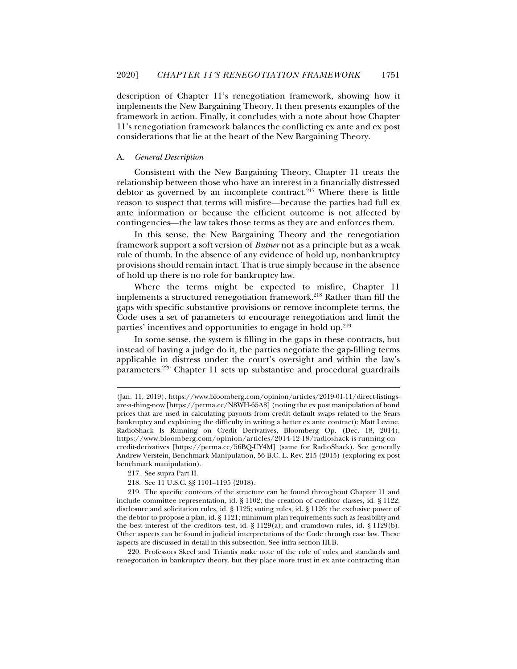description of Chapter 11's renegotiation framework, showing how it implements the New Bargaining Theory. It then presents examples of the framework in action. Finally, it concludes with a note about how Chapter 11's renegotiation framework balances the conflicting ex ante and ex post considerations that lie at the heart of the New Bargaining Theory.

#### A. *General Description*

Consistent with the New Bargaining Theory, Chapter 11 treats the relationship between those who have an interest in a financially distressed debtor as governed by an incomplete contract.<sup>217</sup> Where there is little reason to suspect that terms will misfire—because the parties had full ex ante information or because the efficient outcome is not affected by contingencies—the law takes those terms as they are and enforces them.

In this sense, the New Bargaining Theory and the renegotiation framework support a soft version of *Butner* not as a principle but as a weak rule of thumb. In the absence of any evidence of hold up, nonbankruptcy provisions should remain intact. That is true simply because in the absence of hold up there is no role for bankruptcy law.

Where the terms might be expected to misfire, Chapter 11 implements a structured renegotiation framework.218 Rather than fill the gaps with specific substantive provisions or remove incomplete terms, the Code uses a set of parameters to encourage renegotiation and limit the parties' incentives and opportunities to engage in hold up.<sup>219</sup>

In some sense, the system is filling in the gaps in these contracts, but instead of having a judge do it, the parties negotiate the gap-filling terms applicable in distress under the court's oversight and within the law's parameters.220 Chapter 11 sets up substantive and procedural guardrails

j

218. See 11 U.S.C. §§ 1101–1195 (2018).

 220. Professors Skeel and Triantis make note of the role of rules and standards and renegotiation in bankruptcy theory, but they place more trust in ex ante contracting than

<sup>(</sup>Jan. 11, 2019), https://www.bloomberg.com/opinion/articles/2019-01-11/direct-listingsare-a-thing-now [https://perma.cc/N8WH-65A8] (noting the ex post manipulation of bond prices that are used in calculating payouts from credit default swaps related to the Sears bankruptcy and explaining the difficulty in writing a better ex ante contract); Matt Levine, RadioShack Is Running on Credit Derivatives, Bloomberg Op. (Dec. 18, 2014), https://www.bloomberg.com/opinion/articles/2014-12-18/radioshack-is-running-oncredit-derivatives [https://perma.cc/56BQ-UY4M] (same for RadioShack). See generally Andrew Verstein, Benchmark Manipulation, 56 B.C. L. Rev. 215 (2015) (exploring ex post benchmark manipulation).

 <sup>217.</sup> See supra Part II.

 <sup>219.</sup> The specific contours of the structure can be found throughout Chapter 11 and include committee representation, id. § 1102; the creation of creditor classes, id. § 1122; disclosure and solicitation rules, id. § 1125; voting rules, id. § 1126; the exclusive power of the debtor to propose a plan, id. § 1121; minimum plan requirements such as feasibility and the best interest of the creditors test, id.  $\S 1129(a)$ ; and cramdown rules, id.  $\S 1129(b)$ . Other aspects can be found in judicial interpretations of the Code through case law. These aspects are discussed in detail in this subsection. See infra section III.B.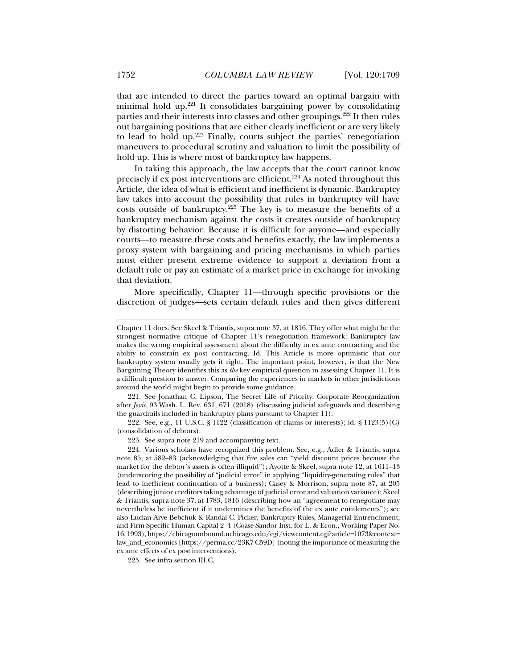that are intended to direct the parties toward an optimal bargain with minimal hold up.221 It consolidates bargaining power by consolidating parties and their interests into classes and other groupings.<sup>222</sup> It then rules out bargaining positions that are either clearly inefficient or are very likely to lead to hold up.223 Finally, courts subject the parties' renegotiation maneuvers to procedural scrutiny and valuation to limit the possibility of hold up. This is where most of bankruptcy law happens.

In taking this approach, the law accepts that the court cannot know precisely if ex post interventions are efficient.<sup>224</sup> As noted throughout this Article, the idea of what is efficient and inefficient is dynamic. Bankruptcy law takes into account the possibility that rules in bankruptcy will have costs outside of bankruptcy.225 The key is to measure the benefits of a bankruptcy mechanism against the costs it creates outside of bankruptcy by distorting behavior. Because it is difficult for anyone—and especially courts—to measure these costs and benefits exactly, the law implements a proxy system with bargaining and pricing mechanisms in which parties must either present extreme evidence to support a deviation from a default rule or pay an estimate of a market price in exchange for invoking that deviation.

More specifically, Chapter 11—through specific provisions or the discretion of judges—sets certain default rules and then gives different

 221. See Jonathan C. Lipson, The Secret Life of Priority: Corporate Reorganization after *Jevic*, 93 Wash. L. Rev. 631, 671 (2018) (discussing judicial safeguards and describing the guardrails included in bankruptcy plans pursuant to Chapter 11).

 222. See, e.g., 11 U.S.C. § 1122 (classification of claims or interests); id. § 1123(5)(C) (consolidation of debtors).

223. See supra note 219 and accompanying text.

 224. Various scholars have recognized this problem. See, e.g., Adler & Triantis, supra note 85, at 582–83 (acknowledging that fire sales can "yield discount prices because the market for the debtor's assets is often illiquid"); Ayotte & Skeel, supra note 12, at 1611–13 (underscoring the possibility of "judicial error" in applying "liquidity-generating rules" that lead to inefficient continuation of a business); Casey & Morrison, supra note 87, at 205 (describing junior creditors taking advantage of judicial error and valuation variance); Skeel & Triantis, supra note 37, at 1783, 1816 (describing how an "agreement to renegotiate may nevertheless be inefficient if it undermines the benefits of the ex ante entitlements"); see also Lucian Arye Bebchuk & Randal C. Picker, Bankruptcy Rules, Managerial Entrenchment, and Firm-Specific Human Capital 2–4 (Coase-Sandor Inst. for L. & Econ., Working Paper No. 16, 1993), https://chicagounbound.uchicago.edu/cgi/viewcontent.cgi?article=1073&context= law\_and\_economics [https://perma.cc/23K7-C59D] (noting the importance of measuring the ex ante effects of ex post interventions).

225. See infra section III.C.

Chapter 11 does. See Skeel & Triantis, supra note 37, at 1816. They offer what might be the strongest normative critique of Chapter 11's renegotiation framework: Bankruptcy law makes the wrong empirical assessment about the difficulty in ex ante contracting and the ability to constrain ex post contracting. Id. This Article is more optimistic that our bankruptcy system usually gets it right. The important point, however, is that the New Bargaining Theory identifies this as *the* key empirical question in assessing Chapter 11. It is a difficult question to answer. Comparing the experiences in markets in other jurisdictions around the world might begin to provide some guidance.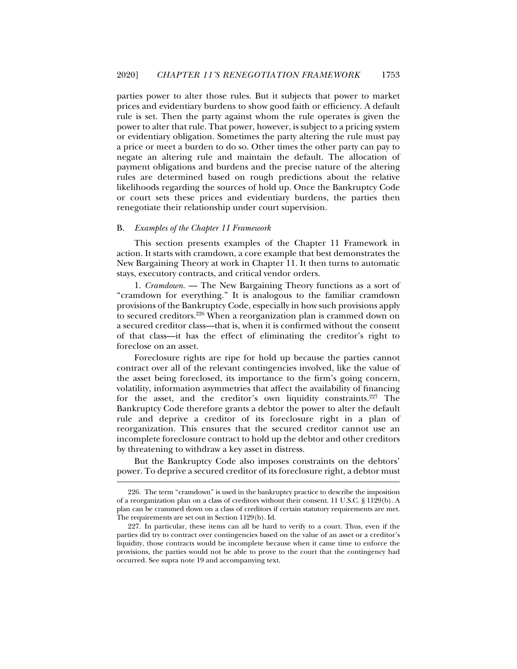parties power to alter those rules. But it subjects that power to market prices and evidentiary burdens to show good faith or efficiency. A default rule is set. Then the party against whom the rule operates is given the power to alter that rule. That power, however, is subject to a pricing system or evidentiary obligation. Sometimes the party altering the rule must pay a price or meet a burden to do so. Other times the other party can pay to negate an altering rule and maintain the default. The allocation of payment obligations and burdens and the precise nature of the altering rules are determined based on rough predictions about the relative likelihoods regarding the sources of hold up. Once the Bankruptcy Code or court sets these prices and evidentiary burdens, the parties then renegotiate their relationship under court supervision.

#### B. *Examples of the Chapter 11 Framework*

j

This section presents examples of the Chapter 11 Framework in action. It starts with cramdown, a core example that best demonstrates the New Bargaining Theory at work in Chapter 11. It then turns to automatic stays, executory contracts, and critical vendor orders.

1. *Cramdown*. — The New Bargaining Theory functions as a sort of "cramdown for everything." It is analogous to the familiar cramdown provisions of the Bankruptcy Code, especially in how such provisions apply to secured creditors.226 When a reorganization plan is crammed down on a secured creditor class—that is, when it is confirmed without the consent of that class—it has the effect of eliminating the creditor's right to foreclose on an asset.

Foreclosure rights are ripe for hold up because the parties cannot contract over all of the relevant contingencies involved, like the value of the asset being foreclosed, its importance to the firm's going concern, volatility, information asymmetries that affect the availability of financing for the asset, and the creditor's own liquidity constraints.<sup>227</sup> The Bankruptcy Code therefore grants a debtor the power to alter the default rule and deprive a creditor of its foreclosure right in a plan of reorganization. This ensures that the secured creditor cannot use an incomplete foreclosure contract to hold up the debtor and other creditors by threatening to withdraw a key asset in distress.

But the Bankruptcy Code also imposes constraints on the debtors' power. To deprive a secured creditor of its foreclosure right, a debtor must

 <sup>226.</sup> The term "cramdown" is used in the bankruptcy practice to describe the imposition of a reorganization plan on a class of creditors without their consent. 11 U.S.C. § 1129(b). A plan can be crammed down on a class of creditors if certain statutory requirements are met. The requirements are set out in Section 1129(b). Id.

 <sup>227.</sup> In particular, these items can all be hard to verify to a court. Thus, even if the parties did try to contract over contingencies based on the value of an asset or a creditor's liquidity, those contracts would be incomplete because when it came time to enforce the provisions, the parties would not be able to prove to the court that the contingency had occurred. See supra note 19 and accompanying text.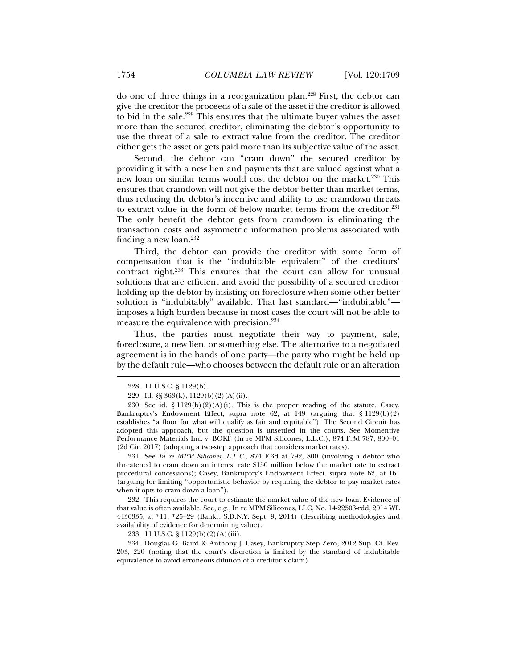do one of three things in a reorganization plan.228 First, the debtor can give the creditor the proceeds of a sale of the asset if the creditor is allowed to bid in the sale.<sup>229</sup> This ensures that the ultimate buyer values the asset more than the secured creditor, eliminating the debtor's opportunity to use the threat of a sale to extract value from the creditor. The creditor either gets the asset or gets paid more than its subjective value of the asset.

Second, the debtor can "cram down" the secured creditor by providing it with a new lien and payments that are valued against what a new loan on similar terms would cost the debtor on the market.<sup>230</sup> This ensures that cramdown will not give the debtor better than market terms, thus reducing the debtor's incentive and ability to use cramdown threats to extract value in the form of below market terms from the creditor.<sup>231</sup> The only benefit the debtor gets from cramdown is eliminating the transaction costs and asymmetric information problems associated with finding a new loan. $232$ 

Third, the debtor can provide the creditor with some form of compensation that is the "indubitable equivalent" of the creditors' contract right.233 This ensures that the court can allow for unusual solutions that are efficient and avoid the possibility of a secured creditor holding up the debtor by insisting on foreclosure when some other better solution is "indubitably" available. That last standard—"indubitable" imposes a high burden because in most cases the court will not be able to measure the equivalence with precision.234

Thus, the parties must negotiate their way to payment, sale, foreclosure, a new lien, or something else. The alternative to a negotiated agreement is in the hands of one party—the party who might be held up by the default rule—who chooses between the default rule or an alteration

j

 231. See *In re MPM Silicones, L.L.C.*, 874 F.3d at 792, 800 (involving a debtor who threatened to cram down an interest rate \$150 million below the market rate to extract procedural concessions); Casey, Bankruptcy's Endowment Effect, supra note 62, at 161 (arguing for limiting "opportunistic behavior by requiring the debtor to pay market rates when it opts to cram down a loan").

 232. This requires the court to estimate the market value of the new loan. Evidence of that value is often available. See, e.g., In re MPM Silicones, LLC, No. 14-22503-rdd, 2014 WL 4436335, at \*11, \*25–29 (Bankr. S.D.N.Y. Sept. 9, 2014) (describing methodologies and availability of evidence for determining value).

233. 11 U.S.C. § 1129(b)(2)(A)(iii).

 234. Douglas G. Baird & Anthony J. Casey, Bankruptcy Step Zero, 2012 Sup. Ct. Rev. 203, 220 (noting that the court's discretion is limited by the standard of indubitable equivalence to avoid erroneous dilution of a creditor's claim).

 <sup>228. 11</sup> U.S.C. § 1129(b).

 <sup>229.</sup> Id. §§ 363(k), 1129(b)(2)(A)(ii).

<sup>230.</sup> See id.  $\S 1129(b)(2)(A)(i)$ . This is the proper reading of the statute. Casey, Bankruptcy's Endowment Effect, supra note 62, at 149 (arguing that § 1129(b)(2) establishes "a floor for what will qualify as fair and equitable"). The Second Circuit has adopted this approach, but the question is unsettled in the courts. See Momentive Performance Materials Inc. v. BOKF (In re MPM Silicones, L.L.C.), 874 F.3d 787, 800–01 (2d Cir. 2017) (adopting a two-step approach that considers market rates).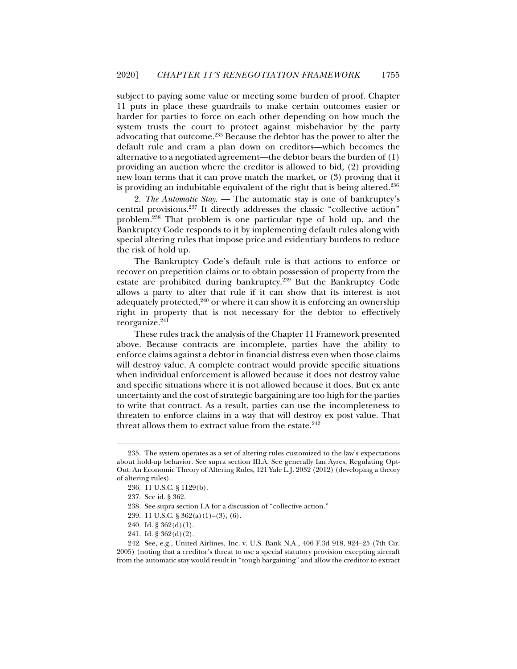subject to paying some value or meeting some burden of proof. Chapter 11 puts in place these guardrails to make certain outcomes easier or harder for parties to force on each other depending on how much the system trusts the court to protect against misbehavior by the party advocating that outcome.235 Because the debtor has the power to alter the default rule and cram a plan down on creditors—which becomes the alternative to a negotiated agreement—the debtor bears the burden of (1) providing an auction where the creditor is allowed to bid, (2) providing new loan terms that it can prove match the market, or (3) proving that it is providing an indubitable equivalent of the right that is being altered.236

2. *The Automatic Stay*. — The automatic stay is one of bankruptcy's central provisions.237 It directly addresses the classic "collective action" problem.238 That problem is one particular type of hold up, and the Bankruptcy Code responds to it by implementing default rules along with special altering rules that impose price and evidentiary burdens to reduce the risk of hold up.

The Bankruptcy Code's default rule is that actions to enforce or recover on prepetition claims or to obtain possession of property from the estate are prohibited during bankruptcy.239 But the Bankruptcy Code allows a party to alter that rule if it can show that its interest is not adequately protected, $240$  or where it can show it is enforcing an ownership right in property that is not necessary for the debtor to effectively reorganize.<sup>241</sup>

These rules track the analysis of the Chapter 11 Framework presented above. Because contracts are incomplete, parties have the ability to enforce claims against a debtor in financial distress even when those claims will destroy value. A complete contract would provide specific situations when individual enforcement is allowed because it does not destroy value and specific situations where it is not allowed because it does. But ex ante uncertainty and the cost of strategic bargaining are too high for the parties to write that contract. As a result, parties can use the incompleteness to threaten to enforce claims in a way that will destroy ex post value. That threat allows them to extract value from the estate.<sup>242</sup>

 <sup>235.</sup> The system operates as a set of altering rules customized to the law's expectations about hold-up behavior. See supra section III.A. See generally Ian Ayres, Regulating Opt-Out: An Economic Theory of Altering Rules, 121 Yale L.J. 2032 (2012) (developing a theory of altering rules).

 <sup>236. 11</sup> U.S.C. § 1129(b).

 <sup>237.</sup> See id. § 362.

 <sup>238.</sup> See supra section I.A for a discussion of "collective action."

 <sup>239. 11</sup> U.S.C. § 362(a)(1)–(3), (6).

 <sup>240.</sup> Id. § 362(d)(1).

 <sup>241.</sup> Id. § 362(d)(2).

 <sup>242.</sup> See, e.g., United Airlines, Inc. v. U.S. Bank N.A*.,* 406 F.3d 918, 924–25 (7th Cir. 2005) (noting that a creditor's threat to use a special statutory provision excepting aircraft from the automatic stay would result in "tough bargaining" and allow the creditor to extract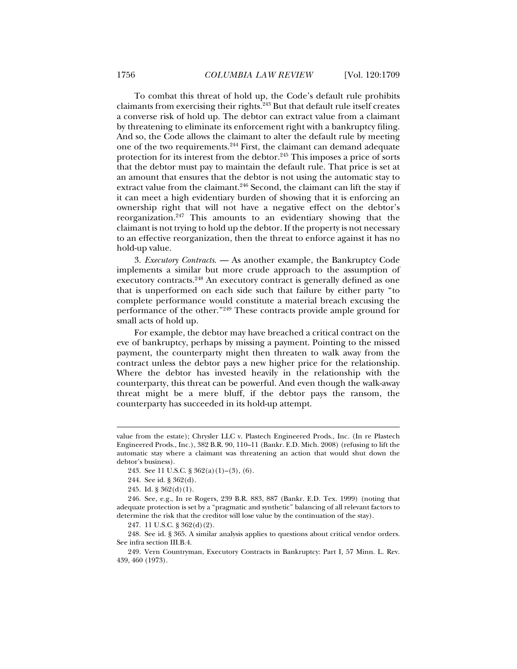To combat this threat of hold up, the Code's default rule prohibits claimants from exercising their rights.243 But that default rule itself creates a converse risk of hold up. The debtor can extract value from a claimant by threatening to eliminate its enforcement right with a bankruptcy filing. And so, the Code allows the claimant to alter the default rule by meeting one of the two requirements.244 First, the claimant can demand adequate protection for its interest from the debtor.<sup>245</sup> This imposes a price of sorts that the debtor must pay to maintain the default rule. That price is set at an amount that ensures that the debtor is not using the automatic stay to extract value from the claimant.<sup>246</sup> Second, the claimant can lift the stay if it can meet a high evidentiary burden of showing that it is enforcing an ownership right that will not have a negative effect on the debtor's reorganization.247 This amounts to an evidentiary showing that the claimant is not trying to hold up the debtor. If the property is not necessary to an effective reorganization, then the threat to enforce against it has no hold-up value.

3. *Executory Contracts*. — As another example, the Bankruptcy Code implements a similar but more crude approach to the assumption of executory contracts.<sup>248</sup> An executory contract is generally defined as one that is unperformed on each side such that failure by either party "to complete performance would constitute a material breach excusing the performance of the other."249 These contracts provide ample ground for small acts of hold up.

For example, the debtor may have breached a critical contract on the eve of bankruptcy, perhaps by missing a payment. Pointing to the missed payment, the counterparty might then threaten to walk away from the contract unless the debtor pays a new higher price for the relationship. Where the debtor has invested heavily in the relationship with the counterparty, this threat can be powerful. And even though the walk-away threat might be a mere bluff, if the debtor pays the ransom, the counterparty has succeeded in its hold-up attempt.

value from the estate); Chrysler LLC v. Plastech Engineered Prods., Inc. (In re Plastech Engineered Prods., Inc.), 382 B.R. 90, 110–11 (Bankr. E.D. Mich. 2008) (refusing to lift the automatic stay where a claimant was threatening an action that would shut down the debtor's business).

 <sup>243.</sup> See 11 U.S.C. § 362(a)(1)–(3), (6).

 <sup>244.</sup> See id. § 362(d).

<sup>245.</sup> Id.  $\S 362(d)(1)$ .

 <sup>246.</sup> See, e.g., In re Rogers, 239 B.R. 883, 887 (Bankr. E.D. Tex. 1999) (noting that adequate protection is set by a "pragmatic and synthetic" balancing of all relevant factors to determine the risk that the creditor will lose value by the continuation of the stay).

 <sup>247. 11</sup> U.S.C. § 362(d)(2).

 <sup>248.</sup> See id. § 365. A similar analysis applies to questions about critical vendor orders. See infra section III.B.4.

 <sup>249.</sup> Vern Countryman, Executory Contracts in Bankruptcy: Part I*,* 57 Minn. L. Rev. 439, 460 (1973).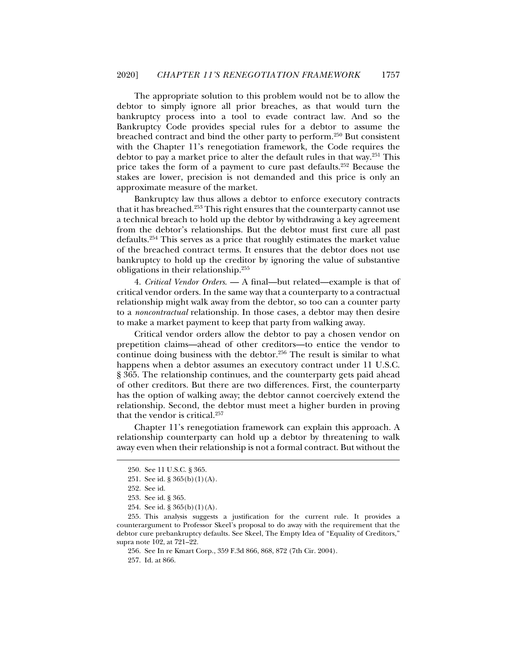The appropriate solution to this problem would not be to allow the debtor to simply ignore all prior breaches, as that would turn the bankruptcy process into a tool to evade contract law. And so the Bankruptcy Code provides special rules for a debtor to assume the breached contract and bind the other party to perform.250 But consistent with the Chapter 11's renegotiation framework, the Code requires the debtor to pay a market price to alter the default rules in that way.251 This price takes the form of a payment to cure past defaults.252 Because the stakes are lower, precision is not demanded and this price is only an approximate measure of the market.

Bankruptcy law thus allows a debtor to enforce executory contracts that it has breached.253 This right ensures that the counterparty cannot use a technical breach to hold up the debtor by withdrawing a key agreement from the debtor's relationships. But the debtor must first cure all past defaults.254 This serves as a price that roughly estimates the market value of the breached contract terms. It ensures that the debtor does not use bankruptcy to hold up the creditor by ignoring the value of substantive obligations in their relationship.255

4. *Critical Vendor Orders*. — A final—but related—example is that of critical vendor orders. In the same way that a counterparty to a contractual relationship might walk away from the debtor, so too can a counter party to a *noncontractual* relationship. In those cases, a debtor may then desire to make a market payment to keep that party from walking away.

Critical vendor orders allow the debtor to pay a chosen vendor on prepetition claims—ahead of other creditors—to entice the vendor to continue doing business with the debtor.<sup>256</sup> The result is similar to what happens when a debtor assumes an executory contract under 11 U.S.C. § 365. The relationship continues, and the counterparty gets paid ahead of other creditors. But there are two differences. First, the counterparty has the option of walking away; the debtor cannot coercively extend the relationship. Second, the debtor must meet a higher burden in proving that the vendor is critical.257

Chapter 11's renegotiation framework can explain this approach. A relationship counterparty can hold up a debtor by threatening to walk away even when their relationship is not a formal contract. But without the

j

256. See In re Kmart Corp., 359 F.3d 866, 868, 872 (7th Cir. 2004).

257. Id. at 866.

 <sup>250.</sup> See 11 U.S.C. § 365.

 <sup>251.</sup> See id. § 365(b)(1)(A).

 <sup>252.</sup> See id.

 <sup>253.</sup> See id. § 365.

 <sup>254.</sup> See id. § 365(b)(1)(A).

 <sup>255.</sup> This analysis suggests a justification for the current rule. It provides a counterargument to Professor Skeel's proposal to do away with the requirement that the debtor cure prebankruptcy defaults. See Skeel, The Empty Idea of "Equality of Creditors," supra note 102, at 721–22.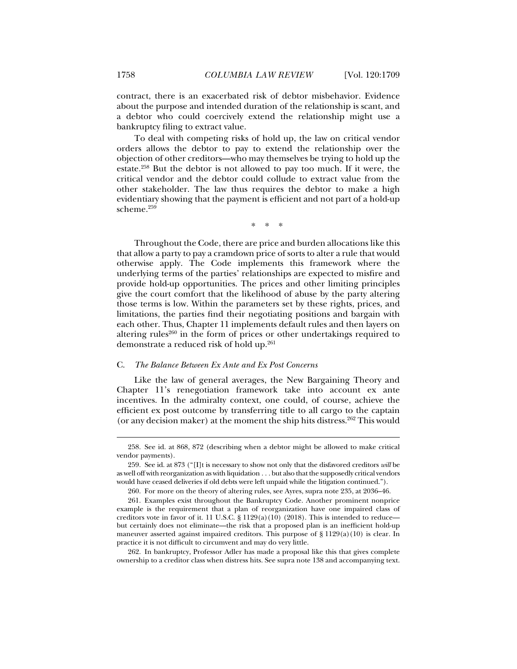contract, there is an exacerbated risk of debtor misbehavior. Evidence about the purpose and intended duration of the relationship is scant, and a debtor who could coercively extend the relationship might use a bankruptcy filing to extract value.

To deal with competing risks of hold up, the law on critical vendor orders allows the debtor to pay to extend the relationship over the objection of other creditors—who may themselves be trying to hold up the estate.258 But the debtor is not allowed to pay too much. If it were, the critical vendor and the debtor could collude to extract value from the other stakeholder. The law thus requires the debtor to make a high evidentiary showing that the payment is efficient and not part of a hold-up scheme.<sup>259</sup>

\* \* \*

Throughout the Code, there are price and burden allocations like this that allow a party to pay a cramdown price of sorts to alter a rule that would otherwise apply. The Code implements this framework where the underlying terms of the parties' relationships are expected to misfire and provide hold-up opportunities. The prices and other limiting principles give the court comfort that the likelihood of abuse by the party altering those terms is low. Within the parameters set by these rights, prices, and limitations, the parties find their negotiating positions and bargain with each other. Thus, Chapter 11 implements default rules and then layers on altering rules $260$  in the form of prices or other undertakings required to demonstrate a reduced risk of hold up.261

#### C. *The Balance Between Ex Ante and Ex Post Concerns*

Like the law of general averages, the New Bargaining Theory and Chapter 11's renegotiation framework take into account ex ante incentives. In the admiralty context, one could, of course, achieve the efficient ex post outcome by transferring title to all cargo to the captain (or any decision maker) at the moment the ship hits distress.<sup>262</sup> This would

 262. In bankruptcy, Professor Adler has made a proposal like this that gives complete ownership to a creditor class when distress hits. See supra note 138 and accompanying text.

 <sup>258.</sup> See id. at 868, 872 (describing when a debtor might be allowed to make critical vendor payments).

 <sup>259.</sup> See id. at 873 ("[I]t is necessary to show not only that the disfavored creditors *will* be as well off with reorganization as with liquidation . . . but also that the supposedly critical vendors would have ceased deliveries if old debts were left unpaid while the litigation continued.").

 <sup>260.</sup> For more on the theory of altering rules, see Ayres, supra note 235, at 2036–46.

 <sup>261.</sup> Examples exist throughout the Bankruptcy Code. Another prominent nonprice example is the requirement that a plan of reorganization have one impaired class of creditors vote in favor of it. 11 U.S.C. § 1129(a)(10) (2018). This is intended to reduce but certainly does not eliminate—the risk that a proposed plan is an inefficient hold-up maneuver asserted against impaired creditors. This purpose of  $\S 1129(a)(10)$  is clear. In practice it is not difficult to circumvent and may do very little.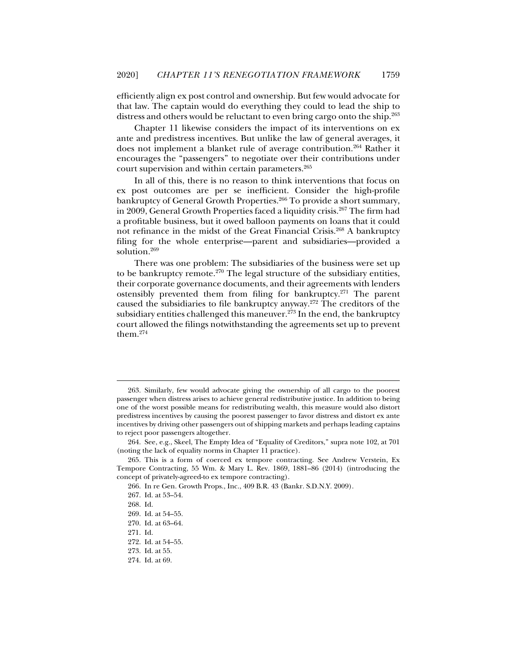efficiently align ex post control and ownership. But few would advocate for that law. The captain would do everything they could to lead the ship to distress and others would be reluctant to even bring cargo onto the ship.<sup>263</sup>

Chapter 11 likewise considers the impact of its interventions on ex ante and predistress incentives. But unlike the law of general averages, it does not implement a blanket rule of average contribution.<sup>264</sup> Rather it encourages the "passengers" to negotiate over their contributions under court supervision and within certain parameters.<sup>265</sup>

In all of this, there is no reason to think interventions that focus on ex post outcomes are per se inefficient. Consider the high-profile bankruptcy of General Growth Properties.<sup>266</sup> To provide a short summary, in 2009, General Growth Properties faced a liquidity crisis.<sup>267</sup> The firm had a profitable business, but it owed balloon payments on loans that it could not refinance in the midst of the Great Financial Crisis.268 A bankruptcy filing for the whole enterprise—parent and subsidiaries—provided a solution.269

There was one problem: The subsidiaries of the business were set up to be bankruptcy remote.<sup>270</sup> The legal structure of the subsidiary entities, their corporate governance documents, and their agreements with lenders ostensibly prevented them from filing for bankruptcy.271 The parent caused the subsidiaries to file bankruptcy anyway.272 The creditors of the subsidiary entities challenged this maneuver. $273$  In the end, the bankruptcy court allowed the filings notwithstanding the agreements set up to prevent them.274

 <sup>263.</sup> Similarly, few would advocate giving the ownership of all cargo to the poorest passenger when distress arises to achieve general redistributive justice. In addition to being one of the worst possible means for redistributing wealth, this measure would also distort predistress incentives by causing the poorest passenger to favor distress and distort ex ante incentives by driving other passengers out of shipping markets and perhaps leading captains to reject poor passengers altogether.

 <sup>264.</sup> See, e.g., Skeel, The Empty Idea of "Equality of Creditors," supra note 102, at 701 (noting the lack of equality norms in Chapter 11 practice).

 <sup>265.</sup> This is a form of coerced ex tempore contracting. See Andrew Verstein, Ex Tempore Contracting, 55 Wm. & Mary L. Rev. 1869, 1881–86 (2014) (introducing the concept of privately-agreed-to ex tempore contracting).

 <sup>266.</sup> In re Gen. Growth Props., Inc., 409 B.R. 43 (Bankr. S.D.N.Y. 2009).

 <sup>267.</sup> Id. at 53–54.

 <sup>268.</sup> Id.

 <sup>269.</sup> Id. at 54–55.

 <sup>270.</sup> Id. at 63–64.

 <sup>271.</sup> Id.

 <sup>272.</sup> Id. at 54–55.

 <sup>273.</sup> Id. at 55.

 <sup>274.</sup> Id. at 69.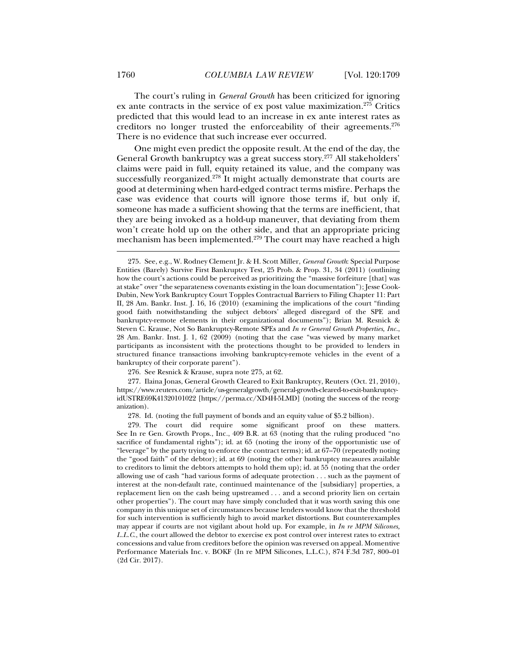The court's ruling in *General Growth* has been criticized for ignoring ex ante contracts in the service of ex post value maximization.275 Critics predicted that this would lead to an increase in ex ante interest rates as creditors no longer trusted the enforceability of their agreements.276 There is no evidence that such increase ever occurred.

One might even predict the opposite result. At the end of the day, the General Growth bankruptcy was a great success story.277 All stakeholders' claims were paid in full, equity retained its value, and the company was successfully reorganized.<sup>278</sup> It might actually demonstrate that courts are good at determining when hard-edged contract terms misfire. Perhaps the case was evidence that courts will ignore those terms if, but only if, someone has made a sufficient showing that the terms are inefficient, that they are being invoked as a hold-up maneuver, that deviating from them won't create hold up on the other side, and that an appropriate pricing mechanism has been implemented.<sup>279</sup> The court may have reached a high

276. See Resnick & Krause, supra note 275, at 62.

 277. Ilaina Jonas, General Growth Cleared to Exit Bankruptcy, Reuters (Oct. 21, 2010), https://www.reuters.com/article/us-generalgrowth/general-growth-cleared-to-exit-bankruptcyidUSTRE69K41320101022 [https://perma.cc/XD4H-5LMD] (noting the success of the reorganization).

278. Id. (noting the full payment of bonds and an equity value of \$5.2 billion).

 <sup>275.</sup> See, e.g., W. Rodney Clement Jr. & H. Scott Miller, *General Growth*: Special Purpose Entities (Barely) Survive First Bankruptcy Test*,* 25 Prob. & Prop. 31, 34 (2011) (outlining how the court's actions could be perceived as prioritizing the "massive forfeiture [that] was at stake" over "the separateness covenants existing in the loan documentation"); Jesse Cook-Dubin, New York Bankruptcy Court Topples Contractual Barriers to Filing Chapter 11: Part II, 28 Am. Bankr. Inst. J. 16, 16 (2010) (examining the implications of the court "finding good faith notwithstanding the subject debtors' alleged disregard of the SPE and bankruptcy-remote elements in their organizational documents"); Brian M. Resnick & Steven C. Krause, Not So Bankruptcy-Remote SPEs and *In re General Growth Properties, Inc.*, 28 Am. Bankr. Inst. J. 1, 62 (2009) (noting that the case "was viewed by many market participants as inconsistent with the protections thought to be provided to lenders in structured finance transactions involving bankruptcy-remote vehicles in the event of a bankruptcy of their corporate parent").

 <sup>279.</sup> The court did require some significant proof on these matters. See In re Gen. Growth Props., Inc*.*, 409 B.R. at 63 (noting that the ruling produced "no sacrifice of fundamental rights"); id. at 65 (noting the irony of the opportunistic use of "leverage" by the party trying to enforce the contract terms); id. at 67–70 (repeatedly noting the "good faith" of the debtor); id. at 69 (noting the other bankruptcy measures available to creditors to limit the debtors attempts to hold them up); id. at 55 (noting that the order allowing use of cash "had various forms of adequate protection . . . such as the payment of interest at the non-default rate, continued maintenance of the [subsidiary] properties, a replacement lien on the cash being upstreamed . . . and a second priority lien on certain other properties"). The court may have simply concluded that it was worth saving this one company in this unique set of circumstances because lenders would know that the threshold for such intervention is sufficiently high to avoid market distortions. But counterexamples may appear if courts are not vigilant about hold up. For example, in *In re MPM Silicones, L.L.C*., the court allowed the debtor to exercise ex post control over interest rates to extract concessions and value from creditors before the opinion was reversed on appeal. Momentive Performance Materials Inc. v. BOKF (In re MPM Silicones, L.L.C.), 874 F.3d 787, 800–01 (2d Cir. 2017).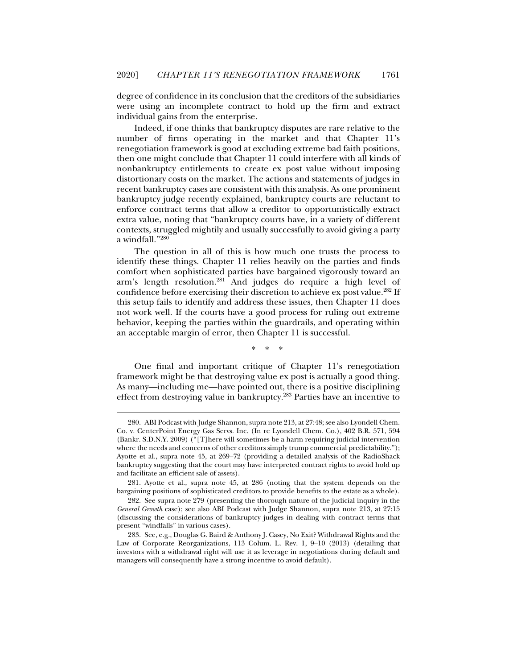degree of confidence in its conclusion that the creditors of the subsidiaries were using an incomplete contract to hold up the firm and extract individual gains from the enterprise.

Indeed, if one thinks that bankruptcy disputes are rare relative to the number of firms operating in the market and that Chapter 11's renegotiation framework is good at excluding extreme bad faith positions, then one might conclude that Chapter 11 could interfere with all kinds of nonbankruptcy entitlements to create ex post value without imposing distortionary costs on the market. The actions and statements of judges in recent bankruptcy cases are consistent with this analysis. As one prominent bankruptcy judge recently explained, bankruptcy courts are reluctant to enforce contract terms that allow a creditor to opportunistically extract extra value, noting that "bankruptcy courts have, in a variety of different contexts, struggled mightily and usually successfully to avoid giving a party a windfall."280

The question in all of this is how much one trusts the process to identify these things. Chapter 11 relies heavily on the parties and finds comfort when sophisticated parties have bargained vigorously toward an arm's length resolution.281 And judges do require a high level of confidence before exercising their discretion to achieve ex post value.<sup>282</sup> If this setup fails to identify and address these issues, then Chapter 11 does not work well. If the courts have a good process for ruling out extreme behavior, keeping the parties within the guardrails, and operating within an acceptable margin of error, then Chapter 11 is successful.

\* \* \*

One final and important critique of Chapter 11's renegotiation framework might be that destroying value ex post is actually a good thing. As many—including me—have pointed out, there is a positive disciplining effect from destroying value in bankruptcy.283 Parties have an incentive to

 <sup>280.</sup> ABI Podcast with Judge Shannon, supra note 213, at 27:48; see also Lyondell Chem. Co. v. CenterPoint Energy Gas Servs. Inc. (In re Lyondell Chem. Co.), 402 B.R. 571, 594 (Bankr. S.D.N.Y. 2009) ("[T]here will sometimes be a harm requiring judicial intervention where the needs and concerns of other creditors simply trump commercial predictability."); Ayotte et al., supra note 45, at 269–72 (providing a detailed analysis of the RadioShack bankruptcy suggesting that the court may have interpreted contract rights to avoid hold up and facilitate an efficient sale of assets).

 <sup>281.</sup> Ayotte et al., supra note 45, at 286 (noting that the system depends on the bargaining positions of sophisticated creditors to provide benefits to the estate as a whole).

 <sup>282.</sup> See supra note 279 (presenting the thorough nature of the judicial inquiry in the *General Growth* case); see also ABI Podcast with Judge Shannon, supra note 213, at 27:15 (discussing the considerations of bankruptcy judges in dealing with contract terms that present "windfalls" in various cases).

 <sup>283.</sup> See, e.g., Douglas G. Baird & Anthony J. Casey, No Exit? Withdrawal Rights and the Law of Corporate Reorganizations, 113 Colum. L. Rev. 1, 9–10 (2013) (detailing that investors with a withdrawal right will use it as leverage in negotiations during default and managers will consequently have a strong incentive to avoid default).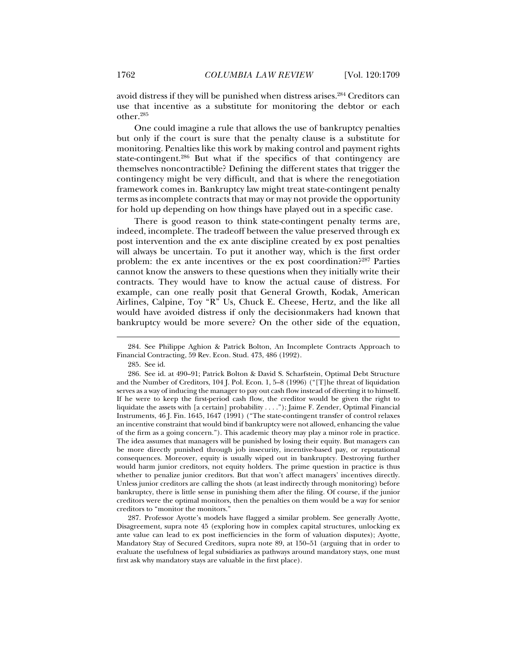avoid distress if they will be punished when distress arises.<sup>284</sup> Creditors can use that incentive as a substitute for monitoring the debtor or each other.285

One could imagine a rule that allows the use of bankruptcy penalties but only if the court is sure that the penalty clause is a substitute for monitoring. Penalties like this work by making control and payment rights state-contingent.286 But what if the specifics of that contingency are themselves noncontractible? Defining the different states that trigger the contingency might be very difficult, and that is where the renegotiation framework comes in. Bankruptcy law might treat state-contingent penalty terms as incomplete contracts that may or may not provide the opportunity for hold up depending on how things have played out in a specific case.

There is good reason to think state-contingent penalty terms are, indeed, incomplete. The tradeoff between the value preserved through ex post intervention and the ex ante discipline created by ex post penalties will always be uncertain. To put it another way, which is the first order problem: the ex ante incentives or the ex post coordination?287 Parties cannot know the answers to these questions when they initially write their contracts. They would have to know the actual cause of distress. For example, can one really posit that General Growth, Kodak, American Airlines, Calpine, Toy "R" Us, Chuck E. Cheese, Hertz, and the like all would have avoided distress if only the decisionmakers had known that bankruptcy would be more severe? On the other side of the equation,

 <sup>284.</sup> See Philippe Aghion & Patrick Bolton, An Incomplete Contracts Approach to Financial Contracting, 59 Rev. Econ. Stud. 473, 486 (1992).

 <sup>285.</sup> See id.

 <sup>286.</sup> See id. at 490–91; Patrick Bolton & David S. Scharfstein, Optimal Debt Structure and the Number of Creditors, 104 J. Pol. Econ. 1, 5–8 (1996) ("[T]he threat of liquidation serves as a way of inducing the manager to pay out cash flow instead of diverting it to himself. If he were to keep the first-period cash flow, the creditor would be given the right to liquidate the assets with [a certain] probability . . . ."); Jaime F. Zender, Optimal Financial Instruments, 46 J. Fin. 1645, 1647 (1991) ("The state-contingent transfer of control relaxes an incentive constraint that would bind if bankruptcy were not allowed, enhancing the value of the firm as a going concern."). This academic theory may play a minor role in practice. The idea assumes that managers will be punished by losing their equity. But managers can be more directly punished through job insecurity, incentive-based pay, or reputational consequences. Moreover, equity is usually wiped out in bankruptcy. Destroying further would harm junior creditors, not equity holders. The prime question in practice is thus whether to penalize junior creditors. But that won't affect managers' incentives directly. Unless junior creditors are calling the shots (at least indirectly through monitoring) before bankruptcy, there is little sense in punishing them after the filing. Of course, if the junior creditors were the optimal monitors, then the penalties on them would be a way for senior creditors to "monitor the monitors."

 <sup>287.</sup> Professor Ayotte's models have flagged a similar problem. See generally Ayotte, Disagreement, supra note 45 (exploring how in complex capital structures, unlocking ex ante value can lead to ex post inefficiencies in the form of valuation disputes); Ayotte, Mandatory Stay of Secured Creditors, supra note 89, at 150–51 (arguing that in order to evaluate the usefulness of legal subsidiaries as pathways around mandatory stays, one must first ask why mandatory stays are valuable in the first place).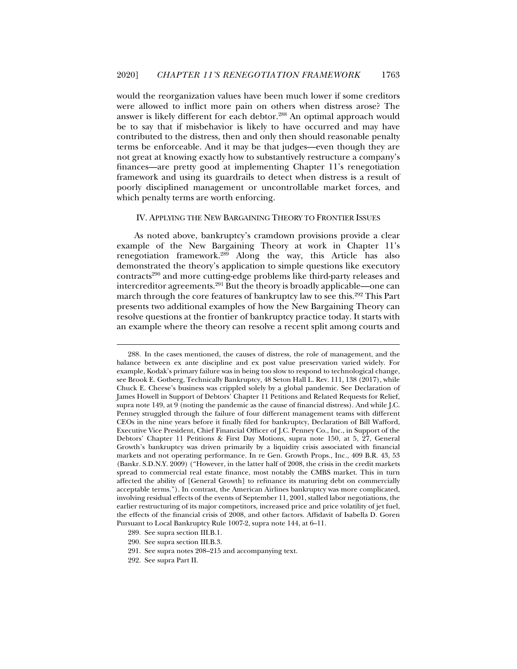would the reorganization values have been much lower if some creditors were allowed to inflict more pain on others when distress arose? The answer is likely different for each debtor.<sup>288</sup> An optimal approach would be to say that if misbehavior is likely to have occurred and may have contributed to the distress, then and only then should reasonable penalty terms be enforceable. And it may be that judges—even though they are not great at knowing exactly how to substantively restructure a company's finances—are pretty good at implementing Chapter 11's renegotiation framework and using its guardrails to detect when distress is a result of poorly disciplined management or uncontrollable market forces, and which penalty terms are worth enforcing.

#### IV. APPLYING THE NEW BARGAINING THEORY TO FRONTIER ISSUES

As noted above, bankruptcy's cramdown provisions provide a clear example of the New Bargaining Theory at work in Chapter 11's renegotiation framework.<sup>289</sup> Along the way, this Article has also demonstrated the theory's application to simple questions like executory contracts290 and more cutting-edge problems like third-party releases and intercreditor agreements.291 But the theory is broadly applicable—one can march through the core features of bankruptcy law to see this.<sup>292</sup> This Part presents two additional examples of how the New Bargaining Theory can resolve questions at the frontier of bankruptcy practice today. It starts with an example where the theory can resolve a recent split among courts and

 <sup>288.</sup> In the cases mentioned, the causes of distress, the role of management, and the balance between ex ante discipline and ex post value preservation varied widely. For example, Kodak's primary failure was in being too slow to respond to technological change, see Brook E. Gotberg, Technically Bankruptcy, 48 Seton Hall L. Rev. 111, 138 (2017), while Chuck E. Cheese's business was crippled solely by a global pandemic. See Declaration of James Howell in Support of Debtors' Chapter 11 Petitions and Related Requests for Relief, supra note 149, at 9 (noting the pandemic as the cause of financial distress). And while J.C. Penney struggled through the failure of four different management teams with different CEOs in the nine years before it finally filed for bankruptcy, Declaration of Bill Wafford, Executive Vice President, Chief Financial Officer of J.C. Penney Co., Inc., in Support of the Debtors' Chapter 11 Petitions & First Day Motions, supra note 150, at 5, 27, General Growth's bankruptcy was driven primarily by a liquidity crisis associated with financial markets and not operating performance. In re Gen. Growth Props., Inc., 409 B.R. 43, 53 (Bankr. S.D.N.Y. 2009) ("However, in the latter half of 2008, the crisis in the credit markets spread to commercial real estate finance, most notably the CMBS market. This in turn affected the ability of [General Growth] to refinance its maturing debt on commercially acceptable terms."). In contrast, the American Airlines bankruptcy was more complicated, involving residual effects of the events of September 11, 2001, stalled labor negotiations, the earlier restructuring of its major competitors, increased price and price volatility of jet fuel, the effects of the financial crisis of 2008, and other factors. Affidavit of Isabella D. Goren Pursuant to Local Bankruptcy Rule 1007-2, supra note 144, at 6–11.

 <sup>289.</sup> See supra section III.B.1.

 <sup>290.</sup> See supra section III.B.3.

 <sup>291.</sup> See supra notes 208–215 and accompanying text.

 <sup>292.</sup> See supra Part II.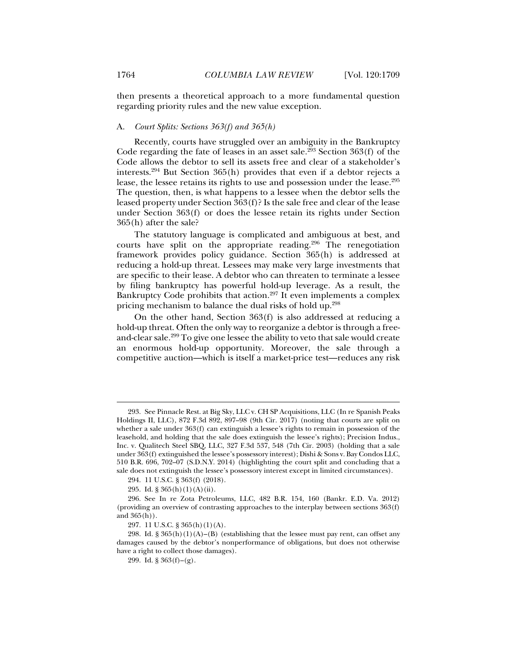then presents a theoretical approach to a more fundamental question regarding priority rules and the new value exception.

#### A. *Court Splits: Sections 363(f) and 365(h)*

Recently, courts have struggled over an ambiguity in the Bankruptcy Code regarding the fate of leases in an asset sale.<sup>293</sup> Section  $363(f)$  of the Code allows the debtor to sell its assets free and clear of a stakeholder's interests.294 But Section 365(h) provides that even if a debtor rejects a lease, the lessee retains its rights to use and possession under the lease.295 The question, then, is what happens to a lessee when the debtor sells the leased property under Section 363(f)? Is the sale free and clear of the lease under Section 363(f) or does the lessee retain its rights under Section 365(h) after the sale?

The statutory language is complicated and ambiguous at best, and courts have split on the appropriate reading.296 The renegotiation framework provides policy guidance. Section 365(h) is addressed at reducing a hold-up threat. Lessees may make very large investments that are specific to their lease. A debtor who can threaten to terminate a lessee by filing bankruptcy has powerful hold-up leverage. As a result, the Bankruptcy Code prohibits that action.<sup>297</sup> It even implements a complex pricing mechanism to balance the dual risks of hold up.298

On the other hand, Section 363(f) is also addressed at reducing a hold-up threat. Often the only way to reorganize a debtor is through a freeand-clear sale.299 To give one lessee the ability to veto that sale would create an enormous hold-up opportunity. Moreover, the sale through a competitive auction—which is itself a market-price test—reduces any risk

 <sup>293.</sup> See Pinnacle Rest. at Big Sky, LLC v. CH SP Acquisitions, LLC (In re Spanish Peaks Holdings II, LLC), 872 F.3d 892, 897–98 (9th Cir. 2017) (noting that courts are split on whether a sale under 363(f) can extinguish a lessee's rights to remain in possession of the leasehold, and holding that the sale does extinguish the lessee's rights); Precision Indus., Inc. v. Qualitech Steel SBQ, LLC, 327 F.3d 537, 548 (7th Cir. 2003) (holding that a sale under 363(f) extinguished the lessee's possessory interest); Dishi & Sons v. Bay Condos LLC, 510 B.R. 696, 702–07 (S.D.N.Y. 2014) (highlighting the court split and concluding that a sale does not extinguish the lessee's possessory interest except in limited circumstances).

 <sup>294. 11</sup> U.S.C. § 363(f) (2018).

 <sup>295.</sup> Id. § 365(h)(1)(A)(ii).

 <sup>296.</sup> See In re Zota Petroleums, LLC, 482 B.R. 154, 160 (Bankr. E.D. Va. 2012) (providing an overview of contrasting approaches to the interplay between sections 363(f) and 365(h)).

 <sup>297. 11</sup> U.S.C. § 365(h)(1)(A).

<sup>298.</sup> Id. § 365(h)(1)(A)–(B) (establishing that the lessee must pay rent, can offset any damages caused by the debtor's nonperformance of obligations, but does not otherwise have a right to collect those damages).

<sup>299.</sup> Id.  $\S 363(f) - (g)$ .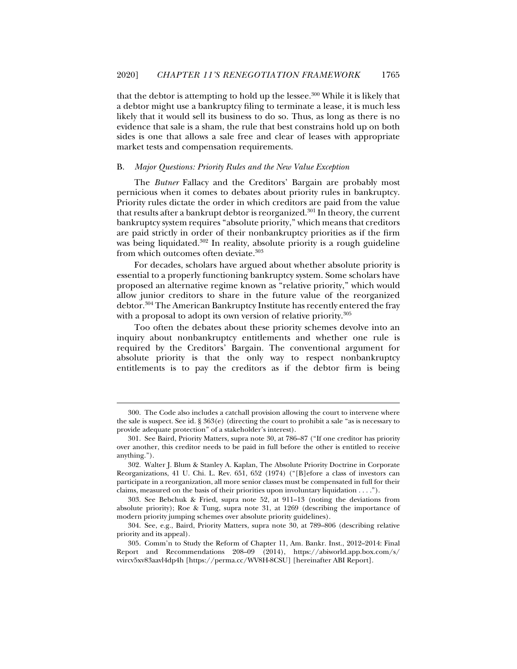that the debtor is attempting to hold up the lessee.300 While it is likely that a debtor might use a bankruptcy filing to terminate a lease, it is much less likely that it would sell its business to do so. Thus, as long as there is no evidence that sale is a sham, the rule that best constrains hold up on both sides is one that allows a sale free and clear of leases with appropriate market tests and compensation requirements.

#### B. *Major Questions: Priority Rules and the New Value Exception*

The *Butner* Fallacy and the Creditors' Bargain are probably most pernicious when it comes to debates about priority rules in bankruptcy. Priority rules dictate the order in which creditors are paid from the value that results after a bankrupt debtor is reorganized.<sup>301</sup> In theory, the current bankruptcy system requires "absolute priority," which means that creditors are paid strictly in order of their nonbankruptcy priorities as if the firm was being liquidated.<sup>302</sup> In reality, absolute priority is a rough guideline from which outcomes often deviate.<sup>303</sup>

For decades, scholars have argued about whether absolute priority is essential to a properly functioning bankruptcy system. Some scholars have proposed an alternative regime known as "relative priority," which would allow junior creditors to share in the future value of the reorganized debtor.304 The American Bankruptcy Institute has recently entered the fray with a proposal to adopt its own version of relative priority.<sup>305</sup>

Too often the debates about these priority schemes devolve into an inquiry about nonbankruptcy entitlements and whether one rule is required by the Creditors' Bargain. The conventional argument for absolute priority is that the only way to respect nonbankruptcy entitlements is to pay the creditors as if the debtor firm is being

 <sup>300.</sup> The Code also includes a catchall provision allowing the court to intervene where the sale is suspect. See id. § 363(e) (directing the court to prohibit a sale "as is necessary to provide adequate protection" of a stakeholder's interest).

 <sup>301.</sup> See Baird, Priority Matters, supra note 30, at 786–87 ("If one creditor has priority over another, this creditor needs to be paid in full before the other is entitled to receive anything.").

 <sup>302.</sup> Walter J. Blum & Stanley A. Kaplan, The Absolute Priority Doctrine in Corporate Reorganizations, 41 U. Chi. L. Rev. 651, 652 (1974) ("[B]efore a class of investors can participate in a reorganization, all more senior classes must be compensated in full for their claims, measured on the basis of their priorities upon involuntary liquidation . . . .").

 <sup>303.</sup> See Bebchuk & Fried, supra note 52, at 911–13 (noting the deviations from absolute priority); Roe & Tung, supra note 31, at 1269 (describing the importance of modern priority jumping schemes over absolute priority guidelines).

 <sup>304.</sup> See, e.g., Baird, Priority Matters, supra note 30, at 789–806 (describing relative priority and its appeal).

 <sup>305.</sup> Comm'n to Study the Reform of Chapter 11, Am. Bankr. Inst., 2012–2014: Final Report and Recommendations 208–09 (2014), https://abiworld.app.box.com/s/ vvircv5xv83aavl4dp4h [https://perma.cc/WV8H-8CSU] [hereinafter ABI Report].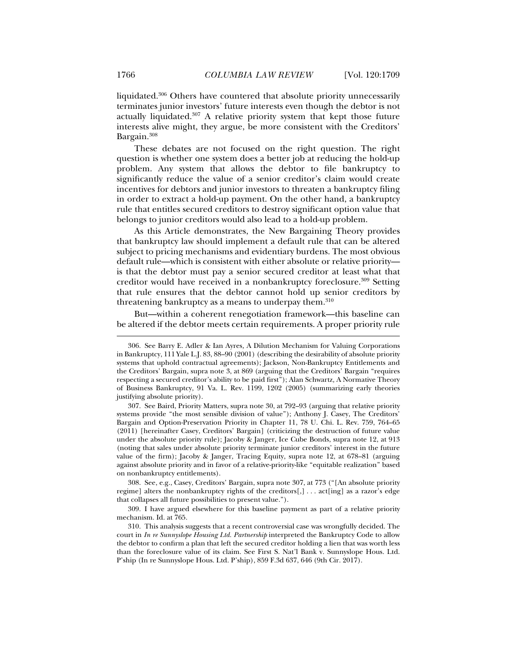liquidated.306 Others have countered that absolute priority unnecessarily terminates junior investors' future interests even though the debtor is not actually liquidated.307 A relative priority system that kept those future interests alive might, they argue, be more consistent with the Creditors' Bargain.308

These debates are not focused on the right question. The right question is whether one system does a better job at reducing the hold-up problem. Any system that allows the debtor to file bankruptcy to significantly reduce the value of a senior creditor's claim would create incentives for debtors and junior investors to threaten a bankruptcy filing in order to extract a hold-up payment. On the other hand, a bankruptcy rule that entitles secured creditors to destroy significant option value that belongs to junior creditors would also lead to a hold-up problem.

As this Article demonstrates, the New Bargaining Theory provides that bankruptcy law should implement a default rule that can be altered subject to pricing mechanisms and evidentiary burdens. The most obvious default rule—which is consistent with either absolute or relative priority is that the debtor must pay a senior secured creditor at least what that creditor would have received in a nonbankruptcy foreclosure.309 Setting that rule ensures that the debtor cannot hold up senior creditors by threatening bankruptcy as a means to underpay them.<sup>310</sup>

But—within a coherent renegotiation framework—this baseline can be altered if the debtor meets certain requirements. A proper priority rule

 <sup>306.</sup> See Barry E. Adler & Ian Ayres*,* A Dilution Mechanism for Valuing Corporations in Bankruptcy, 111 Yale L.J. 83, 88–90 (2001) (describing the desirability of absolute priority systems that uphold contractual agreements); Jackson, Non-Bankruptcy Entitlements and the Creditors' Bargain, supra note 3, at 869 (arguing that the Creditors' Bargain "requires respecting a secured creditor's ability to be paid first"); Alan Schwartz*,* A Normative Theory of Business Bankruptcy, 91 Va. L. Rev. 1199, 1202 (2005) (summarizing early theories justifying absolute priority).

 <sup>307.</sup> See Baird, Priority Matters, supra note 30, at 792–93 (arguing that relative priority systems provide "the most sensible division of value"); Anthony J. Casey, The Creditors' Bargain and Option-Preservation Priority in Chapter 11, 78 U. Chi. L. Rev. 759, 764–65 (2011) [hereinafter Casey, Creditors' Bargain] (criticizing the destruction of future value under the absolute priority rule); Jacoby & Janger, Ice Cube Bonds, supra note 12, at 913 (noting that sales under absolute priority terminate junior creditors' interest in the future value of the firm); Jacoby & Janger, Tracing Equity, supra note 12, at 678–81 (arguing against absolute priority and in favor of a relative-priority-like "equitable realization" based on nonbankruptcy entitlements).

 <sup>308.</sup> See, e.g., Casey, Creditors' Bargain, supra note 307, at 773 ("[An absolute priority regime] alters the nonbankruptcy rights of the creditors[,] . . . act[ing] as a razor's edge that collapses all future possibilities to present value.").

 <sup>309.</sup> I have argued elsewhere for this baseline payment as part of a relative priority mechanism. Id. at 765.

 <sup>310.</sup> This analysis suggests that a recent controversial case was wrongfully decided. The court in *In re Sunnyslope Housing Ltd. Partnership* interpreted the Bankruptcy Code to allow the debtor to confirm a plan that left the secured creditor holding a lien that was worth less than the foreclosure value of its claim. See First S. Nat'l Bank v. Sunnyslope Hous. Ltd. P'ship (In re Sunnyslope Hous. Ltd. P'ship), 859 F.3d 637, 646 (9th Cir. 2017).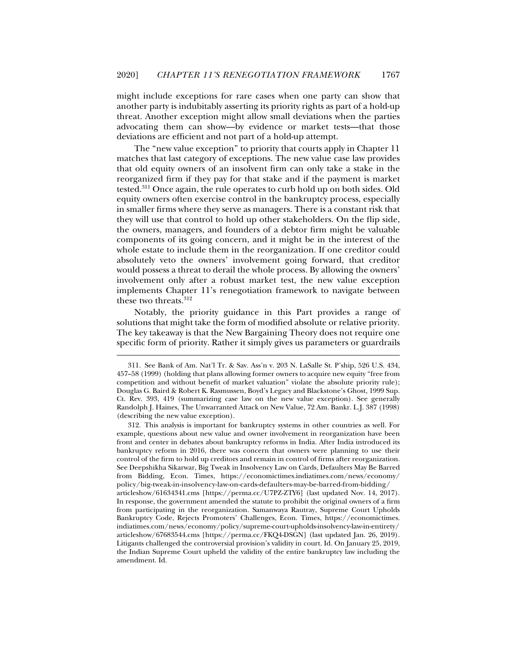might include exceptions for rare cases when one party can show that another party is indubitably asserting its priority rights as part of a hold-up threat. Another exception might allow small deviations when the parties advocating them can show—by evidence or market tests—that those deviations are efficient and not part of a hold-up attempt.

The "new value exception" to priority that courts apply in Chapter 11 matches that last category of exceptions. The new value case law provides that old equity owners of an insolvent firm can only take a stake in the reorganized firm if they pay for that stake and if the payment is market tested.311 Once again, the rule operates to curb hold up on both sides. Old equity owners often exercise control in the bankruptcy process, especially in smaller firms where they serve as managers. There is a constant risk that they will use that control to hold up other stakeholders. On the flip side, the owners, managers, and founders of a debtor firm might be valuable components of its going concern, and it might be in the interest of the whole estate to include them in the reorganization. If one creditor could absolutely veto the owners' involvement going forward, that creditor would possess a threat to derail the whole process. By allowing the owners' involvement only after a robust market test, the new value exception implements Chapter 11's renegotiation framework to navigate between these two threats.<sup>312</sup>

Notably, the priority guidance in this Part provides a range of solutions that might take the form of modified absolute or relative priority. The key takeaway is that the New Bargaining Theory does not require one specific form of priority. Rather it simply gives us parameters or guardrails

 <sup>311.</sup> See Bank of Am. Nat'l Tr. & Sav. Ass'n v. 203 N. LaSalle St. P'ship, 526 U.S. 434, 457–58 (1999) (holding that plans allowing former owners to acquire new equity "free from competition and without benefit of market valuation" violate the absolute priority rule); Douglas G. Baird & Robert K. Rasmussen, Boyd's Legacy and Blackstone's Ghost, 1999 Sup. Ct. Rev. 393, 419 (summarizing case law on the new value exception). See generally Randolph J. Haines, The Unwarranted Attack on New Value, 72 Am. Bankr. L.J. 387 (1998) (describing the new value exception).

 <sup>312.</sup> This analysis is important for bankruptcy systems in other countries as well. For example, questions about new value and owner involvement in reorganization have been front and center in debates about bankruptcy reforms in India. After India introduced its bankruptcy reform in 2016, there was concern that owners were planning to use their control of the firm to hold up creditors and remain in control of firms after reorganization. See Deepshikha Sikarwar, Big Tweak in Insolvency Law on Cards, Defaulters May Be Barred from Bidding, Econ. Times, https://economictimes.indiatimes.com/news/economy/ policy/big-tweak-in-insolvency-law-on-cards-defaulters-may-be-barred-from-bidding/ articleshow/61634341.cms [https://perma.cc/U7PZ-ZTY6] (last updated Nov. 14, 2017). In response, the government amended the statute to prohibit the original owners of a firm from participating in the reorganization. Samanwaya Rautray, Supreme Court Upholds Bankruptcy Code, Rejects Promoters' Challenges, Econ. Times, https://economictimes. indiatimes.com/news/economy/policy/supreme-court-upholds-insolvency-law-in-entirety/ articleshow/67683544.cms [https://perma.cc/FKQ4-DSGN] (last updated Jan. 26, 2019). Litigants challenged the controversial provision's validity in court. Id. On January 25, 2019, the Indian Supreme Court upheld the validity of the entire bankruptcy law including the amendment. Id.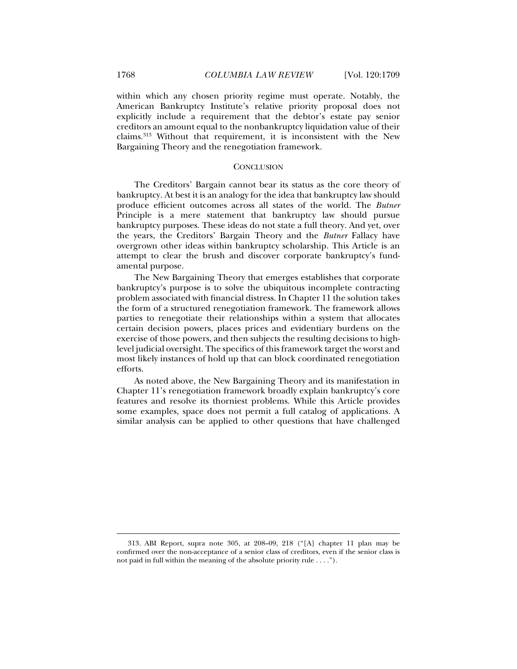within which any chosen priority regime must operate. Notably, the American Bankruptcy Institute's relative priority proposal does not explicitly include a requirement that the debtor's estate pay senior creditors an amount equal to the nonbankruptcy liquidation value of their claims.313 Without that requirement, it is inconsistent with the New Bargaining Theory and the renegotiation framework.

#### **CONCLUSION**

The Creditors' Bargain cannot bear its status as the core theory of bankruptcy. At best it is an analogy for the idea that bankruptcy law should produce efficient outcomes across all states of the world. The *Butner* Principle is a mere statement that bankruptcy law should pursue bankruptcy purposes. These ideas do not state a full theory. And yet, over the years, the Creditors' Bargain Theory and the *Butner* Fallacy have overgrown other ideas within bankruptcy scholarship. This Article is an attempt to clear the brush and discover corporate bankruptcy's fundamental purpose.

The New Bargaining Theory that emerges establishes that corporate bankruptcy's purpose is to solve the ubiquitous incomplete contracting problem associated with financial distress. In Chapter 11 the solution takes the form of a structured renegotiation framework. The framework allows parties to renegotiate their relationships within a system that allocates certain decision powers, places prices and evidentiary burdens on the exercise of those powers, and then subjects the resulting decisions to highlevel judicial oversight. The specifics of this framework target the worst and most likely instances of hold up that can block coordinated renegotiation efforts.

As noted above, the New Bargaining Theory and its manifestation in Chapter 11's renegotiation framework broadly explain bankruptcy's core features and resolve its thorniest problems. While this Article provides some examples, space does not permit a full catalog of applications. A similar analysis can be applied to other questions that have challenged

 <sup>313.</sup> ABI Report, supra note 305, at 208–09, 218 ("[A] chapter 11 plan may be confirmed over the non-acceptance of a senior class of creditors, even if the senior class is not paid in full within the meaning of the absolute priority rule . . . .").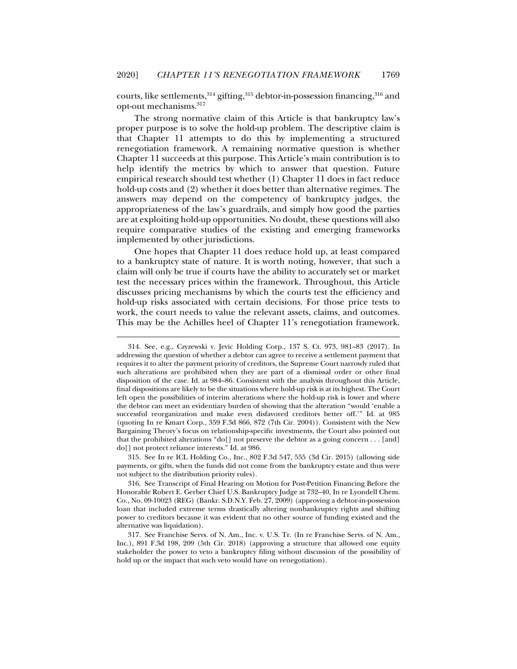courts, like settlements,  $314$  gifting,  $315$  debtor-in-possession financing,  $316$  and opt-out mechanisms.317

The strong normative claim of this Article is that bankruptcy law's proper purpose is to solve the hold-up problem. The descriptive claim is that Chapter 11 attempts to do this by implementing a structured renegotiation framework. A remaining normative question is whether Chapter 11 succeeds at this purpose. This Article's main contribution is to help identify the metrics by which to answer that question. Future empirical research should test whether (1) Chapter 11 does in fact reduce hold-up costs and (2) whether it does better than alternative regimes. The answers may depend on the competency of bankruptcy judges, the appropriateness of the law's guardrails, and simply how good the parties are at exploiting hold-up opportunities. No doubt, these questions will also require comparative studies of the existing and emerging frameworks implemented by other jurisdictions.

One hopes that Chapter 11 does reduce hold up, at least compared to a bankruptcy state of nature. It is worth noting, however, that such a claim will only be true if courts have the ability to accurately set or market test the necessary prices within the framework. Throughout, this Article discusses pricing mechanisms by which the courts test the efficiency and hold-up risks associated with certain decisions. For those price tests to work, the court needs to value the relevant assets, claims, and outcomes. This may be the Achilles heel of Chapter 11's renegotiation framework.

j

 315. See In re ICL Holding Co., Inc., 802 F.3d 547, 555 (3d Cir. 2015) (allowing side payments, or gifts, when the funds did not come from the bankruptcy estate and thus were not subject to the distribution priority rules).

 <sup>314.</sup> See, e.g., Czyzewski v. Jevic Holding Corp., 137 S. Ct. 973, 981–83 (2017). In addressing the question of whether a debtor can agree to receive a settlement payment that requires it to alter the payment priority of creditors, the Supreme Court narrowly ruled that such alterations are prohibited when they are part of a dismissal order or other final disposition of the case. Id. at 984–86. Consistent with the analysis throughout this Article, final dispositions are likely to be the situations where hold-up risk is at its highest. The Court left open the possibilities of interim alterations where the hold-up risk is lower and where the debtor can meet an evidentiary burden of showing that the alteration "would 'enable a successful reorganization and make even disfavored creditors better off.'" Id. at 985 (quoting In re Kmart Corp., 359 F.3d 866, 872 (7th Cir. 2004)). Consistent with the New Bargaining Theory's focus on relationship-specific investments, the Court also pointed out that the prohibited alterations "do[] not preserve the debtor as a going concern . . . [and] do[] not protect reliance interests." Id. at 986.

 <sup>316.</sup> See Transcript of Final Hearing on Motion for Post-Petition Financing Before the Honorable Robert E. Gerber Chief U.S. Bankruptcy Judge at 732–40, In re Lyondell Chem. Co., No. 09-10023 (REG) (Bankr. S.D.N.Y. Feb. 27, 2009) (approving a debtor-in-possession loan that included extreme terms drastically altering nonbankruptcy rights and shifting power to creditors because it was evident that no other source of funding existed and the alternative was liquidation).

 <sup>317.</sup> See Franchise Servs. of N. Am., Inc. v. U.S. Tr. (In re Franchise Servs. of N. Am., Inc.), 891 F.3d 198, 209 (5th Cir. 2018) (approving a structure that allowed one equity stakeholder the power to veto a bankruptcy filing without discussion of the possibility of hold up or the impact that such veto would have on renegotiation).